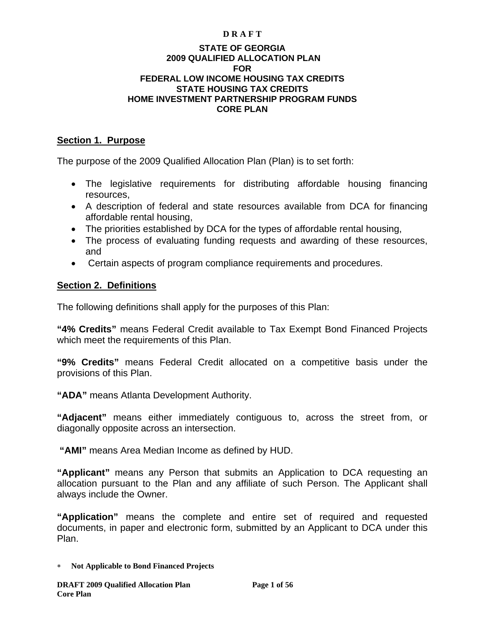#### **D R A F T**

#### **STATE OF GEORGIA 2009 QUALIFIED ALLOCATION PLAN FOR FEDERAL LOW INCOME HOUSING TAX CREDITS STATE HOUSING TAX CREDITS HOME INVESTMENT PARTNERSHIP PROGRAM FUNDS CORE PLAN**

#### **Section 1. Purpose**

The purpose of the 2009 Qualified Allocation Plan (Plan) is to set forth:

- The legislative requirements for distributing affordable housing financing resources,
- A description of federal and state resources available from DCA for financing affordable rental housing,
- The priorities established by DCA for the types of affordable rental housing,
- The process of evaluating funding requests and awarding of these resources, and
- Certain aspects of program compliance requirements and procedures.

### **Section 2. Definitions**

The following definitions shall apply for the purposes of this Plan:

**"4% Credits"** means Federal Credit available to Tax Exempt Bond Financed Projects which meet the requirements of this Plan.

**"9% Credits"** means Federal Credit allocated on a competitive basis under the provisions of this Plan.

**"ADA"** means Atlanta Development Authority.

**"Adjacent"** means either immediately contiguous to, across the street from, or diagonally opposite across an intersection.

 **"AMI"** means Area Median Income as defined by HUD.

**"Applicant"** means any Person that submits an Application to DCA requesting an allocation pursuant to the Plan and any affiliate of such Person. The Applicant shall always include the Owner.

**"Application"** means the complete and entire set of required and requested documents, in paper and electronic form, submitted by an Applicant to DCA under this Plan.

∗ **Not Applicable to Bond Financed Projects**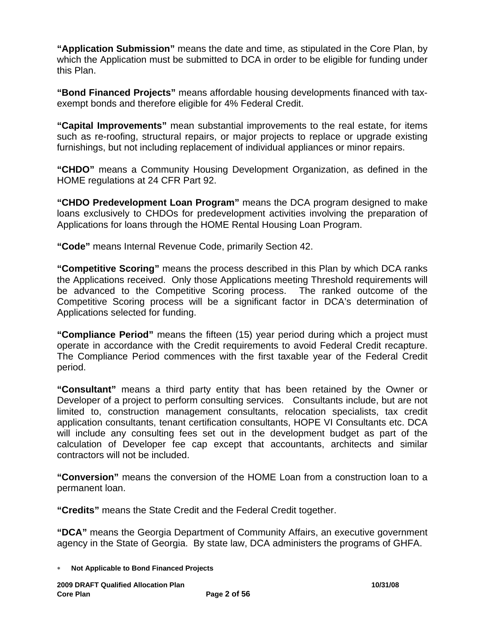**"Application Submission"** means the date and time, as stipulated in the Core Plan, by which the Application must be submitted to DCA in order to be eligible for funding under this Plan.

**"Bond Financed Projects"** means affordable housing developments financed with taxexempt bonds and therefore eligible for 4% Federal Credit.

**"Capital Improvements"** mean substantial improvements to the real estate, for items such as re-roofing, structural repairs, or major projects to replace or upgrade existing furnishings, but not including replacement of individual appliances or minor repairs.

**"CHDO"** means a Community Housing Development Organization, as defined in the HOME regulations at 24 CFR Part 92.

**"CHDO Predevelopment Loan Program"** means the DCA program designed to make loans exclusively to CHDOs for predevelopment activities involving the preparation of Applications for loans through the HOME Rental Housing Loan Program.

**"Code"** means Internal Revenue Code, primarily Section 42.

**"Competitive Scoring"** means the process described in this Plan by which DCA ranks the Applications received. Only those Applications meeting Threshold requirements will be advanced to the Competitive Scoring process. The ranked outcome of the Competitive Scoring process will be a significant factor in DCA's determination of Applications selected for funding.

**"Compliance Period"** means the fifteen (15) year period during which a project must operate in accordance with the Credit requirements to avoid Federal Credit recapture. The Compliance Period commences with the first taxable year of the Federal Credit period.

**"Consultant"** means a third party entity that has been retained by the Owner or Developer of a project to perform consulting services. Consultants include, but are not limited to, construction management consultants, relocation specialists, tax credit application consultants, tenant certification consultants, HOPE VI Consultants etc. DCA will include any consulting fees set out in the development budget as part of the calculation of Developer fee cap except that accountants, architects and similar contractors will not be included.

**"Conversion"** means the conversion of the HOME Loan from a construction loan to a permanent loan.

**"Credits"** means the State Credit and the Federal Credit together.

**"DCA"** means the Georgia Department of Community Affairs, an executive government agency in the State of Georgia. By state law, DCA administers the programs of GHFA.

<sup>∗</sup> **Not Applicable to Bond Financed Projects**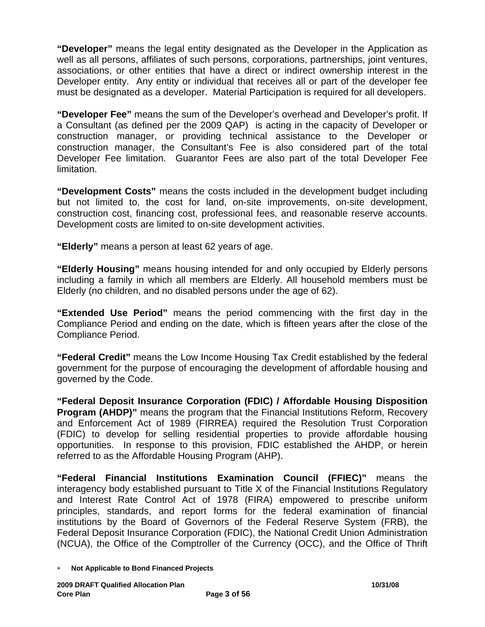**"Developer"** means the legal entity designated as the Developer in the Application as well as all persons, affiliates of such persons, corporations, partnerships, joint ventures, associations, or other entities that have a direct or indirect ownership interest in the Developer entity. Any entity or individual that receives all or part of the developer fee must be designated as a developer. Material Participation is required for all developers.

**"Developer Fee"** means the sum of the Developer's overhead and Developer's profit. If a Consultant (as defined per the 2009 QAP) is acting in the capacity of Developer or construction manager, or providing technical assistance to the Developer or construction manager, the Consultant's Fee is also considered part of the total Developer Fee limitation. Guarantor Fees are also part of the total Developer Fee limitation.

**"Development Costs"** means the costs included in the development budget including but not limited to, the cost for land, on-site improvements, on-site development, construction cost, financing cost, professional fees, and reasonable reserve accounts. Development costs are limited to on-site development activities.

**"Elderly"** means a person at least 62 years of age.

**"Elderly Housing"** means housing intended for and only occupied by Elderly persons including a family in which all members are Elderly. All household members must be Elderly (no children, and no disabled persons under the age of 62).

**"Extended Use Period"** means the period commencing with the first day in the Compliance Period and ending on the date, which is fifteen years after the close of the Compliance Period.

**"Federal Credit"** means the Low Income Housing Tax Credit established by the federal government for the purpose of encouraging the development of affordable housing and governed by the Code.

**"Federal Deposit Insurance Corporation (FDIC) / Affordable Housing Disposition Program (AHDP)**" means the program that the Financial Institutions Reform, Recovery and Enforcement Act of 1989 (FIRREA) required the Resolution Trust Corporation (FDIC) to develop for selling residential properties to provide affordable housing opportunities. In response to this provision, FDIC established the AHDP, or herein referred to as the Affordable Housing Program (AHP).

**"Federal Financial Institutions Examination Council (FFIEC)"** means the interagency body established pursuant to Title X of the Financial Institutions Regulatory and Interest Rate Control Act of 1978 (FIRA) empowered to prescribe uniform principles, standards, and report forms for the federal examination of financial institutions by the Board of Governors of the Federal Reserve System (FRB), the Federal Deposit Insurance Corporation (FDIC), the National Credit Union Administration (NCUA), the Office of the Comptroller of the Currency (OCC), and the Office of Thrift

<sup>∗</sup> **Not Applicable to Bond Financed Projects**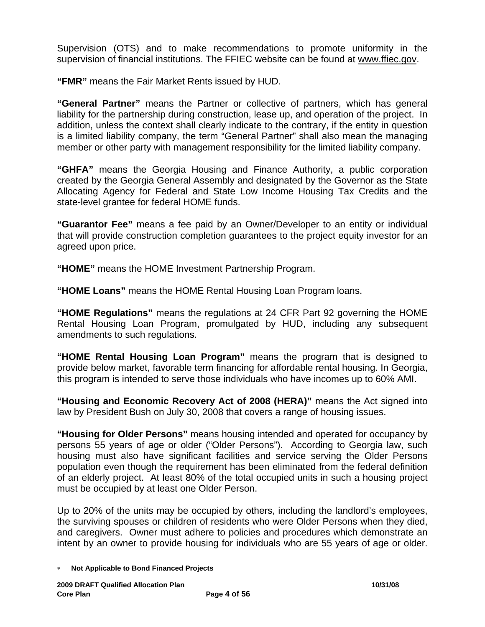Supervision (OTS) and to make recommendations to promote uniformity in the supervision of financial institutions. The FFIEC website can be found at [www.ffiec.gov](http://www.ffiec.gov/).

**"FMR"** means the Fair Market Rents issued by HUD.

**"General Partner"** means the Partner or collective of partners, which has general liability for the partnership during construction, lease up, and operation of the project. In addition, unless the context shall clearly indicate to the contrary, if the entity in question is a limited liability company, the term "General Partner" shall also mean the managing member or other party with management responsibility for the limited liability company.

**"GHFA"** means the Georgia Housing and Finance Authority, a public corporation created by the Georgia General Assembly and designated by the Governor as the State Allocating Agency for Federal and State Low Income Housing Tax Credits and the state-level grantee for federal HOME funds.

**"Guarantor Fee"** means a fee paid by an Owner/Developer to an entity or individual that will provide construction completion guarantees to the project equity investor for an agreed upon price.

**"HOME"** means the HOME Investment Partnership Program.

**"HOME Loans"** means the HOME Rental Housing Loan Program loans.

**"HOME Regulations"** means the regulations at 24 CFR Part 92 governing the HOME Rental Housing Loan Program, promulgated by HUD, including any subsequent amendments to such regulations.

**"HOME Rental Housing Loan Program"** means the program that is designed to provide below market, favorable term financing for affordable rental housing. In Georgia, this program is intended to serve those individuals who have incomes up to 60% AMI.

**"Housing and Economic Recovery Act of 2008 (HERA)"** means the Act signed into law by President Bush on July 30, 2008 that covers a range of housing issues.

**"Housing for Older Persons"** means housing intended and operated for occupancy by persons 55 years of age or older ("Older Persons"). According to Georgia law, such housing must also have significant facilities and service serving the Older Persons population even though the requirement has been eliminated from the federal definition of an elderly project. At least 80% of the total occupied units in such a housing project must be occupied by at least one Older Person.

Up to 20% of the units may be occupied by others, including the landlord's employees, the surviving spouses or children of residents who were Older Persons when they died, and caregivers. Owner must adhere to policies and procedures which demonstrate an intent by an owner to provide housing for individuals who are 55 years of age or older.

<sup>∗</sup> **Not Applicable to Bond Financed Projects**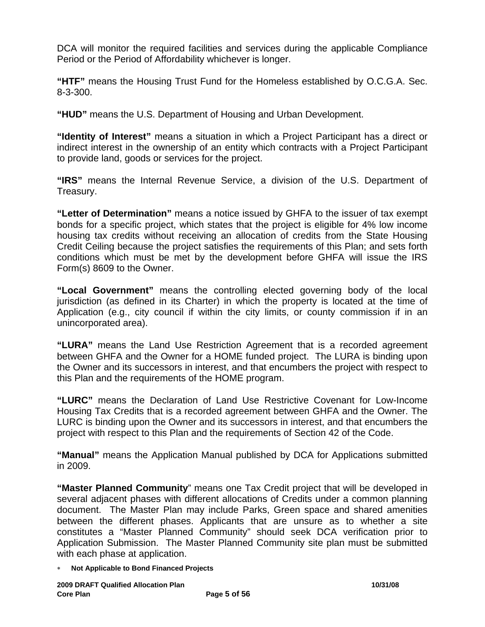DCA will monitor the required facilities and services during the applicable Compliance Period or the Period of Affordability whichever is longer.

**"HTF"** means the Housing Trust Fund for the Homeless established by O.C.G.A. Sec. 8-3-300.

**"HUD"** means the U.S. Department of Housing and Urban Development.

**"Identity of Interest"** means a situation in which a Project Participant has a direct or indirect interest in the ownership of an entity which contracts with a Project Participant to provide land, goods or services for the project.

**"IRS"** means the Internal Revenue Service, a division of the U.S. Department of Treasury.

**"Letter of Determination"** means a notice issued by GHFA to the issuer of tax exempt bonds for a specific project, which states that the project is eligible for 4% low income housing tax credits without receiving an allocation of credits from the State Housing Credit Ceiling because the project satisfies the requirements of this Plan; and sets forth conditions which must be met by the development before GHFA will issue the IRS Form(s) 8609 to the Owner.

**"Local Government"** means the controlling elected governing body of the local jurisdiction (as defined in its Charter) in which the property is located at the time of Application (e.g., city council if within the city limits, or county commission if in an unincorporated area).

**"LURA"** means the Land Use Restriction Agreement that is a recorded agreement between GHFA and the Owner for a HOME funded project. The LURA is binding upon the Owner and its successors in interest, and that encumbers the project with respect to this Plan and the requirements of the HOME program.

**"LURC"** means the Declaration of Land Use Restrictive Covenant for Low-Income Housing Tax Credits that is a recorded agreement between GHFA and the Owner. The LURC is binding upon the Owner and its successors in interest, and that encumbers the project with respect to this Plan and the requirements of Section 42 of the Code.

**"Manual"** means the Application Manual published by DCA for Applications submitted in 2009.

**"Master Planned Community**" means one Tax Credit project that will be developed in several adjacent phases with different allocations of Credits under a common planning document. The Master Plan may include Parks, Green space and shared amenities between the different phases. Applicants that are unsure as to whether a site constitutes a "Master Planned Community" should seek DCA verification prior to Application Submission. The Master Planned Community site plan must be submitted with each phase at application.

∗ **Not Applicable to Bond Financed Projects**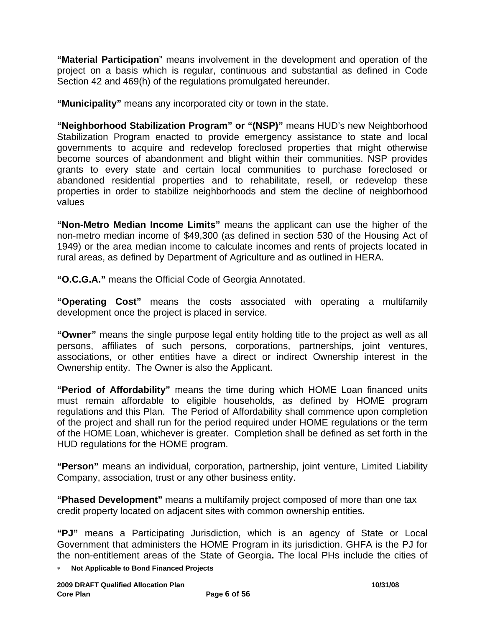**"Material Participation**" means involvement in the development and operation of the project on a basis which is regular, continuous and substantial as defined in Code Section 42 and 469(h) of the regulations promulgated hereunder.

**"Municipality"** means any incorporated city or town in the state.

**"Neighborhood Stabilization Program" or "(NSP)"** means HUD's new Neighborhood Stabilization Program enacted to provide emergency assistance to state and local governments to acquire and redevelop foreclosed properties that might otherwise become sources of abandonment and blight within their communities. NSP provides grants to every state and certain local communities to purchase foreclosed or abandoned residential properties and to rehabilitate, resell, or redevelop these properties in order to stabilize neighborhoods and stem the decline of neighborhood values

**"Non-Metro Median Income Limits"** means the applicant can use the higher of the non-metro median income of \$49,300 (as defined in section 530 of the Housing Act of 1949) or the area median income to calculate incomes and rents of projects located in rural areas, as defined by Department of Agriculture and as outlined in HERA.

**"O.C.G.A."** means the Official Code of Georgia Annotated.

**"Operating Cost"** means the costs associated with operating a multifamily development once the project is placed in service.

**"Owner"** means the single purpose legal entity holding title to the project as well as all persons, affiliates of such persons, corporations, partnerships, joint ventures, associations, or other entities have a direct or indirect Ownership interest in the Ownership entity. The Owner is also the Applicant.

**"Period of Affordability"** means the time during which HOME Loan financed units must remain affordable to eligible households, as defined by HOME program regulations and this Plan. The Period of Affordability shall commence upon completion of the project and shall run for the period required under HOME regulations or the term of the HOME Loan, whichever is greater. Completion shall be defined as set forth in the HUD regulations for the HOME program.

**"Person"** means an individual, corporation, partnership, joint venture, Limited Liability Company, association, trust or any other business entity.

**"Phased Development"** means a multifamily project composed of more than one tax credit property located on adjacent sites with common ownership entities**.** 

**"PJ"** means a Participating Jurisdiction, which is an agency of State or Local Government that administers the HOME Program in its jurisdiction. GHFA is the PJ for the non-entitlement areas of the State of Georgia**.** The local PHs include the cities of

**Not Applicable to Bond Financed Projects**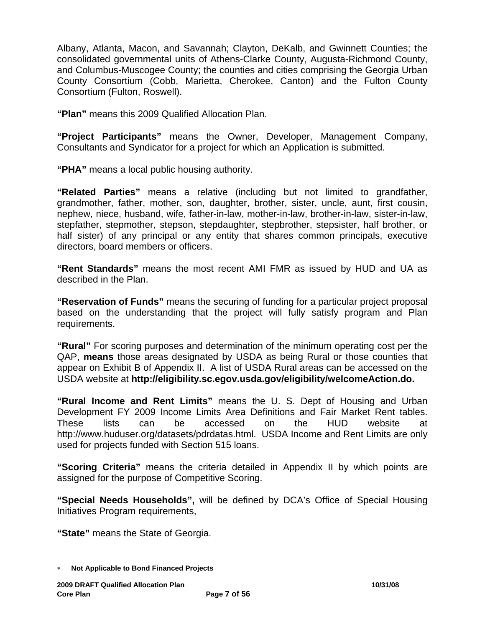Albany, Atlanta, Macon, and Savannah; Clayton, DeKalb, and Gwinnett Counties; the consolidated governmental units of Athens-Clarke County, Augusta-Richmond County, and Columbus-Muscogee County; the counties and cities comprising the Georgia Urban County Consortium (Cobb, Marietta, Cherokee, Canton) and the Fulton County Consortium (Fulton, Roswell).

**"Plan"** means this 2009 Qualified Allocation Plan.

**"Project Participants"** means the Owner, Developer, Management Company, Consultants and Syndicator for a project for which an Application is submitted.

**"PHA"** means a local public housing authority.

**"Related Parties"** means a relative (including but not limited to grandfather, grandmother, father, mother, son, daughter, brother, sister, uncle, aunt, first cousin, nephew, niece, husband, wife, father-in-law, mother-in-law, brother-in-law, sister-in-law, stepfather, stepmother, stepson, stepdaughter, stepbrother, stepsister, half brother, or half sister) of any principal or any entity that shares common principals, executive directors, board members or officers.

**"Rent Standards"** means the most recent AMI FMR as issued by HUD and UA as described in the Plan.

**"Reservation of Funds"** means the securing of funding for a particular project proposal based on the understanding that the project will fully satisfy program and Plan requirements.

**"Rural"** For scoring purposes and determination of the minimum operating cost per the QAP, **means** those areas designated by USDA as being Rural or those counties that appear on Exhibit B of Appendix II. A list of USDA Rural areas can be accessed on the USDA website at **http://eligibility.sc.egov.usda.gov/eligibility/welcomeAction.do.**

**"Rural Income and Rent Limits"** means the U. S. Dept of Housing and Urban Development FY 2009 Income Limits Area Definitions and Fair Market Rent tables. These lists can be accessed on the HUD website at http://www.huduser.org/datasets/pdrdatas.html. USDA Income and Rent Limits are only used for projects funded with Section 515 loans.

**"Scoring Criteria"** means the criteria detailed in Appendix II by which points are assigned for the purpose of Competitive Scoring.

**"Special Needs Households",** will be defined by DCA's Office of Special Housing Initiatives Program requirements,

**"State"** means the State of Georgia.

<sup>∗</sup> **Not Applicable to Bond Financed Projects**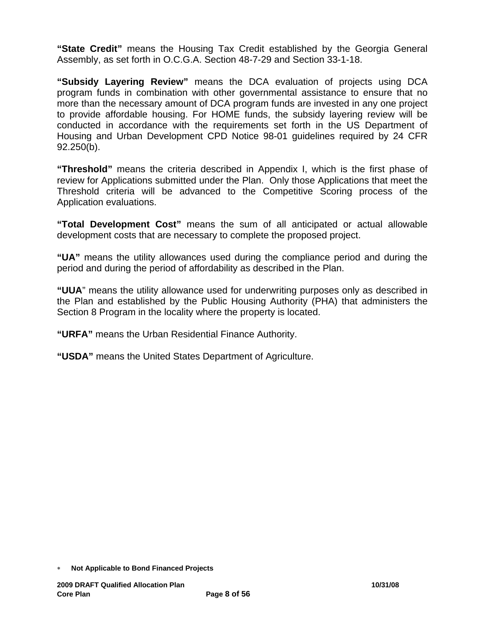**"State Credit"** means the Housing Tax Credit established by the Georgia General Assembly, as set forth in O.C.G.A. Section 48-7-29 and Section 33-1-18.

**"Subsidy Layering Review"** means the DCA evaluation of projects using DCA program funds in combination with other governmental assistance to ensure that no more than the necessary amount of DCA program funds are invested in any one project to provide affordable housing. For HOME funds, the subsidy layering review will be conducted in accordance with the requirements set forth in the US Department of Housing and Urban Development CPD Notice 98-01 guidelines required by 24 CFR 92.250(b).

**"Threshold"** means the criteria described in Appendix I, which is the first phase of review for Applications submitted under the Plan. Only those Applications that meet the Threshold criteria will be advanced to the Competitive Scoring process of the Application evaluations.

**"Total Development Cost"** means the sum of all anticipated or actual allowable development costs that are necessary to complete the proposed project.

**"UA"** means the utility allowances used during the compliance period and during the period and during the period of affordability as described in the Plan.

**"UUA**" means the utility allowance used for underwriting purposes only as described in the Plan and established by the Public Housing Authority (PHA) that administers the Section 8 Program in the locality where the property is located.

**"URFA"** means the Urban Residential Finance Authority.

**"USDA"** means the United States Department of Agriculture.

<sup>∗</sup> **Not Applicable to Bond Financed Projects**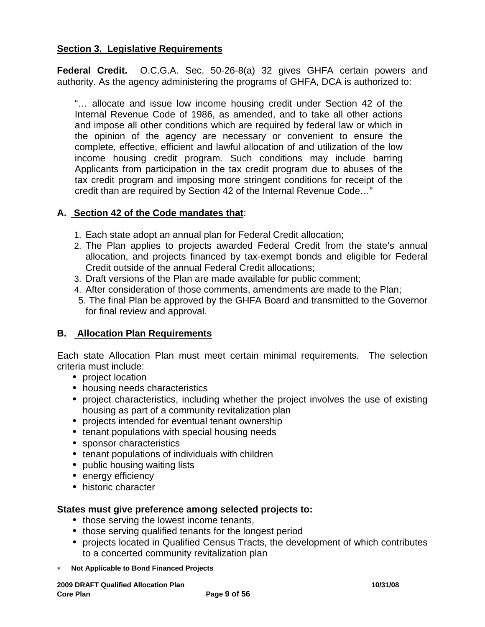## **Section 3. Legislative Requirements**

**Federal Credit.** O.C.G.A. Sec. 50-26-8(a) 32 gives GHFA certain powers and authority. As the agency administering the programs of GHFA, DCA is authorized to:

"… allocate and issue low income housing credit under Section 42 of the Internal Revenue Code of 1986, as amended, and to take all other actions and impose all other conditions which are required by federal law or which in the opinion of the agency are necessary or convenient to ensure the complete, effective, efficient and lawful allocation of and utilization of the low income housing credit program. Such conditions may include barring Applicants from participation in the tax credit program due to abuses of the tax credit program and imposing more stringent conditions for receipt of the credit than are required by Section 42 of the Internal Revenue Code…"

## **A. Section 42 of the Code mandates that**:

- 1. Each state adopt an annual plan for Federal Credit allocation;
- 2. The Plan applies to projects awarded Federal Credit from the state's annual allocation, and projects financed by tax-exempt bonds and eligible for Federal Credit outside of the annual Federal Credit allocations;
- 3. Draft versions of the Plan are made available for public comment;
- 4. After consideration of those comments, amendments are made to the Plan;
- 5. The final Plan be approved by the GHFA Board and transmitted to the Governor for final review and approval.

# **B. Allocation Plan Requirements**

Each state Allocation Plan must meet certain minimal requirements. The selection criteria must include:

- project location
- housing needs characteristics
- project characteristics, including whether the project involves the use of existing housing as part of a community revitalization plan
- projects intended for eventual tenant ownership
- tenant populations with special housing needs
- sponsor characteristics
- tenant populations of individuals with children
- public housing waiting lists
- energy efficiency
- historic character

### **States must give preference among selected projects to:**

- those serving the lowest income tenants,
- those serving qualified tenants for the longest period
- projects located in Qualified Census Tracts, the development of which contributes to a concerted community revitalization plan
- ∗ **Not Applicable to Bond Financed Projects**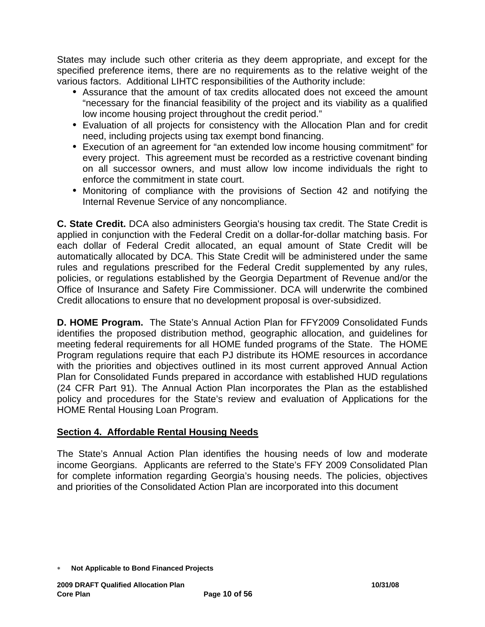States may include such other criteria as they deem appropriate, and except for the specified preference items, there are no requirements as to the relative weight of the various factors. Additional LIHTC responsibilities of the Authority include:

- Assurance that the amount of tax credits allocated does not exceed the amount "necessary for the financial feasibility of the project and its viability as a qualified low income housing project throughout the credit period."
- Evaluation of all projects for consistency with the Allocation Plan and for credit need, including projects using tax exempt bond financing.
- Execution of an agreement for "an extended low income housing commitment" for every project. This agreement must be recorded as a restrictive covenant binding on all successor owners, and must allow low income individuals the right to enforce the commitment in state court.
- Monitoring of compliance with the provisions of Section 42 and notifying the Internal Revenue Service of any noncompliance.

**C. State Credit.** DCA also administers Georgia's housing tax credit. The State Credit is applied in conjunction with the Federal Credit on a dollar-for-dollar matching basis. For each dollar of Federal Credit allocated, an equal amount of State Credit will be automatically allocated by DCA. This State Credit will be administered under the same rules and regulations prescribed for the Federal Credit supplemented by any rules, policies, or regulations established by the Georgia Department of Revenue and/or the Office of Insurance and Safety Fire Commissioner. DCA will underwrite the combined Credit allocations to ensure that no development proposal is over-subsidized.

**D. HOME Program.** The State's Annual Action Plan for FFY2009 Consolidated Funds identifies the proposed distribution method, geographic allocation, and guidelines for meeting federal requirements for all HOME funded programs of the State. The HOME Program regulations require that each PJ distribute its HOME resources in accordance with the priorities and objectives outlined in its most current approved Annual Action Plan for Consolidated Funds prepared in accordance with established HUD regulations (24 CFR Part 91). The Annual Action Plan incorporates the Plan as the established policy and procedures for the State's review and evaluation of Applications for the HOME Rental Housing Loan Program.

### **Section 4. Affordable Rental Housing Needs**

The State's Annual Action Plan identifies the housing needs of low and moderate income Georgians. Applicants are referred to the State's FFY 2009 Consolidated Plan for complete information regarding Georgia's housing needs. The policies, objectives and priorities of the Consolidated Action Plan are incorporated into this document

<sup>∗</sup> **Not Applicable to Bond Financed Projects**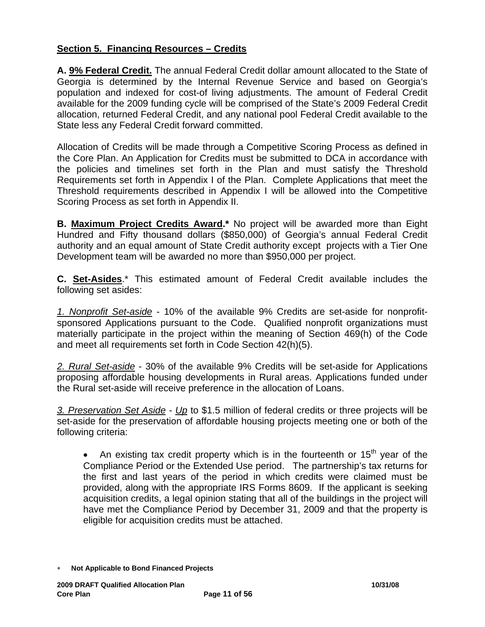# **Section 5. Financing Resources – Credits**

**A. 9% Federal Credit.** The annual Federal Credit dollar amount allocated to the State of Georgia is determined by the Internal Revenue Service and based on Georgia's population and indexed for cost-of living adjustments. The amount of Federal Credit available for the 2009 funding cycle will be comprised of the State's 2009 Federal Credit allocation, returned Federal Credit, and any national pool Federal Credit available to the State less any Federal Credit forward committed.

Allocation of Credits will be made through a Competitive Scoring Process as defined in the Core Plan. An Application for Credits must be submitted to DCA in accordance with the policies and timelines set forth in the Plan and must satisfy the Threshold Requirements set forth in Appendix I of the Plan. Complete Applications that meet the Threshold requirements described in Appendix I will be allowed into the Competitive Scoring Process as set forth in Appendix II.

**B. Maximum Project Credits Award.\*** No project will be awarded more than Eight Hundred and Fifty thousand dollars (\$850,000) of Georgia's annual Federal Credit authority and an equal amount of State Credit authority except projects with a Tier One Development team will be awarded no more than \$950,000 per project.

**C. Set-Asides**.\* This estimated amount of Federal Credit available includes the following set asides:

*1. Nonprofit Set-aside* - 10% of the available 9% Credits are set-aside for nonprofitsponsored Applications pursuant to the Code. Qualified nonprofit organizations must materially participate in the project within the meaning of Section 469(h) of the Code and meet all requirements set forth in Code Section 42(h)(5).

*2. Rural Set-aside* - 30% of the available 9% Credits will be set-aside for Applications proposing affordable housing developments in Rural areas. Applications funded under the Rural set-aside will receive preference in the allocation of Loans.

*3. Preservation Set Aside - Up* to \$1.5 million of federal credits or three projects will be set-aside for the preservation of affordable housing projects meeting one or both of the following criteria:

An existing tax credit property which is in the fourteenth or  $15<sup>th</sup>$  year of the Compliance Period or the Extended Use period. The partnership's tax returns for the first and last years of the period in which credits were claimed must be provided, along with the appropriate IRS Forms 8609. If the applicant is seeking acquisition credits, a legal opinion stating that all of the buildings in the project will have met the Compliance Period by December 31, 2009 and that the property is eligible for acquisition credits must be attached.

<sup>∗</sup> **Not Applicable to Bond Financed Projects**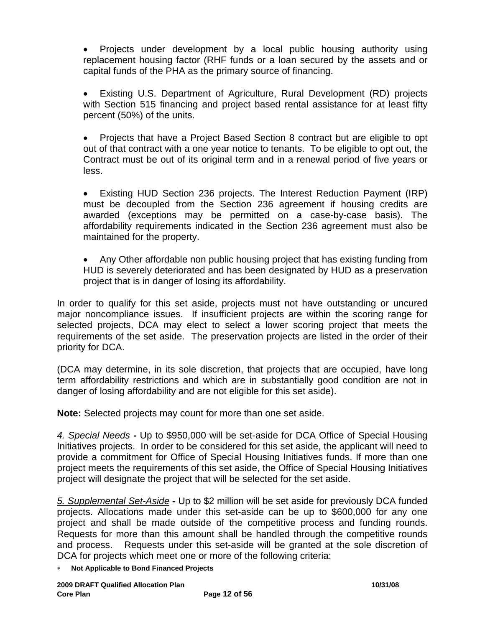• Projects under development by a local public housing authority using replacement housing factor (RHF funds or a loan secured by the assets and or capital funds of the PHA as the primary source of financing.

• Existing U.S. Department of Agriculture, Rural Development (RD) projects with Section 515 financing and project based rental assistance for at least fifty percent (50%) of the units.

• Projects that have a Project Based Section 8 contract but are eligible to opt out of that contract with a one year notice to tenants. To be eligible to opt out, the Contract must be out of its original term and in a renewal period of five years or less.

• Existing HUD Section 236 projects. The Interest Reduction Payment (IRP) must be decoupled from the Section 236 agreement if housing credits are awarded (exceptions may be permitted on a case-by-case basis). The affordability requirements indicated in the Section 236 agreement must also be maintained for the property.

• Any Other affordable non public housing project that has existing funding from HUD is severely deteriorated and has been designated by HUD as a preservation project that is in danger of losing its affordability.

In order to qualify for this set aside, projects must not have outstanding or uncured major noncompliance issues. If insufficient projects are within the scoring range for selected projects, DCA may elect to select a lower scoring project that meets the requirements of the set aside. The preservation projects are listed in the order of their priority for DCA.

(DCA may determine, in its sole discretion, that projects that are occupied, have long term affordability restrictions and which are in substantially good condition are not in danger of losing affordability and are not eligible for this set aside).

**Note:** Selected projects may count for more than one set aside.

*4. Special Needs* **-** Up to \$950,000 will be set-aside for DCA Office of Special Housing Initiatives projects. In order to be considered for this set aside, the applicant will need to provide a commitment for Office of Special Housing Initiatives funds. If more than one project meets the requirements of this set aside, the Office of Special Housing Initiatives project will designate the project that will be selected for the set aside.

*5. Supplemental Set-Aside* **-** Up to \$2 million will be set aside for previously DCA funded projects. Allocations made under this set-aside can be up to \$600,000 for any one project and shall be made outside of the competitive process and funding rounds. Requests for more than this amount shall be handled through the competitive rounds and process. Requests under this set-aside will be granted at the sole discretion of DCA for projects which meet one or more of the following criteria:

∗ **Not Applicable to Bond Financed Projects**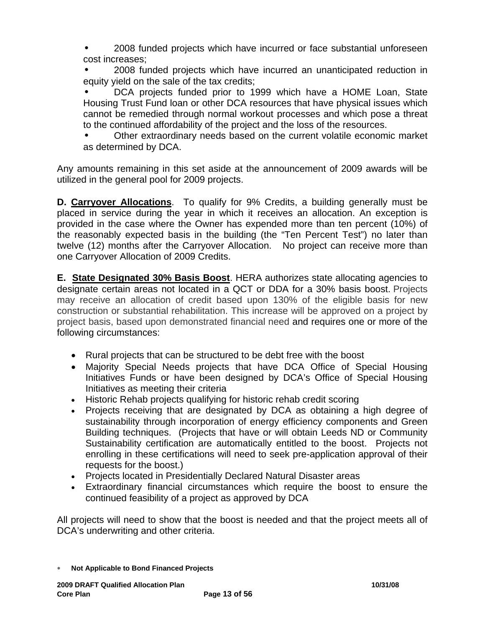• 2008 funded projects which have incurred or face substantial unforeseen cost increases;

• 2008 funded projects which have incurred an unanticipated reduction in equity yield on the sale of the tax credits;

• DCA projects funded prior to 1999 which have a HOME Loan, State Housing Trust Fund loan or other DCA resources that have physical issues which cannot be remedied through normal workout processes and which pose a threat to the continued affordability of the project and the loss of the resources.

• Other extraordinary needs based on the current volatile economic market as determined by DCA.

Any amounts remaining in this set aside at the announcement of 2009 awards will be utilized in the general pool for 2009 projects.

**D. Carryover Allocations**. To qualify for 9% Credits, a building generally must be placed in service during the year in which it receives an allocation. An exception is provided in the case where the Owner has expended more than ten percent (10%) of the reasonably expected basis in the building (the "Ten Percent Test") no later than twelve (12) months after the Carryover Allocation. No project can receive more than one Carryover Allocation of 2009 Credits.

**E. State Designated 30% Basis Boost**. HERA authorizes state allocating agencies to designate certain areas not located in a QCT or DDA for a 30% basis boost. Projects may receive an allocation of credit based upon 130% of the eligible basis for new construction or substantial rehabilitation. This increase will be approved on a project by project basis, based upon demonstrated financial need and requires one or more of the following circumstances:

- Rural projects that can be structured to be debt free with the boost
- Majority Special Needs projects that have DCA Office of Special Housing Initiatives Funds or have been designed by DCA's Office of Special Housing Initiatives as meeting their criteria
- Historic Rehab projects qualifying for historic rehab credit scoring
- Projects receiving that are designated by DCA as obtaining a high degree of sustainability through incorporation of energy efficiency components and Green Building techniques. (Projects that have or will obtain Leeds ND or Community Sustainability certification are automatically entitled to the boost. Projects not enrolling in these certifications will need to seek pre-application approval of their requests for the boost.)
- Projects located in Presidentially Declared Natural Disaster areas
- Extraordinary financial circumstances which require the boost to ensure the continued feasibility of a project as approved by DCA

All projects will need to show that the boost is needed and that the project meets all of DCA's underwriting and other criteria.

<sup>∗</sup> **Not Applicable to Bond Financed Projects**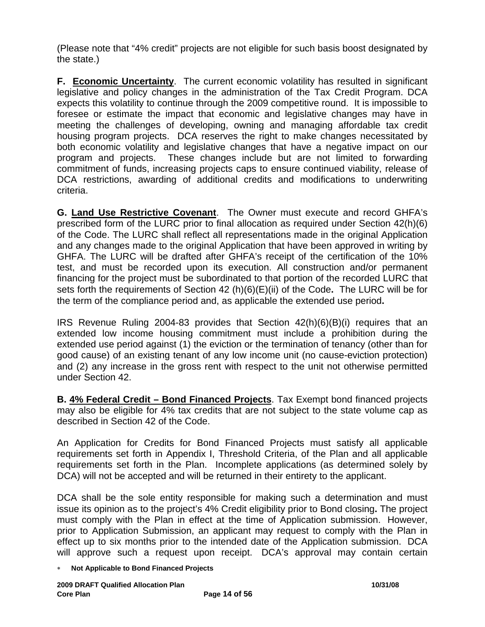(Please note that "4% credit" projects are not eligible for such basis boost designated by the state.)

**F. Economic Uncertainty**. The current economic volatility has resulted in significant legislative and policy changes in the administration of the Tax Credit Program. DCA expects this volatility to continue through the 2009 competitive round. It is impossible to foresee or estimate the impact that economic and legislative changes may have in meeting the challenges of developing, owning and managing affordable tax credit housing program projects. DCA reserves the right to make changes necessitated by both economic volatility and legislative changes that have a negative impact on our program and projects. These changes include but are not limited to forwarding commitment of funds, increasing projects caps to ensure continued viability, release of DCA restrictions, awarding of additional credits and modifications to underwriting criteria.

**G. Land Use Restrictive Covenant**. The Owner must execute and record GHFA's prescribed form of the LURC prior to final allocation as required under Section 42(h)(6) of the Code. The LURC shall reflect all representations made in the original Application and any changes made to the original Application that have been approved in writing by GHFA. The LURC will be drafted after GHFA's receipt of the certification of the 10% test, and must be recorded upon its execution. All construction and/or permanent financing for the project must be subordinated to that portion of the recorded LURC that sets forth the requirements of Section 42 (h)(6)(E)(ii) of the Code**.** The LURC will be for the term of the compliance period and, as applicable the extended use period**.** 

IRS Revenue Ruling 2004-83 provides that Section 42(h)(6)(B)(i) requires that an extended low income housing commitment must include a prohibition during the extended use period against (1) the eviction or the termination of tenancy (other than for good cause) of an existing tenant of any low income unit (no cause-eviction protection) and (2) any increase in the gross rent with respect to the unit not otherwise permitted under Section 42.

**B. 4% Federal Credit – Bond Financed Projects**. Tax Exempt bond financed projects may also be eligible for 4% tax credits that are not subject to the state volume cap as described in Section 42 of the Code.

An Application for Credits for Bond Financed Projects must satisfy all applicable requirements set forth in Appendix I, Threshold Criteria, of the Plan and all applicable requirements set forth in the Plan. Incomplete applications (as determined solely by DCA) will not be accepted and will be returned in their entirety to the applicant.

DCA shall be the sole entity responsible for making such a determination and must issue its opinion as to the project's 4% Credit eligibility prior to Bond closing**.** The project must comply with the Plan in effect at the time of Application submission. However, prior to Application Submission, an applicant may request to comply with the Plan in effect up to six months prior to the intended date of the Application submission. DCA will approve such a request upon receipt. DCA's approval may contain certain

∗ **Not Applicable to Bond Financed Projects**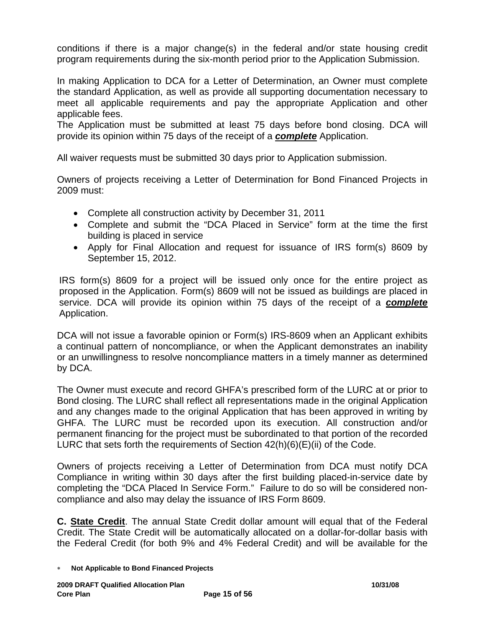conditions if there is a major change(s) in the federal and/or state housing credit program requirements during the six-month period prior to the Application Submission.

In making Application to DCA for a Letter of Determination, an Owner must complete the standard Application, as well as provide all supporting documentation necessary to meet all applicable requirements and pay the appropriate Application and other applicable fees.

The Application must be submitted at least 75 days before bond closing. DCA will provide its opinion within 75 days of the receipt of a *complete* Application.

All waiver requests must be submitted 30 days prior to Application submission.

Owners of projects receiving a Letter of Determination for Bond Financed Projects in 2009 must:

- Complete all construction activity by December 31, 2011
- Complete and submit the "DCA Placed in Service" form at the time the first building is placed in service
- Apply for Final Allocation and request for issuance of IRS form(s) 8609 by September 15, 2012.

IRS form(s) 8609 for a project will be issued only once for the entire project as proposed in the Application. Form(s) 8609 will not be issued as buildings are placed in service. DCA will provide its opinion within 75 days of the receipt of a *complete* Application.

DCA will not issue a favorable opinion or Form(s) IRS-8609 when an Applicant exhibits a continual pattern of noncompliance, or when the Applicant demonstrates an inability or an unwillingness to resolve noncompliance matters in a timely manner as determined by DCA.

The Owner must execute and record GHFA's prescribed form of the LURC at or prior to Bond closing. The LURC shall reflect all representations made in the original Application and any changes made to the original Application that has been approved in writing by GHFA. The LURC must be recorded upon its execution. All construction and/or permanent financing for the project must be subordinated to that portion of the recorded LURC that sets forth the requirements of Section 42(h)(6)(E)(ii) of the Code.

Owners of projects receiving a Letter of Determination from DCA must notify DCA Compliance in writing within 30 days after the first building placed-in-service date by completing the "DCA Placed In Service Form." Failure to do so will be considered noncompliance and also may delay the issuance of IRS Form 8609.

**C. State Credit**. The annual State Credit dollar amount will equal that of the Federal Credit. The State Credit will be automatically allocated on a dollar-for-dollar basis with the Federal Credit (for both 9% and 4% Federal Credit) and will be available for the

<sup>∗</sup> **Not Applicable to Bond Financed Projects**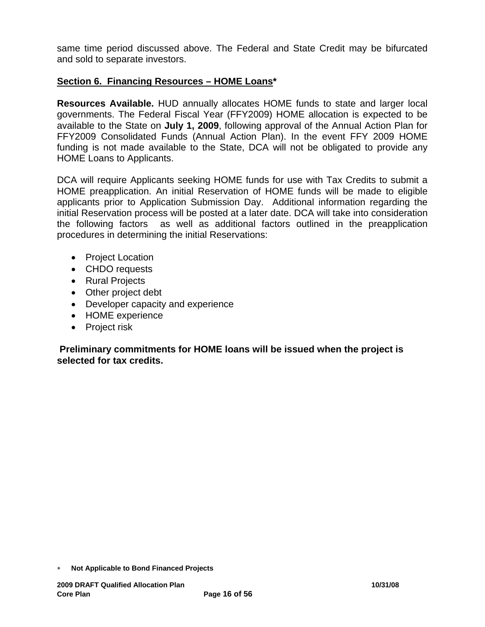same time period discussed above. The Federal and State Credit may be bifurcated and sold to separate investors.

# **Section 6. Financing Resources – HOME Loans\***

**Resources Available.** HUD annually allocates HOME funds to state and larger local governments. The Federal Fiscal Year (FFY2009) HOME allocation is expected to be available to the State on **July 1, 2009**, following approval of the Annual Action Plan for FFY2009 Consolidated Funds (Annual Action Plan). In the event FFY 2009 HOME funding is not made available to the State, DCA will not be obligated to provide any HOME Loans to Applicants.

DCA will require Applicants seeking HOME funds for use with Tax Credits to submit a HOME preapplication. An initial Reservation of HOME funds will be made to eligible applicants prior to Application Submission Day. Additional information regarding the initial Reservation process will be posted at a later date. DCA will take into consideration the following factors as well as additional factors outlined in the preapplication procedures in determining the initial Reservations:

- Project Location
- CHDO requests
- Rural Projects
- Other project debt
- Developer capacity and experience
- HOME experience
- Project risk

 **Preliminary commitments for HOME loans will be issued when the project is selected for tax credits.**

<sup>∗</sup> **Not Applicable to Bond Financed Projects**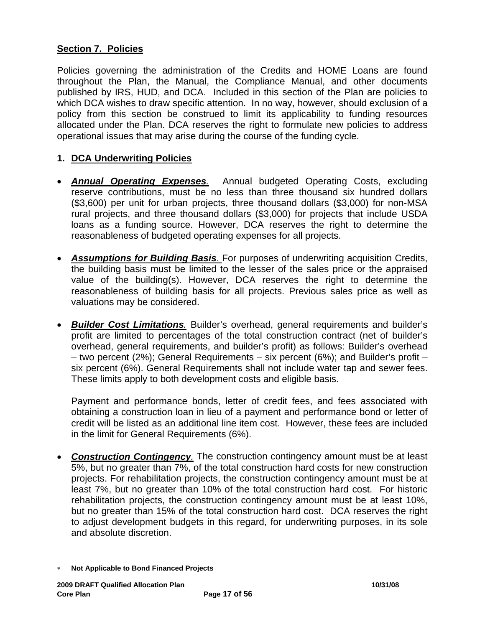# **Section 7. Policies**

Policies governing the administration of the Credits and HOME Loans are found throughout the Plan, the Manual, the Compliance Manual, and other documents published by IRS, HUD, and DCA. Included in this section of the Plan are policies to which DCA wishes to draw specific attention. In no way, however, should exclusion of a policy from this section be construed to limit its applicability to funding resources allocated under the Plan. DCA reserves the right to formulate new policies to address operational issues that may arise during the course of the funding cycle.

## **1. DCA Underwriting Policies**

- *Annual Operating Expenses.* Annual budgeted Operating Costs, excluding reserve contributions, must be no less than three thousand six hundred dollars (\$3,600) per unit for urban projects, three thousand dollars (\$3,000) for non-MSA rural projects, and three thousand dollars (\$3,000) for projects that include USDA loans as a funding source. However, DCA reserves the right to determine the reasonableness of budgeted operating expenses for all projects.
- *Assumptions for Building Basis*. For purposes of underwriting acquisition Credits, the building basis must be limited to the lesser of the sales price or the appraised value of the building(s). However, DCA reserves the right to determine the reasonableness of building basis for all projects. Previous sales price as well as valuations may be considered.
- *Builder Cost Limitations.* Builder's overhead, general requirements and builder's profit are limited to percentages of the total construction contract (net of builder's overhead, general requirements, and builder's profit) as follows: Builder's overhead – two percent (2%); General Requirements – six percent (6%); and Builder's profit – six percent (6%). General Requirements shall not include water tap and sewer fees. These limits apply to both development costs and eligible basis.

Payment and performance bonds, letter of credit fees, and fees associated with obtaining a construction loan in lieu of a payment and performance bond or letter of credit will be listed as an additional line item cost. However, these fees are included in the limit for General Requirements (6%).

- *Construction Contingency.* The construction contingency amount must be at least 5%, but no greater than 7%, of the total construction hard costs for new construction projects. For rehabilitation projects, the construction contingency amount must be at least 7%, but no greater than 10% of the total construction hard cost. For historic rehabilitation projects, the construction contingency amount must be at least 10%, but no greater than 15% of the total construction hard cost. DCA reserves the right to adjust development budgets in this regard, for underwriting purposes, in its sole and absolute discretion.
- ∗ **Not Applicable to Bond Financed Projects**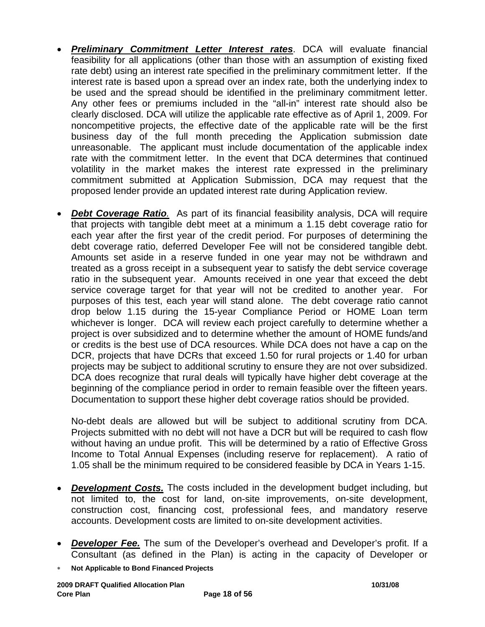- *Preliminary Commitment Letter Interest rates*. DCA will evaluate financial feasibility for all applications (other than those with an assumption of existing fixed rate debt) using an interest rate specified in the preliminary commitment letter. If the interest rate is based upon a spread over an index rate, both the underlying index to be used and the spread should be identified in the preliminary commitment letter. Any other fees or premiums included in the "all-in" interest rate should also be clearly disclosed. DCA will utilize the applicable rate effective as of April 1, 2009. For noncompetitive projects, the effective date of the applicable rate will be the first business day of the full month preceding the Application submission date unreasonable. The applicant must include documentation of the applicable index rate with the commitment letter. In the event that DCA determines that continued volatility in the market makes the interest rate expressed in the preliminary commitment submitted at Application Submission, DCA may request that the proposed lender provide an updated interest rate during Application review.
- *Debt Coverage Ratio.*As part of its financial feasibility analysis, DCA will require that projects with tangible debt meet at a minimum a 1.15 debt coverage ratio for each year after the first year of the credit period. For purposes of determining the debt coverage ratio, deferred Developer Fee will not be considered tangible debt. Amounts set aside in a reserve funded in one year may not be withdrawn and treated as a gross receipt in a subsequent year to satisfy the debt service coverage ratio in the subsequent year. Amounts received in one year that exceed the debt service coverage target for that year will not be credited to another year. For purposes of this test, each year will stand alone. The debt coverage ratio cannot drop below 1.15 during the 15-year Compliance Period or HOME Loan term whichever is longer. DCA will review each project carefully to determine whether a project is over subsidized and to determine whether the amount of HOME funds/and or credits is the best use of DCA resources. While DCA does not have a cap on the DCR, projects that have DCRs that exceed 1.50 for rural projects or 1.40 for urban projects may be subject to additional scrutiny to ensure they are not over subsidized. DCA does recognize that rural deals will typically have higher debt coverage at the beginning of the compliance period in order to remain feasible over the fifteen years. Documentation to support these higher debt coverage ratios should be provided.

No-debt deals are allowed but will be subject to additional scrutiny from DCA. Projects submitted with no debt will not have a DCR but will be required to cash flow without having an undue profit. This will be determined by a ratio of Effective Gross Income to Total Annual Expenses (including reserve for replacement). A ratio of 1.05 shall be the minimum required to be considered feasible by DCA in Years 1-15.

- *Development Costs.* The costs included in the development budget including, but not limited to, the cost for land, on-site improvements, on-site development, construction cost, financing cost, professional fees, and mandatory reserve accounts. Development costs are limited to on-site development activities.
- *Developer Fee.* The sum of the Developer's overhead and Developer's profit. If a Consultant (as defined in the Plan) is acting in the capacity of Developer or
- ∗ **Not Applicable to Bond Financed Projects**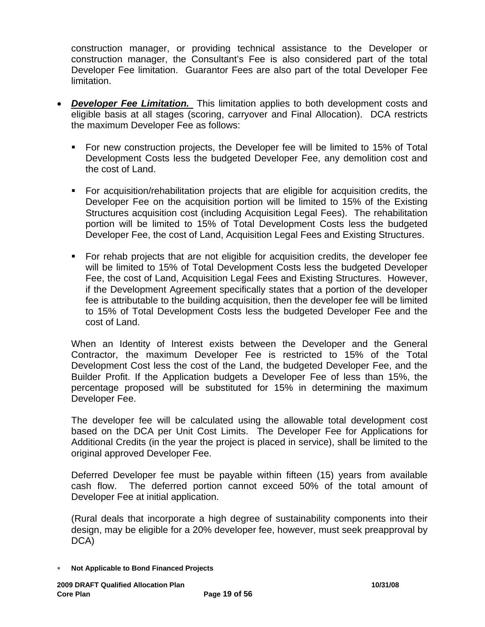construction manager, or providing technical assistance to the Developer or construction manager, the Consultant's Fee is also considered part of the total Developer Fee limitation. Guarantor Fees are also part of the total Developer Fee limitation.

- *Developer Fee Limitation.* This limitation applies to both development costs and eligible basis at all stages (scoring, carryover and Final Allocation).DCA restricts the maximum Developer Fee as follows:
	- For new construction projects, the Developer fee will be limited to 15% of Total Development Costs less the budgeted Developer Fee, any demolition cost and the cost of Land.
	- For acquisition/rehabilitation projects that are eligible for acquisition credits, the Developer Fee on the acquisition portion will be limited to 15% of the Existing Structures acquisition cost (including Acquisition Legal Fees). The rehabilitation portion will be limited to 15% of Total Development Costs less the budgeted Developer Fee, the cost of Land, Acquisition Legal Fees and Existing Structures.
	- For rehab projects that are not eligible for acquisition credits, the developer fee will be limited to 15% of Total Development Costs less the budgeted Developer Fee, the cost of Land, Acquisition Legal Fees and Existing Structures. However, if the Development Agreement specifically states that a portion of the developer fee is attributable to the building acquisition, then the developer fee will be limited to 15% of Total Development Costs less the budgeted Developer Fee and the cost of Land.

When an Identity of Interest exists between the Developer and the General Contractor, the maximum Developer Fee is restricted to 15% of the Total Development Cost less the cost of the Land, the budgeted Developer Fee, and the Builder Profit. If the Application budgets a Developer Fee of less than 15%, the percentage proposed will be substituted for 15% in determining the maximum Developer Fee.

The developer fee will be calculated using the allowable total development cost based on the DCA per Unit Cost Limits. The Developer Fee for Applications for Additional Credits (in the year the project is placed in service), shall be limited to the original approved Developer Fee.

Deferred Developer fee must be payable within fifteen (15) years from available cash flow. The deferred portion cannot exceed 50% of the total amount of Developer Fee at initial application.

(Rural deals that incorporate a high degree of sustainability components into their design, may be eligible for a 20% developer fee, however, must seek preapproval by DCA)

∗ **Not Applicable to Bond Financed Projects**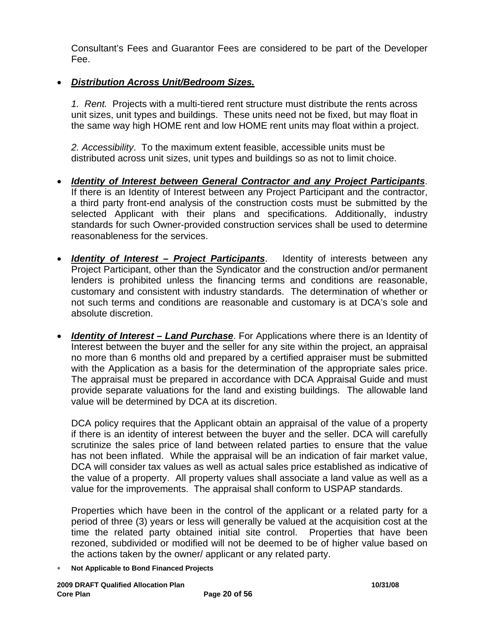Consultant's Fees and Guarantor Fees are considered to be part of the Developer Fee.

# • *Distribution Across Unit/Bedroom Sizes.*

*1. Rent.* Projects with a multi-tiered rent structure must distribute the rents across unit sizes, unit types and buildings. These units need not be fixed, but may float in the same way high HOME rent and low HOME rent units may float within a project.

*2. Accessibility*. To the maximum extent feasible, accessible units must be distributed across unit sizes, unit types and buildings so as not to limit choice.

- *Identity of Interest between General Contractor and any Project Participants*. If there is an Identity of Interest between any Project Participant and the contractor, a third party front-end analysis of the construction costs must be submitted by the selected Applicant with their plans and specifications. Additionally, industry standards for such Owner-provided construction services shall be used to determine reasonableness for the services.
- *Identity of Interest Project Participants*. Identity of interests between any Project Participant, other than the Syndicator and the construction and/or permanent lenders is prohibited unless the financing terms and conditions are reasonable, customary and consistent with industry standards. The determination of whether or not such terms and conditions are reasonable and customary is at DCA's sole and absolute discretion.
- *Identity of Interest Land Purchase*. For Applications where there is an Identity of Interest between the buyer and the seller for any site within the project, an appraisal no more than 6 months old and prepared by a certified appraiser must be submitted with the Application as a basis for the determination of the appropriate sales price. The appraisal must be prepared in accordance with DCA Appraisal Guide and must provide separate valuations for the land and existing buildings. The allowable land value will be determined by DCA at its discretion.

DCA policy requires that the Applicant obtain an appraisal of the value of a property if there is an identity of interest between the buyer and the seller. DCA will carefully scrutinize the sales price of land between related parties to ensure that the value has not been inflated. While the appraisal will be an indication of fair market value, DCA will consider tax values as well as actual sales price established as indicative of the value of a property. All property values shall associate a land value as well as a value for the improvements. The appraisal shall conform to USPAP standards.

Properties which have been in the control of the applicant or a related party for a period of three (3) years or less will generally be valued at the acquisition cost at the time the related party obtained initial site control. Properties that have been rezoned, subdivided or modified will not be deemed to be of higher value based on the actions taken by the owner/ applicant or any related party.

∗ **Not Applicable to Bond Financed Projects**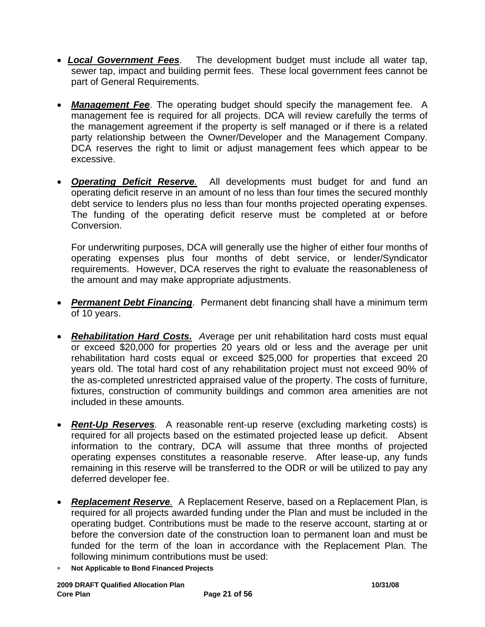- *Local Government Fees*. The development budget must include all water tap, sewer tap, impact and building permit fees. These local government fees cannot be part of General Requirements.
- *Management Fee*. The operating budget should specify the management fee. A management fee is required for all projects. DCA will review carefully the terms of the management agreement if the property is self managed or if there is a related party relationship between the Owner/Developer and the Management Company. DCA reserves the right to limit or adjust management fees which appear to be excessive.
- *Operating Deficit Reserve.* All developments must budget for and fund an operating deficit reserve in an amount of no less than four times the secured monthly debt service to lenders plus no less than four months projected operating expenses. The funding of the operating deficit reserve must be completed at or before Conversion.

For underwriting purposes, DCA will generally use the higher of either four months of operating expenses plus four months of debt service, or lender/Syndicator requirements. However, DCA reserves the right to evaluate the reasonableness of the amount and may make appropriate adjustments.

- *Permanent Debt Financing*. Permanent debt financing shall have a minimum term of 10 years.
- *Rehabilitation Hard Costs. A*verage per unit rehabilitation hard costs must equal or exceed \$20,000 for properties 20 years old or less and the average per unit rehabilitation hard costs equal or exceed \$25,000 for properties that exceed 20 years old. The total hard cost of any rehabilitation project must not exceed 90% of the as-completed unrestricted appraised value of the property. The costs of furniture, fixtures, construction of community buildings and common area amenities are not included in these amounts.
- *Rent-Up Reserves.* A reasonable rent-up reserve (excluding marketing costs) is required for all projects based on the estimated projected lease up deficit. Absent information to the contrary, DCA will assume that three months of projected operating expenses constitutes a reasonable reserve. After lease-up, any funds remaining in this reserve will be transferred to the ODR or will be utilized to pay any deferred developer fee.
- *Replacement Reserve.* A Replacement Reserve, based on a Replacement Plan, is required for all projects awarded funding under the Plan and must be included in the operating budget. Contributions must be made to the reserve account, starting at or before the conversion date of the construction loan to permanent loan and must be funded for the term of the loan in accordance with the Replacement Plan. The following minimum contributions must be used:
- ∗ **Not Applicable to Bond Financed Projects**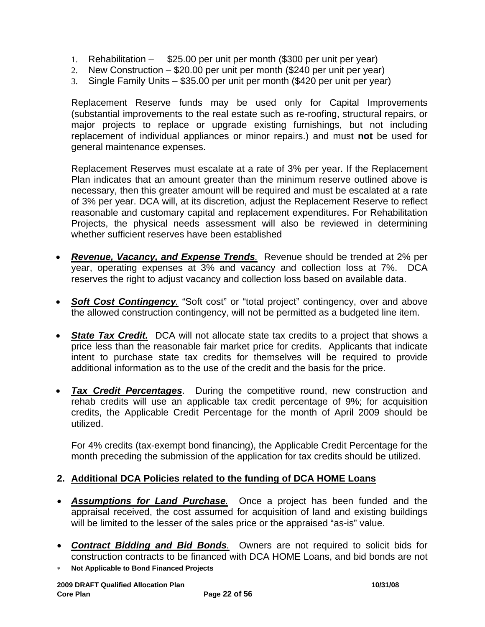- 1. Rehabilitation \$25.00 per unit per month (\$300 per unit per year)
- 2. New Construction \$20.00 per unit per month (\$240 per unit per year)
- 3. Single Family Units \$35.00 per unit per month (\$420 per unit per year)

Replacement Reserve funds may be used only for Capital Improvements (substantial improvements to the real estate such as re-roofing, structural repairs, or major projects to replace or upgrade existing furnishings, but not including replacement of individual appliances or minor repairs.) and must **not** be used for general maintenance expenses.

Replacement Reserves must escalate at a rate of 3% per year. If the Replacement Plan indicates that an amount greater than the minimum reserve outlined above is necessary, then this greater amount will be required and must be escalated at a rate of 3% per year. DCA will, at its discretion, adjust the Replacement Reserve to reflect reasonable and customary capital and replacement expenditures. For Rehabilitation Projects, the physical needs assessment will also be reviewed in determining whether sufficient reserves have been established

- *Revenue, Vacancy, and Expense Trends.* Revenue should be trended at 2% per year, operating expenses at 3% and vacancy and collection loss at 7%. DCA reserves the right to adjust vacancy and collection loss based on available data.
- **Soft Cost Contingency**. "Soft cost" or "total project" contingency, over and above the allowed construction contingency, will not be permitted as a budgeted line item.
- **State Tax Credit.** DCA will not allocate state tax credits to a project that shows a price less than the reasonable fair market price for credits. Applicants that indicate intent to purchase state tax credits for themselves will be required to provide additional information as to the use of the credit and the basis for the price.
- *Tax Credit Percentages*. During the competitive round, new construction and rehab credits will use an applicable tax credit percentage of 9%; for acquisition credits, the Applicable Credit Percentage for the month of April 2009 should be utilized.

For 4% credits (tax-exempt bond financing), the Applicable Credit Percentage for the month preceding the submission of the application for tax credits should be utilized.

### **2. Additional DCA Policies related to the funding of DCA HOME Loans**

- *Assumptions for Land Purchase.*Once a project has been funded and the appraisal received, the cost assumed for acquisition of land and existing buildings will be limited to the lesser of the sales price or the appraised "as-is" value.
- *Contract Bidding and Bid Bonds.* Owners are not required to solicit bids for construction contracts to be financed with DCA HOME Loans, and bid bonds are not
- ∗ **Not Applicable to Bond Financed Projects**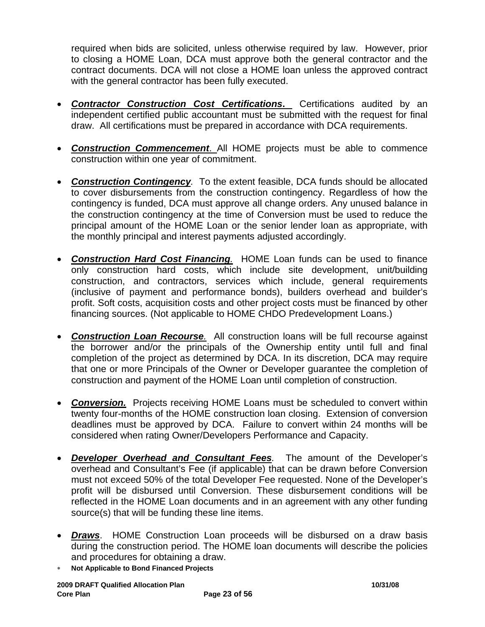required when bids are solicited, unless otherwise required by law. However, prior to closing a HOME Loan, DCA must approve both the general contractor and the contract documents. DCA will not close a HOME loan unless the approved contract with the general contractor has been fully executed.

- *Contractor Construction Cost Certifications***.** Certifications audited by an independent certified public accountant must be submitted with the request for final draw. All certifications must be prepared in accordance with DCA requirements.
- *Construction Commencement*. All HOME projects must be able to commence construction within one year of commitment.
- *Construction Contingency.* To the extent feasible, DCA funds should be allocated to cover disbursements from the construction contingency. Regardless of how the contingency is funded, DCA must approve all change orders. Any unused balance in the construction contingency at the time of Conversion must be used to reduce the principal amount of the HOME Loan or the senior lender loan as appropriate, with the monthly principal and interest payments adjusted accordingly.
- *Construction Hard Cost Financing.* HOME Loan funds can be used to finance only construction hard costs, which include site development, unit/building construction, and contractors, services which include, general requirements (inclusive of payment and performance bonds), builders overhead and builder's profit. Soft costs, acquisition costs and other project costs must be financed by other financing sources. (Not applicable to HOME CHDO Predevelopment Loans.)
- *Construction Loan Recourse.* All construction loans will be full recourse against the borrower and/or the principals of the Ownership entity until full and final completion of the project as determined by DCA. In its discretion, DCA may require that one or more Principals of the Owner or Developer guarantee the completion of construction and payment of the HOME Loan until completion of construction.
- **Conversion.** Projects receiving HOME Loans must be scheduled to convert within twenty four-months of the HOME construction loan closing. Extension of conversion deadlines must be approved by DCA. Failure to convert within 24 months will be considered when rating Owner/Developers Performance and Capacity.
- *Developer Overhead and Consultant Fees.*The amount of the Developer's overhead and Consultant's Fee (if applicable) that can be drawn before Conversion must not exceed 50% of the total Developer Fee requested. None of the Developer's profit will be disbursed until Conversion. These disbursement conditions will be reflected in the HOME Loan documents and in an agreement with any other funding source(s) that will be funding these line items.
- *Draws*. HOME Construction Loan proceeds will be disbursed on a draw basis during the construction period. The HOME loan documents will describe the policies and procedures for obtaining a draw.
- ∗ **Not Applicable to Bond Financed Projects**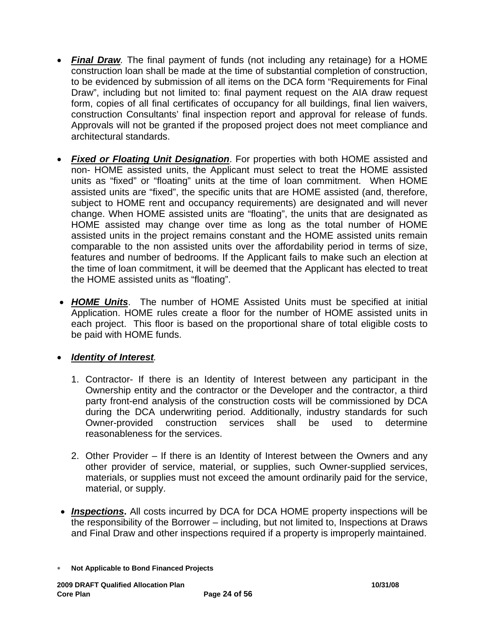- *Final Draw.* The final payment of funds (not including any retainage) for a HOME construction loan shall be made at the time of substantial completion of construction, to be evidenced by submission of all items on the DCA form "Requirements for Final Draw", including but not limited to: final payment request on the AIA draw request form, copies of all final certificates of occupancy for all buildings, final lien waivers, construction Consultants' final inspection report and approval for release of funds. Approvals will not be granted if the proposed project does not meet compliance and architectural standards.
- *Fixed or Floating Unit Designation*. For properties with both HOME assisted and non- HOME assisted units, the Applicant must select to treat the HOME assisted units as "fixed" or "floating" units at the time of loan commitment. When HOME assisted units are "fixed", the specific units that are HOME assisted (and, therefore, subject to HOME rent and occupancy requirements) are designated and will never change. When HOME assisted units are "floating", the units that are designated as HOME assisted may change over time as long as the total number of HOME assisted units in the project remains constant and the HOME assisted units remain comparable to the non assisted units over the affordability period in terms of size, features and number of bedrooms. If the Applicant fails to make such an election at the time of loan commitment, it will be deemed that the Applicant has elected to treat the HOME assisted units as "floating".
- *HOME Units*. The number of HOME Assisted Units must be specified at initial Application. HOME rules create a floor for the number of HOME assisted units in each project. This floor is based on the proportional share of total eligible costs to be paid with HOME funds.

# • *Identity of Interest.*

- 1. Contractor- If there is an Identity of Interest between any participant in the Ownership entity and the contractor or the Developer and the contractor, a third party front-end analysis of the construction costs will be commissioned by DCA during the DCA underwriting period. Additionally, industry standards for such Owner-provided construction services shall be used to determine reasonableness for the services.
- 2. Other Provider If there is an Identity of Interest between the Owners and any other provider of service, material, or supplies, such Owner-supplied services, materials, or supplies must not exceed the amount ordinarily paid for the service, material, or supply.
- *Inspections***.** All costs incurred by DCA for DCA HOME property inspections will be the responsibility of the Borrower – including, but not limited to, Inspections at Draws and Final Draw and other inspections required if a property is improperly maintained.

<sup>∗</sup> **Not Applicable to Bond Financed Projects**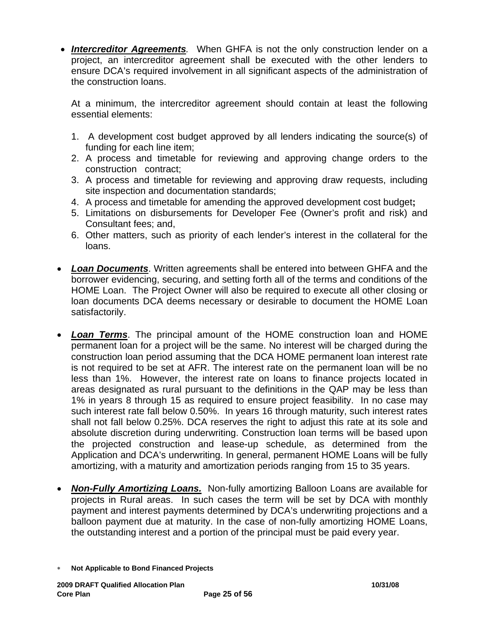• *Intercreditor Agreements.* When GHFA is not the only construction lender on a project, an intercreditor agreement shall be executed with the other lenders to ensure DCA's required involvement in all significant aspects of the administration of the construction loans.

At a minimum, the intercreditor agreement should contain at least the following essential elements:

- 1. A development cost budget approved by all lenders indicating the source(s) of funding for each line item;
- 2. A process and timetable for reviewing and approving change orders to the construction contract;
- 3. A process and timetable for reviewing and approving draw requests, including site inspection and documentation standards;
- 4. A process and timetable for amending the approved development cost budget**;**
- 5. Limitations on disbursements for Developer Fee (Owner's profit and risk) and Consultant fees; and,
- 6. Other matters, such as priority of each lender's interest in the collateral for the loans.
- *Loan Documents*. Written agreements shall be entered into between GHFA and the borrower evidencing, securing, and setting forth all of the terms and conditions of the HOME Loan. The Project Owner will also be required to execute all other closing or loan documents DCA deems necessary or desirable to document the HOME Loan satisfactorily.
- *Loan Terms*. The principal amount of the HOME construction loan and HOME permanent loan for a project will be the same. No interest will be charged during the construction loan period assuming that the DCA HOME permanent loan interest rate is not required to be set at AFR. The interest rate on the permanent loan will be no less than 1%. However, the interest rate on loans to finance projects located in areas designated as rural pursuant to the definitions in the QAP may be less than 1% in years 8 through 15 as required to ensure project feasibility. In no case may such interest rate fall below 0.50%. In years 16 through maturity, such interest rates shall not fall below 0.25%. DCA reserves the right to adjust this rate at its sole and absolute discretion during underwriting. Construction loan terms will be based upon the projected construction and lease-up schedule, as determined from the Application and DCA's underwriting. In general, permanent HOME Loans will be fully amortizing, with a maturity and amortization periods ranging from 15 to 35 years.
- *Non-Fully Amortizing Loans.* Non-fully amortizing Balloon Loans are available for projects in Rural areas. In such cases the term will be set by DCA with monthly payment and interest payments determined by DCA's underwriting projections and a balloon payment due at maturity. In the case of non-fully amortizing HOME Loans, the outstanding interest and a portion of the principal must be paid every year.

<sup>∗</sup> **Not Applicable to Bond Financed Projects**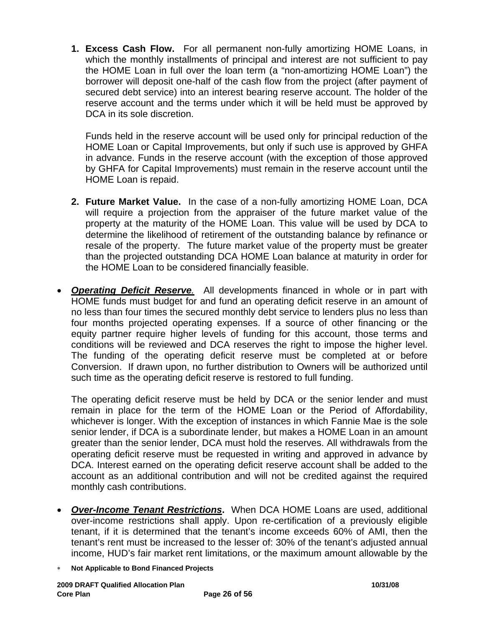**1. Excess Cash Flow.** For all permanent non-fully amortizing HOME Loans, in which the monthly installments of principal and interest are not sufficient to pay the HOME Loan in full over the loan term (a "non-amortizing HOME Loan") the borrower will deposit one-half of the cash flow from the project (after payment of secured debt service) into an interest bearing reserve account. The holder of the reserve account and the terms under which it will be held must be approved by DCA in its sole discretion.

Funds held in the reserve account will be used only for principal reduction of the HOME Loan or Capital Improvements, but only if such use is approved by GHFA in advance. Funds in the reserve account (with the exception of those approved by GHFA for Capital Improvements) must remain in the reserve account until the HOME Loan is repaid.

- **2. Future Market Value.** In the case of a non-fully amortizing HOME Loan, DCA will require a projection from the appraiser of the future market value of the property at the maturity of the HOME Loan. This value will be used by DCA to determine the likelihood of retirement of the outstanding balance by refinance or resale of the property. The future market value of the property must be greater than the projected outstanding DCA HOME Loan balance at maturity in order for the HOME Loan to be considered financially feasible.
- *Operating Deficit Reserve.* All developments financed in whole or in part with HOME funds must budget for and fund an operating deficit reserve in an amount of no less than four times the secured monthly debt service to lenders plus no less than four months projected operating expenses. If a source of other financing or the equity partner require higher levels of funding for this account, those terms and conditions will be reviewed and DCA reserves the right to impose the higher level. The funding of the operating deficit reserve must be completed at or before Conversion. If drawn upon, no further distribution to Owners will be authorized until such time as the operating deficit reserve is restored to full funding.

The operating deficit reserve must be held by DCA or the senior lender and must remain in place for the term of the HOME Loan or the Period of Affordability, whichever is longer. With the exception of instances in which Fannie Mae is the sole senior lender, if DCA is a subordinate lender, but makes a HOME Loan in an amount greater than the senior lender, DCA must hold the reserves. All withdrawals from the operating deficit reserve must be requested in writing and approved in advance by DCA. Interest earned on the operating deficit reserve account shall be added to the account as an additional contribution and will not be credited against the required monthly cash contributions.

- *Over-Income Tenant Restrictions***.** When DCA HOME Loans are used, additional over-income restrictions shall apply. Upon re-certification of a previously eligible tenant, if it is determined that the tenant's income exceeds 60% of AMI, then the tenant's rent must be increased to the lesser of: 30% of the tenant's adjusted annual income, HUD's fair market rent limitations, or the maximum amount allowable by the
- ∗ **Not Applicable to Bond Financed Projects**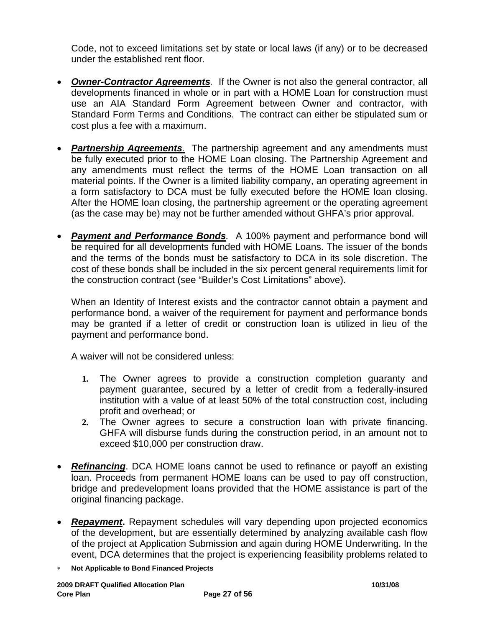Code, not to exceed limitations set by state or local laws (if any) or to be decreased under the established rent floor.

- *Owner-Contractor Agreements.* If the Owner is not also the general contractor, all developments financed in whole or in part with a HOME Loan for construction must use an AIA Standard Form Agreement between Owner and contractor, with Standard Form Terms and Conditions. The contract can either be stipulated sum or cost plus a fee with a maximum.
- *Partnership Agreements.* The partnership agreement and any amendments must be fully executed prior to the HOME Loan closing. The Partnership Agreement and any amendments must reflect the terms of the HOME Loan transaction on all material points. If the Owner is a limited liability company, an operating agreement in a form satisfactory to DCA must be fully executed before the HOME loan closing. After the HOME loan closing, the partnership agreement or the operating agreement (as the case may be) may not be further amended without GHFA's prior approval.
- *Payment and Performance Bonds.*A 100% payment and performance bond will be required for all developments funded with HOME Loans. The issuer of the bonds and the terms of the bonds must be satisfactory to DCA in its sole discretion. The cost of these bonds shall be included in the six percent general requirements limit for the construction contract (see "Builder's Cost Limitations" above).

When an Identity of Interest exists and the contractor cannot obtain a payment and performance bond, a waiver of the requirement for payment and performance bonds may be granted if a letter of credit or construction loan is utilized in lieu of the payment and performance bond.

A waiver will not be considered unless:

- **1.** The Owner agrees to provide a construction completion guaranty and payment guarantee, secured by a letter of credit from a federally-insured institution with a value of at least 50% of the total construction cost, including profit and overhead; or
- **2.** The Owner agrees to secure a construction loan with private financing. GHFA will disburse funds during the construction period, in an amount not to exceed \$10,000 per construction draw.
- *Refinancing*. DCA HOME loans cannot be used to refinance or payoff an existing loan. Proceeds from permanent HOME loans can be used to pay off construction, bridge and predevelopment loans provided that the HOME assistance is part of the original financing package.
- *Repayment***.** Repayment schedules will vary depending upon projected economics of the development, but are essentially determined by analyzing available cash flow of the project at Application Submission and again during HOME Underwriting. In the event, DCA determines that the project is experiencing feasibility problems related to
- ∗ **Not Applicable to Bond Financed Projects**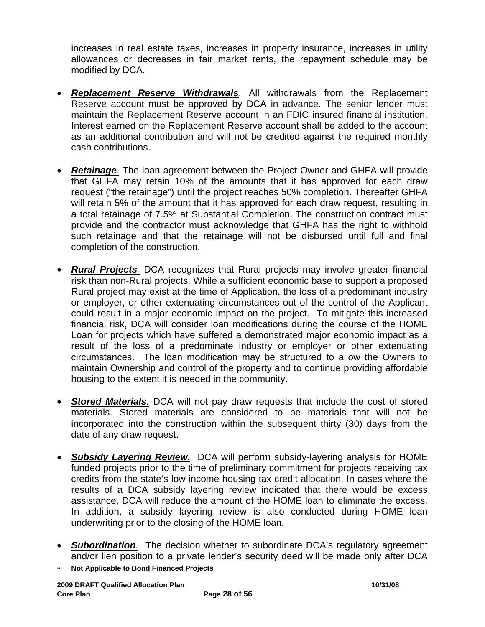increases in real estate taxes, increases in property insurance, increases in utility allowances or decreases in fair market rents, the repayment schedule may be modified by DCA.

- *Replacement Reserve Withdrawals*. All withdrawals from the Replacement Reserve account must be approved by DCA in advance. The senior lender must maintain the Replacement Reserve account in an FDIC insured financial institution. Interest earned on the Replacement Reserve account shall be added to the account as an additional contribution and will not be credited against the required monthly cash contributions.
- *Retainage.* The loan agreement between the Project Owner and GHFA will provide that GHFA may retain 10% of the amounts that it has approved for each draw request ("the retainage") until the project reaches 50% completion. Thereafter GHFA will retain 5% of the amount that it has approved for each draw request, resulting in a total retainage of 7.5% at Substantial Completion. The construction contract must provide and the contractor must acknowledge that GHFA has the right to withhold such retainage and that the retainage will not be disbursed until full and final completion of the construction.
- *Rural Projects.* DCA recognizes that Rural projects may involve greater financial risk than non-Rural projects. While a sufficient economic base to support a proposed Rural project may exist at the time of Application, the loss of a predominant industry or employer, or other extenuating circumstances out of the control of the Applicant could result in a major economic impact on the project. To mitigate this increased financial risk, DCA will consider loan modifications during the course of the HOME Loan for projects which have suffered a demonstrated major economic impact as a result of the loss of a predominate industry or employer or other extenuating circumstances. The loan modification may be structured to allow the Owners to maintain Ownership and control of the property and to continue providing affordable housing to the extent it is needed in the community.
- *Stored Materials.* DCA will not pay draw requests that include the cost of stored materials. Stored materials are considered to be materials that will not be incorporated into the construction within the subsequent thirty (30) days from the date of any draw request.
- *Subsidy Layering Review.* DCA will perform subsidy-layering analysis for HOME funded projects prior to the time of preliminary commitment for projects receiving tax credits from the state's low income housing tax credit allocation. In cases where the results of a DCA subsidy layering review indicated that there would be excess assistance, DCA will reduce the amount of the HOME loan to eliminate the excess. In addition, a subsidy layering review is also conducted during HOME loan underwriting prior to the closing of the HOME loan.
- *Subordination.* The decision whether to subordinate DCA's regulatory agreement and/or lien position to a private lender's security deed will be made only after DCA
- ∗ **Not Applicable to Bond Financed Projects**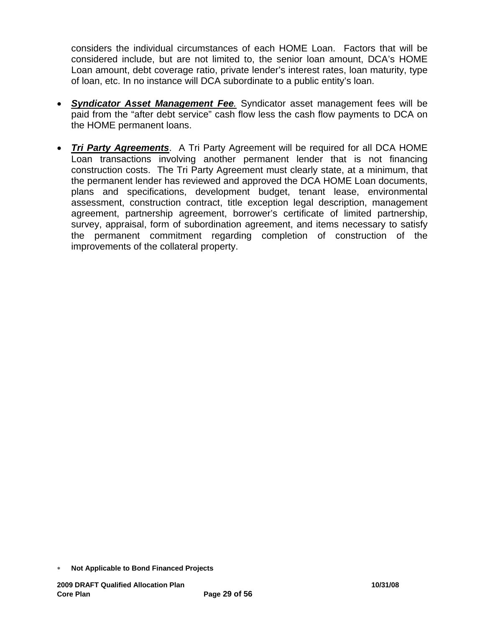considers the individual circumstances of each HOME Loan. Factors that will be considered include, but are not limited to, the senior loan amount, DCA's HOME Loan amount, debt coverage ratio, private lender's interest rates, loan maturity, type of loan, etc. In no instance will DCA subordinate to a public entity's loan.

- *Syndicator Asset Management Fee.* Syndicator asset management fees will be paid from the "after debt service" cash flow less the cash flow payments to DCA on the HOME permanent loans.
- *Tri Party Agreements*. A Tri Party Agreement will be required for all DCA HOME Loan transactions involving another permanent lender that is not financing construction costs. The Tri Party Agreement must clearly state, at a minimum, that the permanent lender has reviewed and approved the DCA HOME Loan documents, plans and specifications, development budget, tenant lease, environmental assessment, construction contract, title exception legal description, management agreement, partnership agreement, borrower's certificate of limited partnership, survey, appraisal, form of subordination agreement, and items necessary to satisfy the permanent commitment regarding completion of construction of the improvements of the collateral property.

<sup>∗</sup> **Not Applicable to Bond Financed Projects**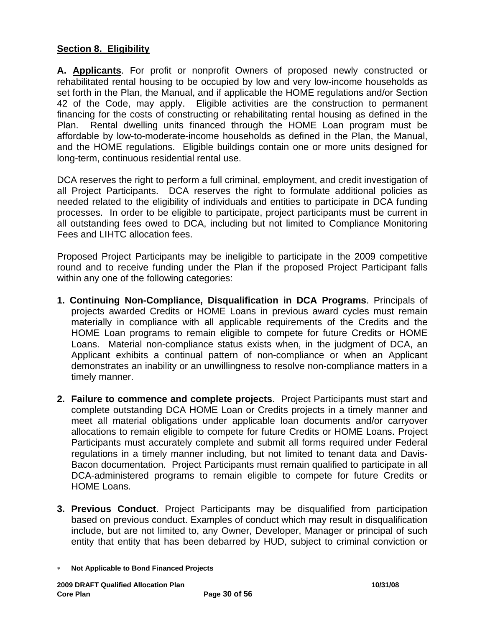# **Section 8. Eligibility**

**A. Applicants**. For profit or nonprofit Owners of proposed newly constructed or rehabilitated rental housing to be occupied by low and very low-income households as set forth in the Plan, the Manual, and if applicable the HOME regulations and/or Section 42 of the Code, may apply. Eligible activities are the construction to permanent financing for the costs of constructing or rehabilitating rental housing as defined in the Plan. Rental dwelling units financed through the HOME Loan program must be affordable by low-to-moderate-income households as defined in the Plan, the Manual, and the HOME regulations. Eligible buildings contain one or more units designed for long-term, continuous residential rental use.

DCA reserves the right to perform a full criminal, employment, and credit investigation of all Project Participants. DCA reserves the right to formulate additional policies as needed related to the eligibility of individuals and entities to participate in DCA funding processes. In order to be eligible to participate, project participants must be current in all outstanding fees owed to DCA, including but not limited to Compliance Monitoring Fees and LIHTC allocation fees.

Proposed Project Participants may be ineligible to participate in the 2009 competitive round and to receive funding under the Plan if the proposed Project Participant falls within any one of the following categories:

- **1. Continuing Non-Compliance, Disqualification in DCA Programs**. Principals of projects awarded Credits or HOME Loans in previous award cycles must remain materially in compliance with all applicable requirements of the Credits and the HOME Loan programs to remain eligible to compete for future Credits or HOME Loans. Material non-compliance status exists when, in the judgment of DCA, an Applicant exhibits a continual pattern of non-compliance or when an Applicant demonstrates an inability or an unwillingness to resolve non-compliance matters in a timely manner.
- **2. Failure to commence and complete projects**.Project Participants must start and complete outstanding DCA HOME Loan or Credits projects in a timely manner and meet all material obligations under applicable loan documents and/or carryover allocations to remain eligible to compete for future Credits or HOME Loans. Project Participants must accurately complete and submit all forms required under Federal regulations in a timely manner including, but not limited to tenant data and Davis-Bacon documentation. Project Participants must remain qualified to participate in all DCA-administered programs to remain eligible to compete for future Credits or HOME Loans.
- **3. Previous Conduct**. Project Participants may be disqualified from participation based on previous conduct. Examples of conduct which may result in disqualification include, but are not limited to, any Owner, Developer, Manager or principal of such entity that entity that has been debarred by HUD, subject to criminal conviction or

<sup>∗</sup> **Not Applicable to Bond Financed Projects**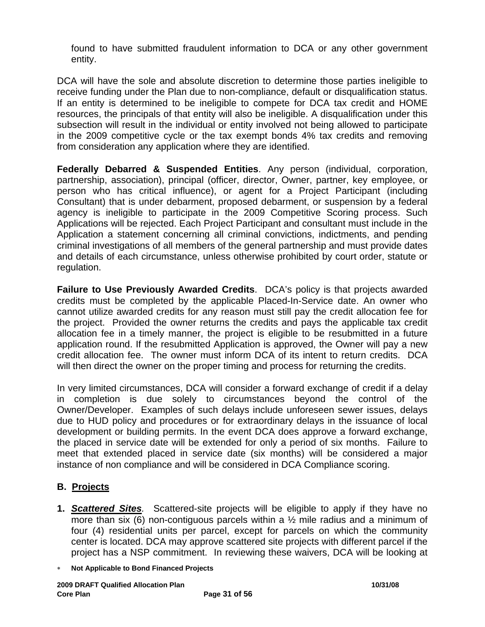found to have submitted fraudulent information to DCA or any other government entity.

DCA will have the sole and absolute discretion to determine those parties ineligible to receive funding under the Plan due to non-compliance, default or disqualification status. If an entity is determined to be ineligible to compete for DCA tax credit and HOME resources, the principals of that entity will also be ineligible. A disqualification under this subsection will result in the individual or entity involved not being allowed to participate in the 2009 competitive cycle or the tax exempt bonds 4% tax credits and removing from consideration any application where they are identified.

**Federally Debarred & Suspended Entities**. Any person (individual, corporation, partnership, association), principal (officer, director, Owner, partner, key employee, or person who has critical influence), or agent for a Project Participant (including Consultant) that is under debarment, proposed debarment, or suspension by a federal agency is ineligible to participate in the 2009 Competitive Scoring process. Such Applications will be rejected. Each Project Participant and consultant must include in the Application a statement concerning all criminal convictions, indictments, and pending criminal investigations of all members of the general partnership and must provide dates and details of each circumstance, unless otherwise prohibited by court order, statute or regulation.

**Failure to Use Previously Awarded Credits**.DCA's policy is that projects awarded credits must be completed by the applicable Placed-In-Service date. An owner who cannot utilize awarded credits for any reason must still pay the credit allocation fee for the project. Provided the owner returns the credits and pays the applicable tax credit allocation fee in a timely manner, the project is eligible to be resubmitted in a future application round. If the resubmitted Application is approved, the Owner will pay a new credit allocation fee. The owner must inform DCA of its intent to return credits. DCA will then direct the owner on the proper timing and process for returning the credits.

In very limited circumstances, DCA will consider a forward exchange of credit if a delay in completion is due solely to circumstances beyond the control of the Owner/Developer. Examples of such delays include unforeseen sewer issues, delays due to HUD policy and procedures or for extraordinary delays in the issuance of local development or building permits. In the event DCA does approve a forward exchange, the placed in service date will be extended for only a period of six months. Failure to meet that extended placed in service date (six months) will be considered a major instance of non compliance and will be considered in DCA Compliance scoring.

# **B. Projects**

- **1.** *Scattered Sites.* Scattered-site projects will be eligible to apply if they have no more than six (6) non-contiguous parcels within a  $\frac{1}{2}$  mile radius and a minimum of four (4) residential units per parcel, except for parcels on which the community center is located. DCA may approve scattered site projects with different parcel if the project has a NSP commitment. In reviewing these waivers, DCA will be looking at
- ∗ **Not Applicable to Bond Financed Projects**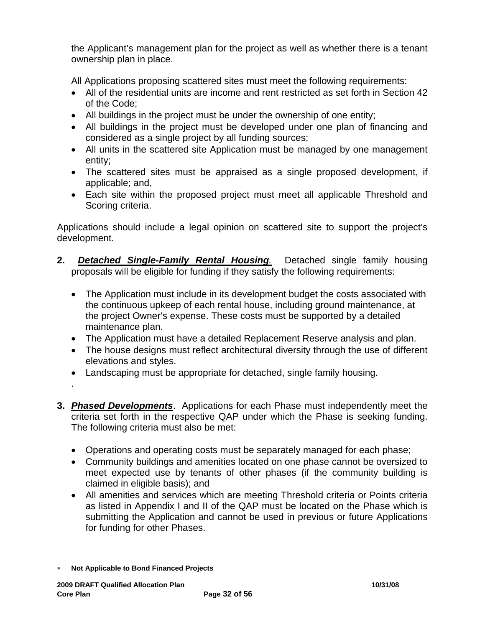the Applicant's management plan for the project as well as whether there is a tenant ownership plan in place.

All Applications proposing scattered sites must meet the following requirements:

- All of the residential units are income and rent restricted as set forth in Section 42 of the Code;
- All buildings in the project must be under the ownership of one entity;
- All buildings in the project must be developed under one plan of financing and considered as a single project by all funding sources;
- All units in the scattered site Application must be managed by one management entity;
- The scattered sites must be appraised as a single proposed development, if applicable; and,
- Each site within the proposed project must meet all applicable Threshold and Scoring criteria.

Applications should include a legal opinion on scattered site to support the project's development.

- **2.** *Detached Single-Family Rental Housing.* Detached single family housing proposals will be eligible for funding if they satisfy the following requirements:
	- The Application must include in its development budget the costs associated with the continuous upkeep of each rental house, including ground maintenance, at the project Owner's expense. These costs must be supported by a detailed maintenance plan.
	- The Application must have a detailed Replacement Reserve analysis and plan.
	- The house designs must reflect architectural diversity through the use of different elevations and styles.
	- Landscaping must be appropriate for detached, single family housing.
	- .
- **3.** *Phased Developments*. Applications for each Phase must independently meet the criteria set forth in the respective QAP under which the Phase is seeking funding. The following criteria must also be met:
	- Operations and operating costs must be separately managed for each phase;
	- Community buildings and amenities located on one phase cannot be oversized to meet expected use by tenants of other phases (if the community building is claimed in eligible basis); and
	- All amenities and services which are meeting Threshold criteria or Points criteria as listed in Appendix I and II of the QAP must be located on the Phase which is submitting the Application and cannot be used in previous or future Applications for funding for other Phases.
- ∗ **Not Applicable to Bond Financed Projects**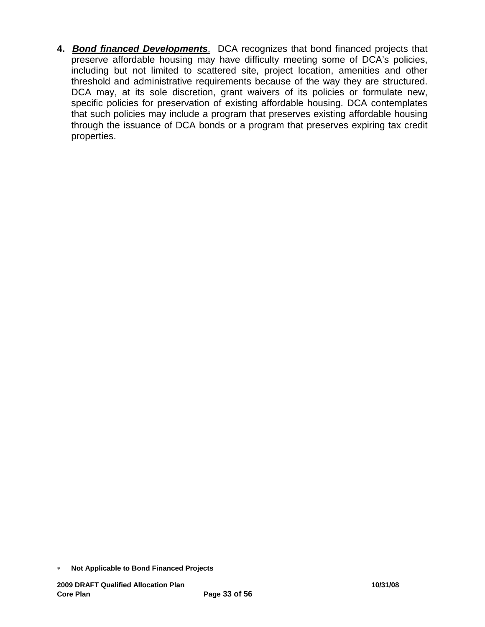**4.** *Bond financed Developments*. DCA recognizes that bond financed projects that preserve affordable housing may have difficulty meeting some of DCA's policies, including but not limited to scattered site, project location, amenities and other threshold and administrative requirements because of the way they are structured. DCA may, at its sole discretion, grant waivers of its policies or formulate new, specific policies for preservation of existing affordable housing. DCA contemplates that such policies may include a program that preserves existing affordable housing through the issuance of DCA bonds or a program that preserves expiring tax credit properties.

<sup>∗</sup> **Not Applicable to Bond Financed Projects**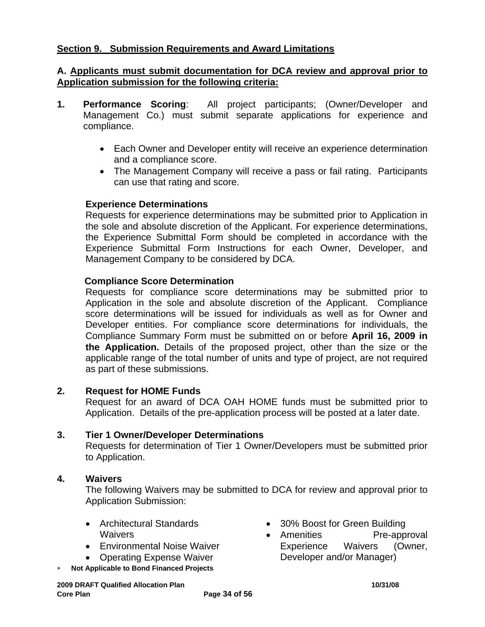# **Section 9. Submission Requirements and Award Limitations**

### **A. Applicants must submit documentation for DCA review and approval prior to Application submission for the following criteria:**

- **1. Performance Scoring**: All project participants; (Owner/Developer and Management Co.) must submit separate applications for experience and compliance.
	- Each Owner and Developer entity will receive an experience determination and a compliance score.
	- The Management Company will receive a pass or fail rating. Participants can use that rating and score.

### **Experience Determinations**

Requests for experience determinations may be submitted prior to Application in the sole and absolute discretion of the Applicant. For experience determinations, the Experience Submittal Form should be completed in accordance with the Experience Submittal Form Instructions for each Owner, Developer, and Management Company to be considered by DCA.

### **Compliance Score Determination**

Requests for compliance score determinations may be submitted prior to Application in the sole and absolute discretion of the Applicant. Compliance score determinations will be issued for individuals as well as for Owner and Developer entities. For compliance score determinations for individuals, the Compliance Summary Form must be submitted on or before **April 16, 2009 in the Application.** Details of the proposed project, other than the size or the applicable range of the total number of units and type of project, are not required as part of these submissions.

### **2. Request for HOME Funds**

Request for an award of DCA OAH HOME funds must be submitted prior to Application. Details of the pre-application process will be posted at a later date.

#### **3. Tier 1 Owner/Developer Determinations**

Requests for determination of Tier 1 Owner/Developers must be submitted prior to Application.

#### **4. Waivers**

The following Waivers may be submitted to DCA for review and approval prior to Application Submission:

- Architectural Standards **Waivers**
- Environmental Noise Waiver
- Operating Expense Waiver
- **Not Applicable to Bond Financed Projects**
- 30% Boost for Green Building
- Amenities Pre-approval Experience Waivers (Owner, Developer and/or Manager)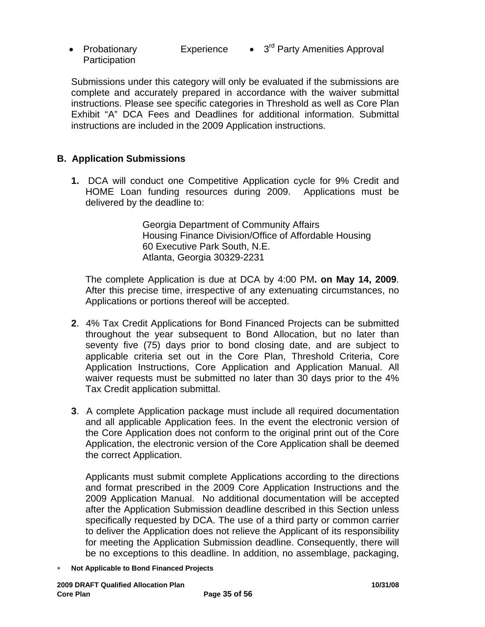• Probationary Experience **Participation** • 3<sup>rd</sup> Party Amenities Approval

Submissions under this category will only be evaluated if the submissions are complete and accurately prepared in accordance with the waiver submittal instructions. Please see specific categories in Threshold as well as Core Plan Exhibit "A" DCA Fees and Deadlines for additional information. Submittal instructions are included in the 2009 Application instructions.

## **B. Application Submissions**

**1.** DCA will conduct one Competitive Application cycle for 9% Credit and HOME Loan funding resources during 2009. Applications must be delivered by the deadline to:

> Georgia Department of Community Affairs Housing Finance Division/Office of Affordable Housing 60 Executive Park South, N.E. Atlanta, Georgia 30329-2231

The complete Application is due at DCA by 4:00 PM**. on May 14, 2009**. After this precise time, irrespective of any extenuating circumstances, no Applications or portions thereof will be accepted.

- **2**. 4% Tax Credit Applications for Bond Financed Projects can be submitted throughout the year subsequent to Bond Allocation, but no later than seventy five (75) days prior to bond closing date, and are subject to applicable criteria set out in the Core Plan, Threshold Criteria, Core Application Instructions, Core Application and Application Manual. All waiver requests must be submitted no later than 30 days prior to the 4% Tax Credit application submittal.
- **3**. A complete Application package must include all required documentation and all applicable Application fees. In the event the electronic version of the Core Application does not conform to the original print out of the Core Application, the electronic version of the Core Application shall be deemed the correct Application.

Applicants must submit complete Applications according to the directions and format prescribed in the 2009 Core Application Instructions and the 2009 Application Manual.No additional documentation will be accepted after the Application Submission deadline described in this Section unless specifically requested by DCA. The use of a third party or common carrier to deliver the Application does not relieve the Applicant of its responsibility for meeting the Application Submission deadline. Consequently, there will be no exceptions to this deadline. In addition, no assemblage, packaging,

∗ **Not Applicable to Bond Financed Projects**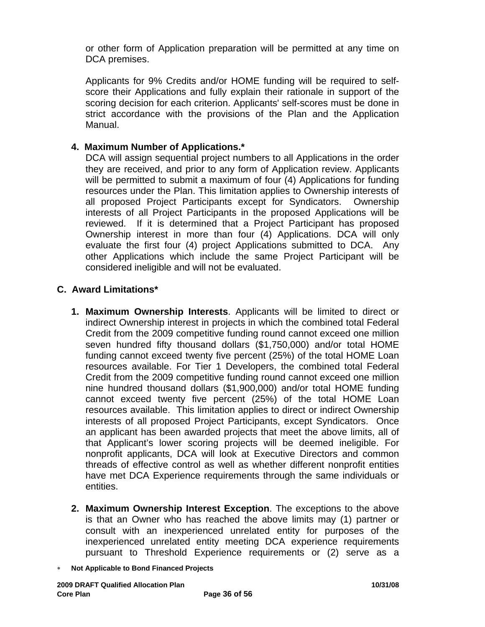or other form of Application preparation will be permitted at any time on DCA premises.

Applicants for 9% Credits and/or HOME funding will be required to selfscore their Applications and fully explain their rationale in support of the scoring decision for each criterion. Applicants' self-scores must be done in strict accordance with the provisions of the Plan and the Application Manual.

### **4. Maximum Number of Applications.\***

DCA will assign sequential project numbers to all Applications in the order they are received, and prior to any form of Application review. Applicants will be permitted to submit a maximum of four (4) Applications for funding resources under the Plan. This limitation applies to Ownership interests of all proposed Project Participants except for Syndicators. Ownership interests of all Project Participants in the proposed Applications will be reviewed. If it is determined that a Project Participant has proposed Ownership interest in more than four (4) Applications. DCA will only evaluate the first four (4) project Applications submitted to DCA. Any other Applications which include the same Project Participant will be considered ineligible and will not be evaluated.

### **C. Award Limitations\***

- **1. Maximum Ownership Interests**. Applicants will be limited to direct or indirect Ownership interest in projects in which the combined total Federal Credit from the 2009 competitive funding round cannot exceed one million seven hundred fifty thousand dollars (\$1,750,000) and/or total HOME funding cannot exceed twenty five percent (25%) of the total HOME Loan resources available. For Tier 1 Developers, the combined total Federal Credit from the 2009 competitive funding round cannot exceed one million nine hundred thousand dollars (\$1,900,000) and/or total HOME funding cannot exceed twenty five percent (25%) of the total HOME Loan resources available. This limitation applies to direct or indirect Ownership interests of all proposed Project Participants, except Syndicators. Once an applicant has been awarded projects that meet the above limits, all of that Applicant's lower scoring projects will be deemed ineligible. For nonprofit applicants, DCA will look at Executive Directors and common threads of effective control as well as whether different nonprofit entities have met DCA Experience requirements through the same individuals or entities.
- **2. Maximum Ownership Interest Exception**. The exceptions to the above is that an Owner who has reached the above limits may (1) partner or consult with an inexperienced unrelated entity for purposes of the inexperienced unrelated entity meeting DCA experience requirements pursuant to Threshold Experience requirements or (2) serve as a
- ∗ **Not Applicable to Bond Financed Projects**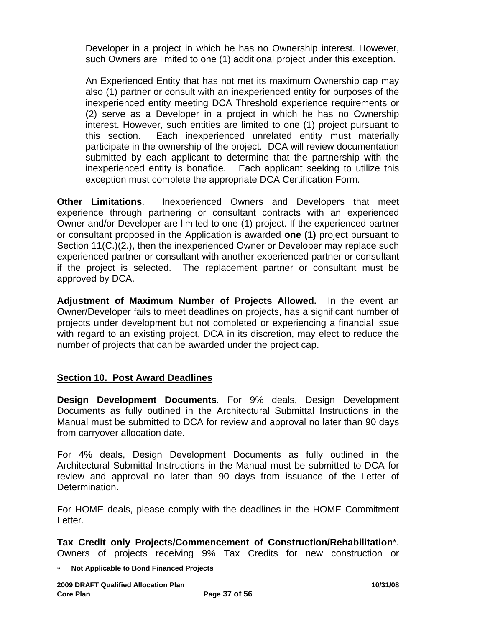Developer in a project in which he has no Ownership interest. However, such Owners are limited to one (1) additional project under this exception.

An Experienced Entity that has not met its maximum Ownership cap may also (1) partner or consult with an inexperienced entity for purposes of the inexperienced entity meeting DCA Threshold experience requirements or (2) serve as a Developer in a project in which he has no Ownership interest. However, such entities are limited to one (1) project pursuant to this section. Each inexperienced unrelated entity must materially participate in the ownership of the project. DCA will review documentation submitted by each applicant to determine that the partnership with the inexperienced entity is bonafide. Each applicant seeking to utilize this exception must complete the appropriate DCA Certification Form.

**Other Limitations**. Inexperienced Owners and Developers that meet experience through partnering or consultant contracts with an experienced Owner and/or Developer are limited to one (1) project. If the experienced partner or consultant proposed in the Application is awarded **one (1)** project pursuant to Section 11(C.)(2.), then the inexperienced Owner or Developer may replace such experienced partner or consultant with another experienced partner or consultant if the project is selected. The replacement partner or consultant must be approved by DCA.

**Adjustment of Maximum Number of Projects Allowed.** In the event an Owner/Developer fails to meet deadlines on projects, has a significant number of projects under development but not completed or experiencing a financial issue with regard to an existing project, DCA in its discretion, may elect to reduce the number of projects that can be awarded under the project cap.

## **Section 10. Post Award Deadlines**

**Design Development Documents**. For 9% deals, Design Development Documents as fully outlined in the Architectural Submittal Instructions in the Manual must be submitted to DCA for review and approval no later than 90 days from carryover allocation date.

For 4% deals, Design Development Documents as fully outlined in the Architectural Submittal Instructions in the Manual must be submitted to DCA for review and approval no later than 90 days from issuance of the Letter of Determination.

For HOME deals, please comply with the deadlines in the HOME Commitment Letter.

**Tax Credit only Projects/Commencement of Construction/Rehabilitation**\*. Owners of projects receiving 9% Tax Credits for new construction or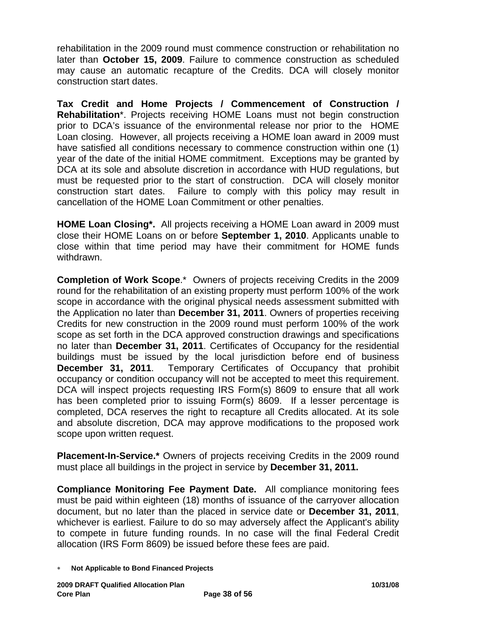rehabilitation in the 2009 round must commence construction or rehabilitation no later than **October 15, 2009**. Failure to commence construction as scheduled may cause an automatic recapture of the Credits. DCA will closely monitor construction start dates.

**Tax Credit and Home Projects / Commencement of Construction / Rehabilitation**\*. Projects receiving HOME Loans must not begin construction prior to DCA's issuance of the environmental release nor prior to the HOME Loan closing. However, all projects receiving a HOME loan award in 2009 must have satisfied all conditions necessary to commence construction within one (1) year of the date of the initial HOME commitment. Exceptions may be granted by DCA at its sole and absolute discretion in accordance with HUD regulations, but must be requested prior to the start of construction. DCA will closely monitor construction start dates. Failure to comply with this policy may result in cancellation of the HOME Loan Commitment or other penalties.

**HOME Loan Closing\*.** All projects receiving a HOME Loan award in 2009 must close their HOME Loans on or before **September 1, 2010**. Applicants unable to close within that time period may have their commitment for HOME funds withdrawn.

**Completion of Work Scope**.\* Owners of projects receiving Credits in the 2009 round for the rehabilitation of an existing property must perform 100% of the work scope in accordance with the original physical needs assessment submitted with the Application no later than **December 31, 2011**. Owners of properties receiving Credits for new construction in the 2009 round must perform 100% of the work scope as set forth in the DCA approved construction drawings and specifications no later than **December 31, 2011**. Certificates of Occupancy for the residential buildings must be issued by the local jurisdiction before end of business **December 31, 2011**. Temporary Certificates of Occupancy that prohibit occupancy or condition occupancy will not be accepted to meet this requirement. DCA will inspect projects requesting IRS Form(s) 8609 to ensure that all work has been completed prior to issuing Form(s) 8609. If a lesser percentage is completed, DCA reserves the right to recapture all Credits allocated. At its sole and absolute discretion, DCA may approve modifications to the proposed work scope upon written request.

**Placement-In-Service.\*** Owners of projects receiving Credits in the 2009 round must place all buildings in the project in service by **December 31, 2011.**

**Compliance Monitoring Fee Payment Date.** All compliance monitoring fees must be paid within eighteen (18) months of issuance of the carryover allocation document, but no later than the placed in service date or **December 31, 2011**, whichever is earliest. Failure to do so may adversely affect the Applicant's ability to compete in future funding rounds. In no case will the final Federal Credit allocation (IRS Form 8609) be issued before these fees are paid.

<sup>∗</sup> **Not Applicable to Bond Financed Projects**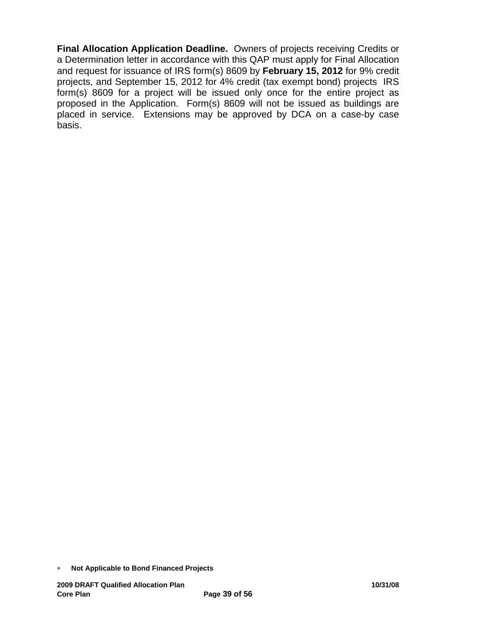**Final Allocation Application Deadline.** Owners of projects receiving Credits or a Determination letter in accordance with this QAP must apply for Final Allocation and request for issuance of IRS form(s) 8609 by **February 15, 2012** for 9% credit projects, and September 15, 2012 for 4% credit (tax exempt bond) projects IRS form(s) 8609 for a project will be issued only once for the entire project as proposed in the Application. Form(s) 8609 will not be issued as buildings are placed in service. Extensions may be approved by DCA on a case-by case basis.

<sup>∗</sup> **Not Applicable to Bond Financed Projects**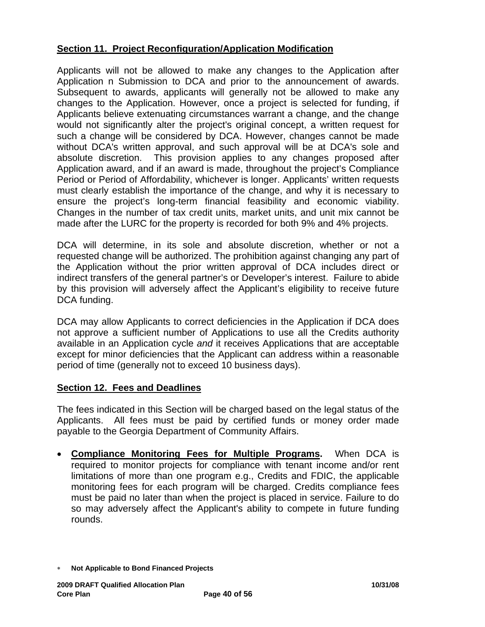## **Section 11. Project Reconfiguration/Application Modification**

Applicants will not be allowed to make any changes to the Application after Application n Submission to DCA and prior to the announcement of awards. Subsequent to awards, applicants will generally not be allowed to make any changes to the Application. However, once a project is selected for funding, if Applicants believe extenuating circumstances warrant a change, and the change would not significantly alter the project's original concept, a written request for such a change will be considered by DCA. However, changes cannot be made without DCA's written approval, and such approval will be at DCA's sole and absolute discretion. This provision applies to any changes proposed after Application award, and if an award is made, throughout the project's Compliance Period or Period of Affordability, whichever is longer. Applicants' written requests must clearly establish the importance of the change, and why it is necessary to ensure the project's long-term financial feasibility and economic viability. Changes in the number of tax credit units, market units, and unit mix cannot be made after the LURC for the property is recorded for both 9% and 4% projects.

DCA will determine, in its sole and absolute discretion, whether or not a requested change will be authorized. The prohibition against changing any part of the Application without the prior written approval of DCA includes direct or indirect transfers of the general partner's or Developer's interest. Failure to abide by this provision will adversely affect the Applicant's eligibility to receive future DCA funding.

DCA may allow Applicants to correct deficiencies in the Application if DCA does not approve a sufficient number of Applications to use all the Credits authority available in an Application cycle *and* it receives Applications that are acceptable except for minor deficiencies that the Applicant can address within a reasonable period of time (generally not to exceed 10 business days).

## **Section 12. Fees and Deadlines**

The fees indicated in this Section will be charged based on the legal status of the Applicants. All fees must be paid by certified funds or money order made payable to the Georgia Department of Community Affairs.

• **Compliance Monitoring Fees for Multiple Programs.** When DCA is required to monitor projects for compliance with tenant income and/or rent limitations of more than one program e.g., Credits and FDIC, the applicable monitoring fees for each program will be charged. Credits compliance fees must be paid no later than when the project is placed in service. Failure to do so may adversely affect the Applicant's ability to compete in future funding rounds.

<sup>∗</sup> **Not Applicable to Bond Financed Projects**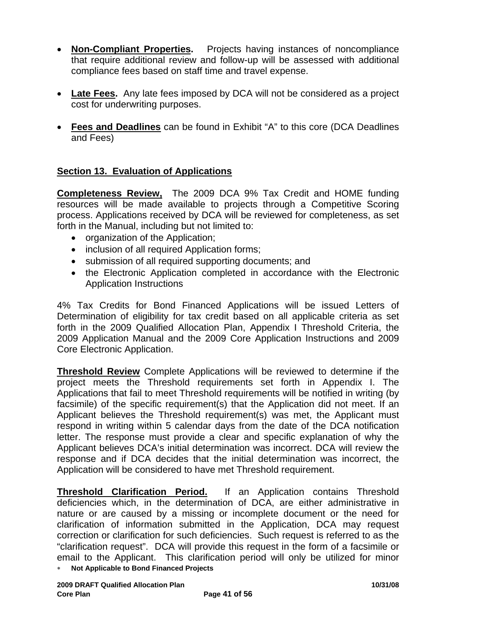- **Non-Compliant Properties.** Projects having instances of noncompliance that require additional review and follow-up will be assessed with additional compliance fees based on staff time and travel expense.
- **Late Fees.** Any late fees imposed by DCA will not be considered as a project cost for underwriting purposes.
- **Fees and Deadlines** can be found in Exhibit "A" to this core (DCA Deadlines and Fees)

## **Section 13. Evaluation of Applications**

**Completeness Review,** The 2009 DCA 9% Tax Credit and HOME funding resources will be made available to projects through a Competitive Scoring process. Applications received by DCA will be reviewed for completeness, as set forth in the Manual, including but not limited to:

- organization of the Application;
- inclusion of all required Application forms;
- submission of all required supporting documents; and
- the Electronic Application completed in accordance with the Electronic Application Instructions

4% Tax Credits for Bond Financed Applications will be issued Letters of Determination of eligibility for tax credit based on all applicable criteria as set forth in the 2009 Qualified Allocation Plan, Appendix I Threshold Criteria, the 2009 Application Manual and the 2009 Core Application Instructions and 2009 Core Electronic Application.

**Threshold Review** Complete Applications will be reviewed to determine if the project meets the Threshold requirements set forth in Appendix I. The Applications that fail to meet Threshold requirements will be notified in writing (by facsimile) of the specific requirement(s) that the Application did not meet. If an Applicant believes the Threshold requirement(s) was met, the Applicant must respond in writing within 5 calendar days from the date of the DCA notification letter. The response must provide a clear and specific explanation of why the Applicant believes DCA's initial determination was incorrect. DCA will review the response and if DCA decides that the initial determination was incorrect, the Application will be considered to have met Threshold requirement.

**Threshold Clarification Period.** If an Application contains Threshold deficiencies which, in the determination of DCA, are either administrative in nature or are caused by a missing or incomplete document or the need for clarification of information submitted in the Application, DCA may request correction or clarification for such deficiencies. Such request is referred to as the "clarification request". DCA will provide this request in the form of a facsimile or email to the Applicant. This clarification period will only be utilized for minor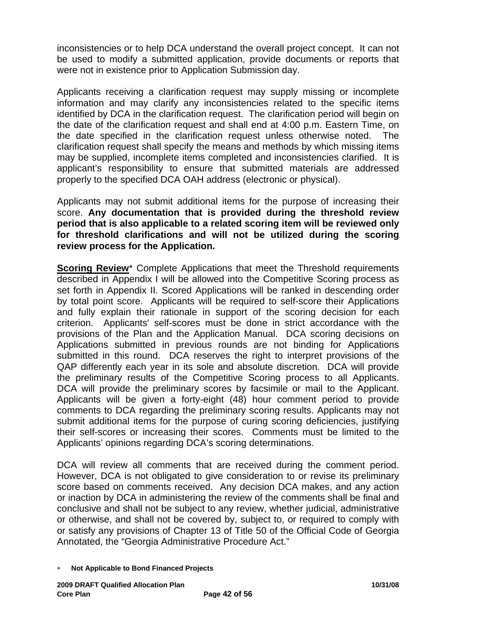inconsistencies or to help DCA understand the overall project concept. It can not be used to modify a submitted application, provide documents or reports that were not in existence prior to Application Submission day.

Applicants receiving a clarification request may supply missing or incomplete information and may clarify any inconsistencies related to the specific items identified by DCA in the clarification request. The clarification period will begin on the date of the clarification request and shall end at 4:00 p.m. Eastern Time, on the date specified in the clarification request unless otherwise noted. The clarification request shall specify the means and methods by which missing items may be supplied, incomplete items completed and inconsistencies clarified. It is applicant's responsibility to ensure that submitted materials are addressed properly to the specified DCA OAH address (electronic or physical).

Applicants may not submit additional items for the purpose of increasing their score. **Any documentation that is provided during the threshold review period that is also applicable to a related scoring item will be reviewed only for threshold clarifications and will not be utilized during the scoring review process for the Application.** 

**Scoring Review\*** Complete Applications that meet the Threshold requirements described in Appendix I will be allowed into the Competitive Scoring process as set forth in Appendix II. Scored Applications will be ranked in descending order by total point score. Applicants will be required to self-score their Applications and fully explain their rationale in support of the scoring decision for each criterion. Applicants' self-scores must be done in strict accordance with the provisions of the Plan and the Application Manual. DCA scoring decisions on Applications submitted in previous rounds are not binding for Applications submitted in this round. DCA reserves the right to interpret provisions of the QAP differently each year in its sole and absolute discretion. DCA will provide the preliminary results of the Competitive Scoring process to all Applicants. DCA will provide the preliminary scores by facsimile or mail to the Applicant. Applicants will be given a forty-eight (48) hour comment period to provide comments to DCA regarding the preliminary scoring results. Applicants may not submit additional items for the purpose of curing scoring deficiencies, justifying their self-scores or increasing their scores. Comments must be limited to the Applicants' opinions regarding DCA's scoring determinations.

DCA will review all comments that are received during the comment period. However, DCA is not obligated to give consideration to or revise its preliminary score based on comments received. Any decision DCA makes, and any action or inaction by DCA in administering the review of the comments shall be final and conclusive and shall not be subject to any review, whether judicial, administrative or otherwise, and shall not be covered by, subject to, or required to comply with or satisfy any provisions of Chapter 13 of Title 50 of the Official Code of Georgia Annotated, the "Georgia Administrative Procedure Act."

<sup>∗</sup> **Not Applicable to Bond Financed Projects**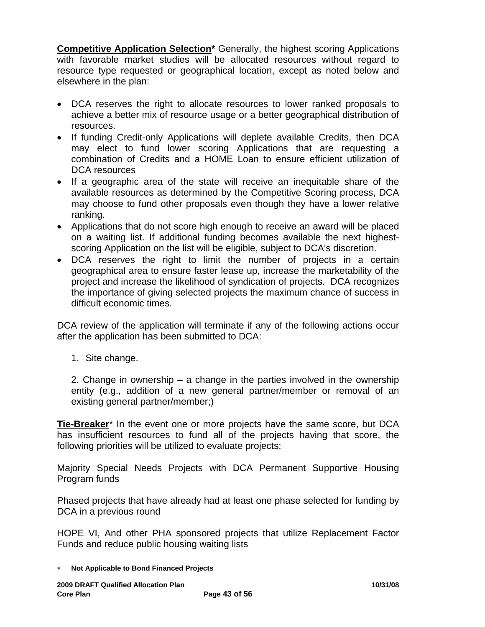**Competitive Application Selection\*** Generally, the highest scoring Applications with favorable market studies will be allocated resources without regard to resource type requested or geographical location, except as noted below and elsewhere in the plan:

- DCA reserves the right to allocate resources to lower ranked proposals to achieve a better mix of resource usage or a better geographical distribution of resources.
- If funding Credit-only Applications will deplete available Credits, then DCA may elect to fund lower scoring Applications that are requesting a combination of Credits and a HOME Loan to ensure efficient utilization of DCA resources
- If a geographic area of the state will receive an inequitable share of the available resources as determined by the Competitive Scoring process, DCA may choose to fund other proposals even though they have a lower relative ranking.
- Applications that do not score high enough to receive an award will be placed on a waiting list. If additional funding becomes available the next highestscoring Application on the list will be eligible, subject to DCA's discretion.
- DCA reserves the right to limit the number of projects in a certain geographical area to ensure faster lease up, increase the marketability of the project and increase the likelihood of syndication of projects. DCA recognizes the importance of giving selected projects the maximum chance of success in difficult economic times.

DCA review of the application will terminate if any of the following actions occur after the application has been submitted to DCA:

1. Site change.

2. Change in ownership – a change in the parties involved in the ownership entity (e.g., addition of a new general partner/member or removal of an existing general partner/member;)

**Tie-Breaker**\* In the event one or more projects have the same score, but DCA has insufficient resources to fund all of the projects having that score, the following priorities will be utilized to evaluate projects:

Majority Special Needs Projects with DCA Permanent Supportive Housing Program funds

Phased projects that have already had at least one phase selected for funding by DCA in a previous round

HOPE VI, And other PHA sponsored projects that utilize Replacement Factor Funds and reduce public housing waiting lists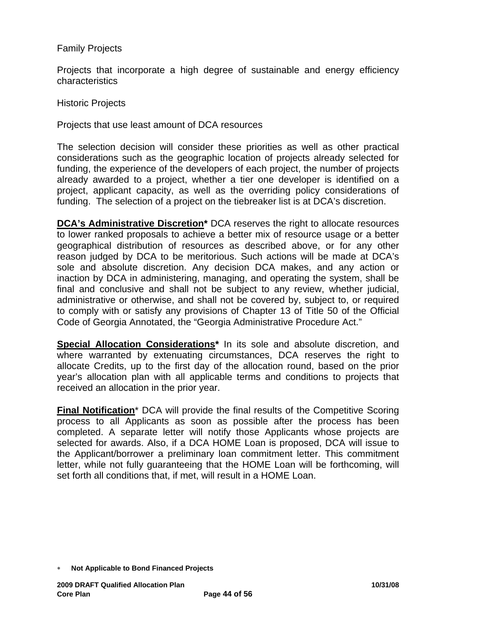#### Family Projects

Projects that incorporate a high degree of sustainable and energy efficiency characteristics

Historic Projects

Projects that use least amount of DCA resources

The selection decision will consider these priorities as well as other practical considerations such as the geographic location of projects already selected for funding, the experience of the developers of each project, the number of projects already awarded to a project, whether a tier one developer is identified on a project, applicant capacity, as well as the overriding policy considerations of funding. The selection of a project on the tiebreaker list is at DCA's discretion.

**DCA's Administrative Discretion\*** DCA reserves the right to allocate resources to lower ranked proposals to achieve a better mix of resource usage or a better geographical distribution of resources as described above, or for any other reason judged by DCA to be meritorious. Such actions will be made at DCA's sole and absolute discretion. Any decision DCA makes, and any action or inaction by DCA in administering, managing, and operating the system, shall be final and conclusive and shall not be subject to any review, whether judicial, administrative or otherwise, and shall not be covered by, subject to, or required to comply with or satisfy any provisions of Chapter 13 of Title 50 of the Official Code of Georgia Annotated, the "Georgia Administrative Procedure Act."

**Special Allocation Considerations\*** In its sole and absolute discretion, and where warranted by extenuating circumstances, DCA reserves the right to allocate Credits, up to the first day of the allocation round, based on the prior year's allocation plan with all applicable terms and conditions to projects that received an allocation in the prior year.

**Final Notification**\* DCA will provide the final results of the Competitive Scoring process to all Applicants as soon as possible after the process has been completed. A separate letter will notify those Applicants whose projects are selected for awards. Also, if a DCA HOME Loan is proposed, DCA will issue to the Applicant/borrower a preliminary loan commitment letter. This commitment letter, while not fully guaranteeing that the HOME Loan will be forthcoming, will set forth all conditions that, if met, will result in a HOME Loan.

<sup>∗</sup> **Not Applicable to Bond Financed Projects**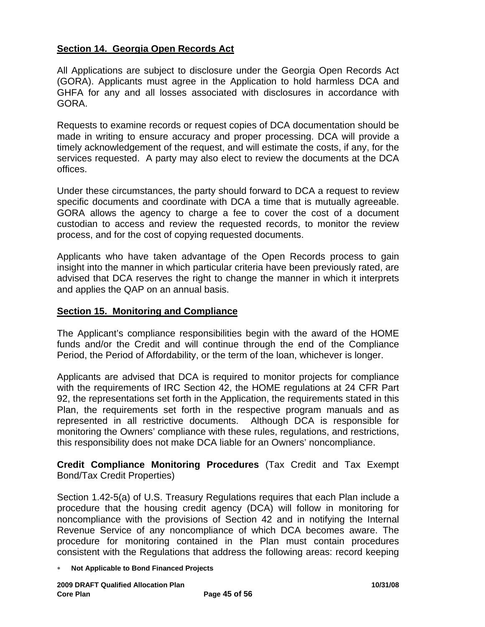## **Section 14. Georgia Open Records Act**

All Applications are subject to disclosure under the Georgia Open Records Act (GORA). Applicants must agree in the Application to hold harmless DCA and GHFA for any and all losses associated with disclosures in accordance with GORA.

Requests to examine records or request copies of DCA documentation should be made in writing to ensure accuracy and proper processing. DCA will provide a timely acknowledgement of the request, and will estimate the costs, if any, for the services requested. A party may also elect to review the documents at the DCA offices.

Under these circumstances, the party should forward to DCA a request to review specific documents and coordinate with DCA a time that is mutually agreeable. GORA allows the agency to charge a fee to cover the cost of a document custodian to access and review the requested records, to monitor the review process, and for the cost of copying requested documents.

Applicants who have taken advantage of the Open Records process to gain insight into the manner in which particular criteria have been previously rated, are advised that DCA reserves the right to change the manner in which it interprets and applies the QAP on an annual basis.

## **Section 15. Monitoring and Compliance**

The Applicant's compliance responsibilities begin with the award of the HOME funds and/or the Credit and will continue through the end of the Compliance Period, the Period of Affordability, or the term of the loan, whichever is longer.

Applicants are advised that DCA is required to monitor projects for compliance with the requirements of IRC Section 42, the HOME regulations at 24 CFR Part 92, the representations set forth in the Application, the requirements stated in this Plan, the requirements set forth in the respective program manuals and as represented in all restrictive documents. Although DCA is responsible for monitoring the Owners' compliance with these rules, regulations, and restrictions, this responsibility does not make DCA liable for an Owners' noncompliance.

**Credit Compliance Monitoring Procedures** (Tax Credit and Tax Exempt Bond/Tax Credit Properties)

Section 1.42-5(a) of U.S. Treasury Regulations requires that each Plan include a procedure that the housing credit agency (DCA) will follow in monitoring for noncompliance with the provisions of Section 42 and in notifying the Internal Revenue Service of any noncompliance of which DCA becomes aware. The procedure for monitoring contained in the Plan must contain procedures consistent with the Regulations that address the following areas: record keeping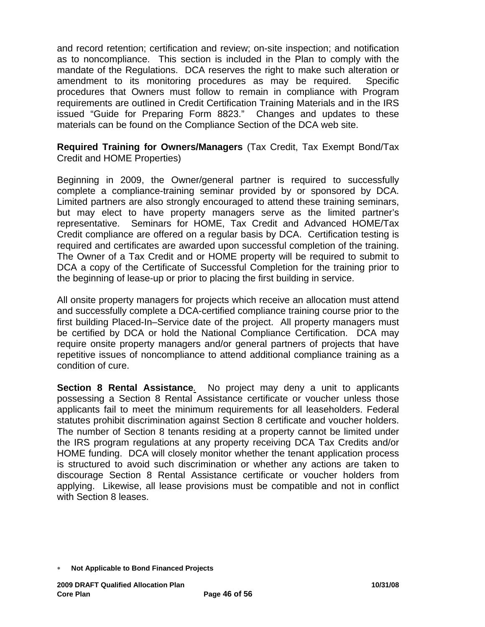and record retention; certification and review; on-site inspection; and notification as to noncompliance. This section is included in the Plan to comply with the mandate of the Regulations. DCA reserves the right to make such alteration or amendment to its monitoring procedures as may be required. Specific procedures that Owners must follow to remain in compliance with Program requirements are outlined in Credit Certification Training Materials and in the IRS issued "Guide for Preparing Form 8823." Changes and updates to these materials can be found on the Compliance Section of the DCA web site.

**Required Training for Owners/Managers** (Tax Credit, Tax Exempt Bond/Tax Credit and HOME Properties)

Beginning in 2009, the Owner/general partner is required to successfully complete a compliance-training seminar provided by or sponsored by DCA. Limited partners are also strongly encouraged to attend these training seminars, but may elect to have property managers serve as the limited partner's representative. Seminars for HOME, Tax Credit and Advanced HOME/Tax Credit compliance are offered on a regular basis by DCA. Certification testing is required and certificates are awarded upon successful completion of the training. The Owner of a Tax Credit and or HOME property will be required to submit to DCA a copy of the Certificate of Successful Completion for the training prior to the beginning of lease-up or prior to placing the first building in service.

All onsite property managers for projects which receive an allocation must attend and successfully complete a DCA-certified compliance training course prior to the first building Placed-In–Service date of the project. All property managers must be certified by DCA or hold the National Compliance Certification. DCA may require onsite property managers and/or general partners of projects that have repetitive issues of noncompliance to attend additional compliance training as a condition of cure.

**Section 8 Rental Assistance***.* No project may deny a unit to applicants possessing a Section 8 Rental Assistance certificate or voucher unless those applicants fail to meet the minimum requirements for all leaseholders. Federal statutes prohibit discrimination against Section 8 certificate and voucher holders. The number of Section 8 tenants residing at a property cannot be limited under the IRS program regulations at any property receiving DCA Tax Credits and/or HOME funding. DCA will closely monitor whether the tenant application process is structured to avoid such discrimination or whether any actions are taken to discourage Section 8 Rental Assistance certificate or voucher holders from applying. Likewise, all lease provisions must be compatible and not in conflict with Section 8 leases.

<sup>∗</sup> **Not Applicable to Bond Financed Projects**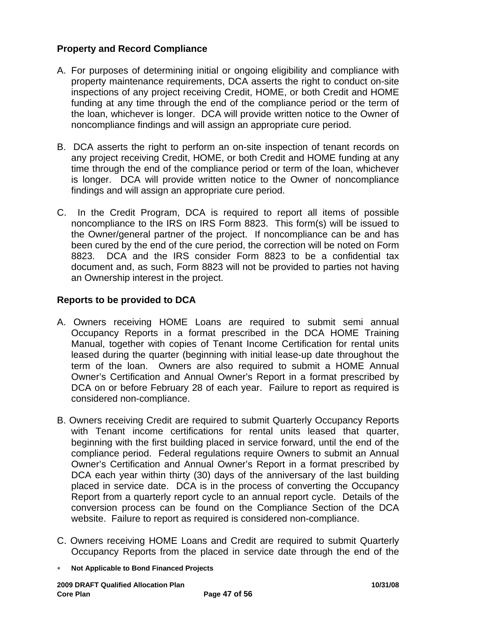## **Property and Record Compliance**

- A. For purposes of determining initial or ongoing eligibility and compliance with property maintenance requirements, DCA asserts the right to conduct on-site inspections of any project receiving Credit, HOME, or both Credit and HOME funding at any time through the end of the compliance period or the term of the loan, whichever is longer. DCA will provide written notice to the Owner of noncompliance findings and will assign an appropriate cure period.
- B. DCA asserts the right to perform an on-site inspection of tenant records on any project receiving Credit, HOME, or both Credit and HOME funding at any time through the end of the compliance period or term of the loan, whichever is longer. DCA will provide written notice to the Owner of noncompliance findings and will assign an appropriate cure period.
- C. In the Credit Program, DCA is required to report all items of possible noncompliance to the IRS on IRS Form 8823. This form(s) will be issued to the Owner/general partner of the project. If noncompliance can be and has been cured by the end of the cure period, the correction will be noted on Form 8823. DCA and the IRS consider Form 8823 to be a confidential tax document and, as such, Form 8823 will not be provided to parties not having an Ownership interest in the project.

## **Reports to be provided to DCA**

- A. Owners receiving HOME Loans are required to submit semi annual Occupancy Reports in a format prescribed in the DCA HOME Training Manual, together with copies of Tenant Income Certification for rental units leased during the quarter (beginning with initial lease-up date throughout the term of the loan. Owners are also required to submit a HOME Annual Owner's Certification and Annual Owner's Report in a format prescribed by DCA on or before February 28 of each year. Failure to report as required is considered non-compliance.
- B. Owners receiving Credit are required to submit Quarterly Occupancy Reports with Tenant income certifications for rental units leased that quarter, beginning with the first building placed in service forward, until the end of the compliance period. Federal regulations require Owners to submit an Annual Owner's Certification and Annual Owner's Report in a format prescribed by DCA each year within thirty (30) days of the anniversary of the last building placed in service date. DCA is in the process of converting the Occupancy Report from a quarterly report cycle to an annual report cycle. Details of the conversion process can be found on the Compliance Section of the DCA website. Failure to report as required is considered non-compliance.
- C. Owners receiving HOME Loans and Credit are required to submit Quarterly Occupancy Reports from the placed in service date through the end of the
- ∗ **Not Applicable to Bond Financed Projects**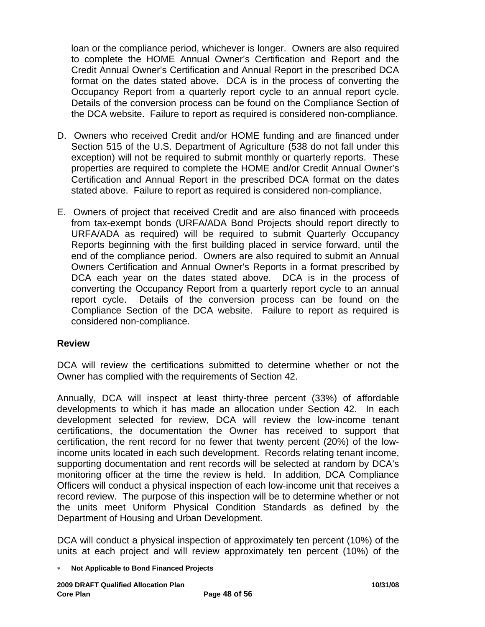loan or the compliance period, whichever is longer. Owners are also required to complete the HOME Annual Owner's Certification and Report and the Credit Annual Owner's Certification and Annual Report in the prescribed DCA format on the dates stated above. DCA is in the process of converting the Occupancy Report from a quarterly report cycle to an annual report cycle. Details of the conversion process can be found on the Compliance Section of the DCA website. Failure to report as required is considered non-compliance.

- D. Owners who received Credit and/or HOME funding and are financed under Section 515 of the U.S. Department of Agriculture (538 do not fall under this exception) will not be required to submit monthly or quarterly reports. These properties are required to complete the HOME and/or Credit Annual Owner's Certification and Annual Report in the prescribed DCA format on the dates stated above. Failure to report as required is considered non-compliance.
- E. Owners of project that received Credit and are also financed with proceeds from tax-exempt bonds (URFA/ADA Bond Projects should report directly to URFA/ADA as required) will be required to submit Quarterly Occupancy Reports beginning with the first building placed in service forward, until the end of the compliance period. Owners are also required to submit an Annual Owners Certification and Annual Owner's Reports in a format prescribed by DCA each year on the dates stated above. DCA is in the process of converting the Occupancy Report from a quarterly report cycle to an annual report cycle. Details of the conversion process can be found on the Compliance Section of the DCA website. Failure to report as required is considered non-compliance.

## **Review**

DCA will review the certifications submitted to determine whether or not the Owner has complied with the requirements of Section 42.

Annually, DCA will inspect at least thirty-three percent (33%) of affordable developments to which it has made an allocation under Section 42. In each development selected for review, DCA will review the low-income tenant certifications, the documentation the Owner has received to support that certification, the rent record for no fewer that twenty percent (20%) of the lowincome units located in each such development. Records relating tenant income, supporting documentation and rent records will be selected at random by DCA's monitoring officer at the time the review is held. In addition, DCA Compliance Officers will conduct a physical inspection of each low-income unit that receives a record review. The purpose of this inspection will be to determine whether or not the units meet Uniform Physical Condition Standards as defined by the Department of Housing and Urban Development.

DCA will conduct a physical inspection of approximately ten percent (10%) of the units at each project and will review approximately ten percent (10%) of the

<sup>∗</sup> **Not Applicable to Bond Financed Projects**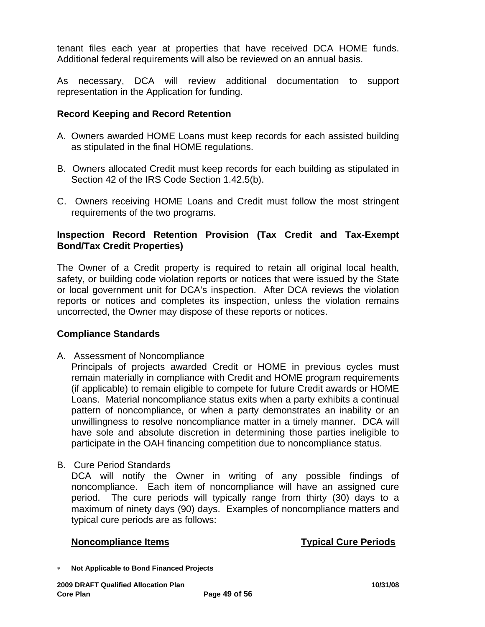tenant files each year at properties that have received DCA HOME funds. Additional federal requirements will also be reviewed on an annual basis.

As necessary, DCA will review additional documentation to support representation in the Application for funding.

#### **Record Keeping and Record Retention**

- A. Owners awarded HOME Loans must keep records for each assisted building as stipulated in the final HOME regulations.
- B. Owners allocated Credit must keep records for each building as stipulated in Section 42 of the IRS Code Section 1.42.5(b).
- C. Owners receiving HOME Loans and Credit must follow the most stringent requirements of the two programs.

## **Inspection Record Retention Provision (Tax Credit and Tax-Exempt Bond/Tax Credit Properties)**

The Owner of a Credit property is required to retain all original local health, safety, or building code violation reports or notices that were issued by the State or local government unit for DCA's inspection. After DCA reviews the violation reports or notices and completes its inspection, unless the violation remains uncorrected, the Owner may dispose of these reports or notices.

#### **Compliance Standards**

A. Assessment of Noncompliance

Principals of projects awarded Credit or HOME in previous cycles must remain materially in compliance with Credit and HOME program requirements (if applicable) to remain eligible to compete for future Credit awards or HOME Loans. Material noncompliance status exits when a party exhibits a continual pattern of noncompliance, or when a party demonstrates an inability or an unwillingness to resolve noncompliance matter in a timely manner. DCA will have sole and absolute discretion in determining those parties ineligible to participate in the OAH financing competition due to noncompliance status.

B. Cure Period Standards DCA will notify the Owner in writing of any possible findings of noncompliance. Each item of noncompliance will have an assigned cure period. The cure periods will typically range from thirty (30) days to a maximum of ninety days (90) days. Examples of noncompliance matters and typical cure periods are as follows:

#### **Noncompliance Items Typical Cure Periods**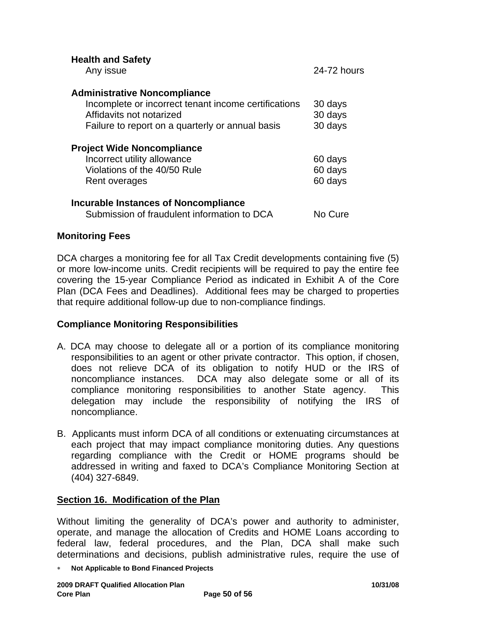| <b>Health and Safety</b><br>Any issue                                                                                                                                       | 24-72 hours                   |
|-----------------------------------------------------------------------------------------------------------------------------------------------------------------------------|-------------------------------|
| <b>Administrative Noncompliance</b><br>Incomplete or incorrect tenant income certifications<br>Affidavits not notarized<br>Failure to report on a quarterly or annual basis | 30 days<br>30 days<br>30 days |
| <b>Project Wide Noncompliance</b><br>Incorrect utility allowance<br>Violations of the 40/50 Rule<br>Rent overages                                                           | 60 days<br>60 days<br>60 days |
| <b>Incurable Instances of Noncompliance</b><br>Submission of fraudulent information to DCA                                                                                  | No Cure                       |

## **Monitoring Fees**

DCA charges a monitoring fee for all Tax Credit developments containing five (5) or more low-income units. Credit recipients will be required to pay the entire fee covering the 15-year Compliance Period as indicated in Exhibit A of the Core Plan (DCA Fees and Deadlines). Additional fees may be charged to properties that require additional follow-up due to non-compliance findings.

#### **Compliance Monitoring Responsibilities**

- A. DCA may choose to delegate all or a portion of its compliance monitoring responsibilities to an agent or other private contractor. This option, if chosen, does not relieve DCA of its obligation to notify HUD or the IRS of noncompliance instances. DCA may also delegate some or all of its compliance monitoring responsibilities to another State agency. This delegation may include the responsibility of notifying the IRS of noncompliance.
- B. Applicants must inform DCA of all conditions or extenuating circumstances at each project that may impact compliance monitoring duties. Any questions regarding compliance with the Credit or HOME programs should be addressed in writing and faxed to DCA's Compliance Monitoring Section at (404) 327-6849.

## **Section 16. Modification of the Plan**

Without limiting the generality of DCA's power and authority to administer, operate, and manage the allocation of Credits and HOME Loans according to federal law, federal procedures, and the Plan, DCA shall make such determinations and decisions, publish administrative rules, require the use of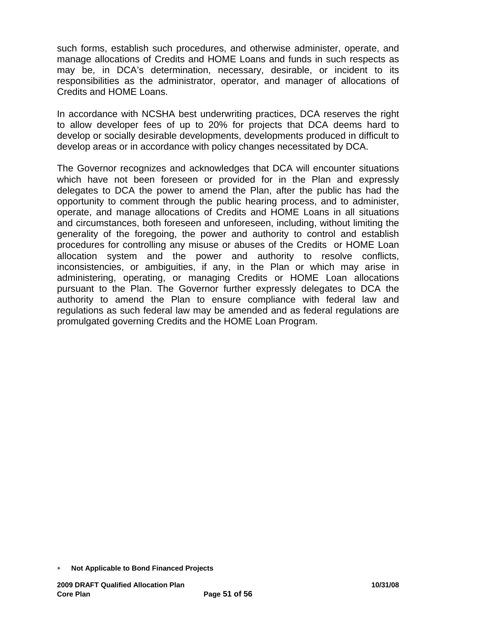such forms, establish such procedures, and otherwise administer, operate, and manage allocations of Credits and HOME Loans and funds in such respects as may be, in DCA's determination, necessary, desirable, or incident to its responsibilities as the administrator, operator, and manager of allocations of Credits and HOME Loans.

In accordance with NCSHA best underwriting practices, DCA reserves the right to allow developer fees of up to 20% for projects that DCA deems hard to develop or socially desirable developments, developments produced in difficult to develop areas or in accordance with policy changes necessitated by DCA.

The Governor recognizes and acknowledges that DCA will encounter situations which have not been foreseen or provided for in the Plan and expressly delegates to DCA the power to amend the Plan, after the public has had the opportunity to comment through the public hearing process, and to administer, operate, and manage allocations of Credits and HOME Loans in all situations and circumstances, both foreseen and unforeseen, including, without limiting the generality of the foregoing, the power and authority to control and establish procedures for controlling any misuse or abuses of the Credits or HOME Loan allocation system and the power and authority to resolve conflicts, inconsistencies, or ambiguities, if any, in the Plan or which may arise in administering, operating, or managing Credits or HOME Loan allocations pursuant to the Plan. The Governor further expressly delegates to DCA the authority to amend the Plan to ensure compliance with federal law and regulations as such federal law may be amended and as federal regulations are promulgated governing Credits and the HOME Loan Program.

<sup>∗</sup> **Not Applicable to Bond Financed Projects**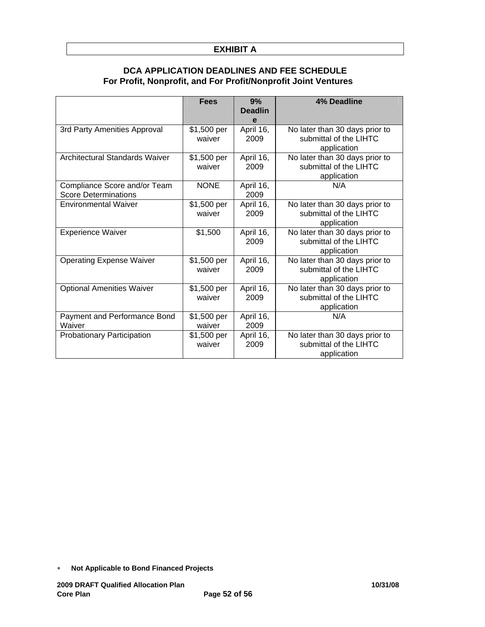#### **EXHIBIT A**

#### **DCA APPLICATION DEADLINES AND FEE SCHEDULE For Profit, Nonprofit, and For Profit/Nonprofit Joint Ventures**

|                                                             | <b>Fees</b>           | 9%<br><b>Deadlin</b><br>е | 4% Deadline                                                             |
|-------------------------------------------------------------|-----------------------|---------------------------|-------------------------------------------------------------------------|
| 3rd Party Amenities Approval                                | \$1,500 per<br>waiver | April 16,<br>2009         | No later than 30 days prior to<br>submittal of the LIHTC<br>application |
| <b>Architectural Standards Waiver</b>                       | \$1,500 per<br>waiver | April 16,<br>2009         | No later than 30 days prior to<br>submittal of the LIHTC<br>application |
| Compliance Score and/or Team<br><b>Score Determinations</b> | <b>NONE</b>           | April 16,<br>2009         | N/A                                                                     |
| <b>Environmental Waiver</b>                                 | \$1,500 per<br>waiver | April 16,<br>2009         | No later than 30 days prior to<br>submittal of the LIHTC<br>application |
| <b>Experience Waiver</b>                                    | \$1,500               | April 16,<br>2009         | No later than 30 days prior to<br>submittal of the LIHTC<br>application |
| <b>Operating Expense Waiver</b>                             | \$1,500 per<br>waiver | April 16,<br>2009         | No later than 30 days prior to<br>submittal of the LIHTC<br>application |
| <b>Optional Amenities Waiver</b>                            | \$1,500 per<br>waiver | April 16,<br>2009         | No later than 30 days prior to<br>submittal of the LIHTC<br>application |
| Payment and Performance Bond<br>Waiver                      | \$1,500 per<br>waiver | April 16,<br>2009         | N/A                                                                     |
| Probationary Participation                                  | \$1,500 per<br>waiver | April 16,<br>2009         | No later than 30 days prior to<br>submittal of the LIHTC<br>application |

<sup>∗</sup> **Not Applicable to Bond Financed Projects**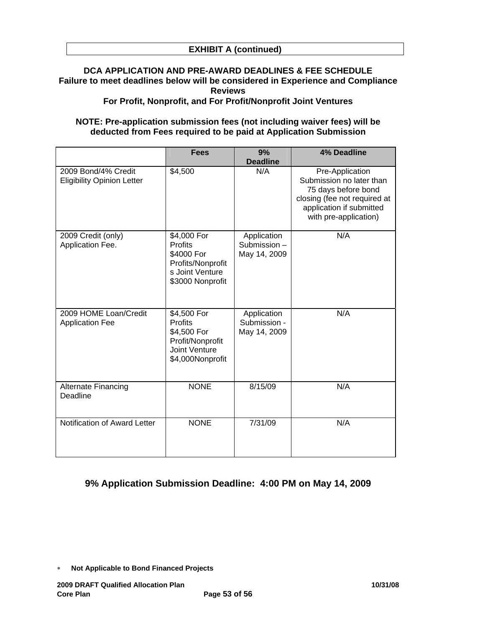## **DCA APPLICATION AND PRE-AWARD DEADLINES & FEE SCHEDULE Failure to meet deadlines below will be considered in Experience and Compliance Reviews**

**For Profit, Nonprofit, and For Profit/Nonprofit Joint Ventures** 

#### **NOTE: Pre-application submission fees (not including waiver fees) will be deducted from Fees required to be paid at Application Submission**

|                                                          | <b>Fees</b>                                                                                                  | 9%<br><b>Deadline</b>                       | 4% Deadline                                                                                                                                             |
|----------------------------------------------------------|--------------------------------------------------------------------------------------------------------------|---------------------------------------------|---------------------------------------------------------------------------------------------------------------------------------------------------------|
| 2009 Bond/4% Credit<br><b>Eligibility Opinion Letter</b> | \$4,500                                                                                                      | N/A                                         | Pre-Application<br>Submission no later than<br>75 days before bond<br>closing (fee not required at<br>application if submitted<br>with pre-application) |
| 2009 Credit (only)<br>Application Fee.                   | \$4,000 For<br>Profits<br>\$4000 For<br>Profits/Nonprofit<br>s Joint Venture<br>\$3000 Nonprofit             | Application<br>Submission-<br>May 14, 2009  | N/A                                                                                                                                                     |
| 2009 HOME Loan/Credit<br><b>Application Fee</b>          | \$4,500 For<br><b>Profits</b><br>\$4,500 For<br>Profit/Nonprofit<br><b>Joint Venture</b><br>\$4,000Nonprofit | Application<br>Submission -<br>May 14, 2009 | N/A                                                                                                                                                     |
| Alternate Financing<br>Deadline                          | <b>NONE</b>                                                                                                  | 8/15/09                                     | N/A                                                                                                                                                     |
| Notification of Award Letter                             | <b>NONE</b>                                                                                                  | 7/31/09                                     | N/A                                                                                                                                                     |

## **9% Application Submission Deadline: 4:00 PM on May 14, 2009**

<sup>∗</sup> **Not Applicable to Bond Financed Projects**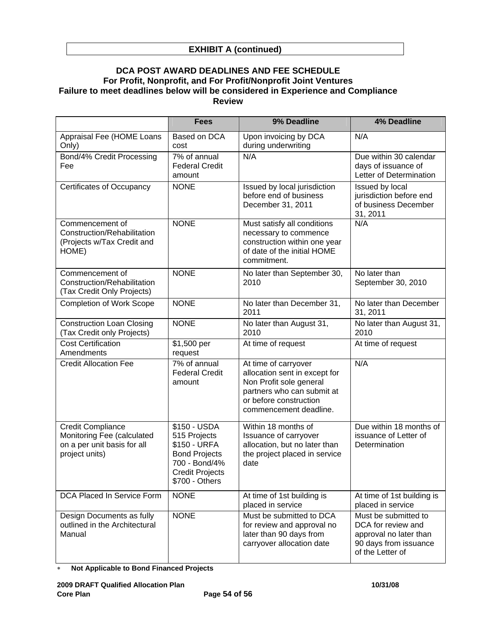#### **DCA POST AWARD DEADLINES AND FEE SCHEDULE For Profit, Nonprofit, and For Profit/Nonprofit Joint Ventures Failure to meet deadlines below will be considered in Experience and Compliance Review**

|                                                                                                         | <b>Fees</b>                                                                                                                       | 9% Deadline                                                                                                                                                        | <b>4% Deadline</b>                                                                                                |
|---------------------------------------------------------------------------------------------------------|-----------------------------------------------------------------------------------------------------------------------------------|--------------------------------------------------------------------------------------------------------------------------------------------------------------------|-------------------------------------------------------------------------------------------------------------------|
| Appraisal Fee (HOME Loans<br>Only)                                                                      | Based on DCA<br>cost                                                                                                              | Upon invoicing by DCA<br>during underwriting                                                                                                                       | N/A                                                                                                               |
| Bond/4% Credit Processing<br>Fee                                                                        | 7% of annual<br><b>Federal Credit</b><br>amount                                                                                   | N/A                                                                                                                                                                | Due within 30 calendar<br>days of issuance of<br>Letter of Determination                                          |
| <b>Certificates of Occupancy</b>                                                                        | <b>NONE</b>                                                                                                                       | Issued by local jurisdiction<br>before end of business<br>December 31, 2011                                                                                        | Issued by local<br>jurisdiction before end<br>of business December<br>31, 2011                                    |
| Commencement of<br>Construction/Rehabilitation<br>(Projects w/Tax Credit and<br>HOME)                   | <b>NONE</b>                                                                                                                       | Must satisfy all conditions<br>necessary to commence<br>construction within one year<br>of date of the initial HOME<br>commitment.                                 | N/A                                                                                                               |
| Commencement of<br>Construction/Rehabilitation<br>(Tax Credit Only Projects)                            | <b>NONE</b>                                                                                                                       | No later than September 30,<br>2010                                                                                                                                | No later than<br>September 30, 2010                                                                               |
| <b>Completion of Work Scope</b>                                                                         | <b>NONE</b>                                                                                                                       | No later than December 31,<br>2011                                                                                                                                 | No later than December<br>31, 2011                                                                                |
| <b>Construction Loan Closing</b><br>(Tax Credit only Projects)                                          | <b>NONE</b>                                                                                                                       | No later than August 31,<br>2010                                                                                                                                   | No later than August 31,<br>2010                                                                                  |
| <b>Cost Certification</b><br>Amendments                                                                 | \$1,500 per<br>request                                                                                                            | At time of request                                                                                                                                                 | At time of request                                                                                                |
| <b>Credit Allocation Fee</b>                                                                            | 7% of annual<br><b>Federal Credit</b><br>amount                                                                                   | At time of carryover<br>allocation sent in except for<br>Non Profit sole general<br>partners who can submit at<br>or before construction<br>commencement deadline. | N/A                                                                                                               |
| <b>Credit Compliance</b><br>Monitoring Fee (calculated<br>on a per unit basis for all<br>project units) | \$150 - USDA<br>515 Projects<br>\$150 - URFA<br><b>Bond Projects</b><br>700 - Bond/4%<br><b>Credit Projects</b><br>\$700 - Others | Within 18 months of<br>Issuance of carryover<br>allocation, but no later than<br>the project placed in service<br>date                                             | Due within 18 months of<br>issuance of Letter of<br>Determination                                                 |
| <b>DCA Placed In Service Form</b>                                                                       | <b>NONE</b>                                                                                                                       | At time of 1st building is<br>placed in service                                                                                                                    | At time of 1st building is<br>placed in service                                                                   |
| Design Documents as fully<br>outlined in the Architectural<br>Manual                                    | <b>NONE</b>                                                                                                                       | Must be submitted to DCA<br>for review and approval no<br>later than 90 days from<br>carryover allocation date                                                     | Must be submitted to<br>DCA for review and<br>approval no later than<br>90 days from issuance<br>of the Letter of |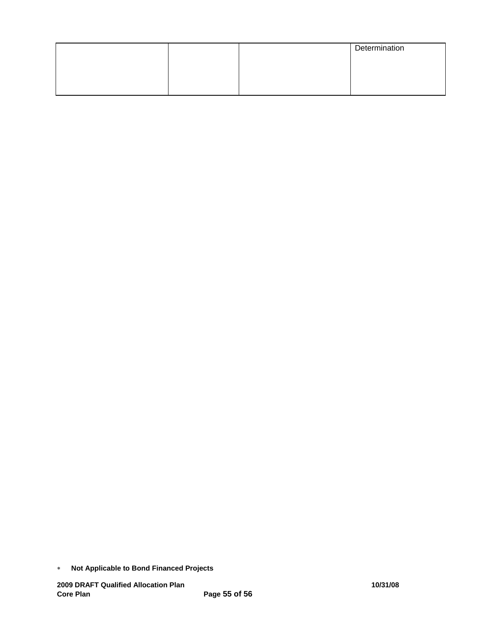|  | Determination |
|--|---------------|
|  |               |
|  |               |
|  |               |

<sup>∗</sup> **Not Applicable to Bond Financed Projects**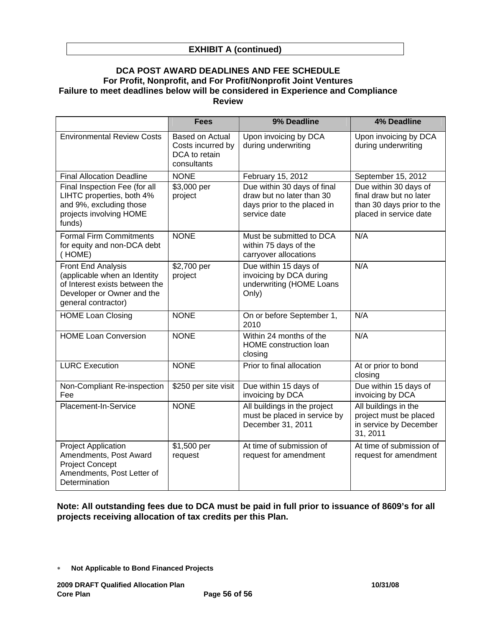#### **EXHIBIT A (continued)**

#### **DCA POST AWARD DEADLINES AND FEE SCHEDULE For Profit, Nonprofit, and For Profit/Nonprofit Joint Ventures Failure to meet deadlines below will be considered in Experience and Compliance Review**

|                                                                                                                                           | <b>Fees</b>                                                          | 9% Deadline                                                                                             | <b>4% Deadline</b>                                                                                      |
|-------------------------------------------------------------------------------------------------------------------------------------------|----------------------------------------------------------------------|---------------------------------------------------------------------------------------------------------|---------------------------------------------------------------------------------------------------------|
| <b>Environmental Review Costs</b>                                                                                                         | Based on Actual<br>Costs incurred by<br>DCA to retain<br>consultants | Upon invoicing by DCA<br>during underwriting                                                            | Upon invoicing by DCA<br>during underwriting                                                            |
| <b>Final Allocation Deadline</b>                                                                                                          | <b>NONE</b>                                                          | February 15, 2012                                                                                       | September 15, 2012                                                                                      |
| Final Inspection Fee (for all<br>LIHTC properties, both 4%<br>and 9%, excluding those<br>projects involving HOME<br>funds)                | \$3,000 per<br>project                                               | Due within 30 days of final<br>draw but no later than 30<br>days prior to the placed in<br>service date | Due within 30 days of<br>final draw but no later<br>than 30 days prior to the<br>placed in service date |
| <b>Formal Firm Commitments</b><br>for equity and non-DCA debt<br>(HOME)                                                                   | <b>NONE</b>                                                          | Must be submitted to DCA<br>within 75 days of the<br>carryover allocations                              | N/A                                                                                                     |
| Front End Analysis<br>(applicable when an Identity<br>of Interest exists between the<br>Developer or Owner and the<br>general contractor) | \$2,700 per<br>project                                               | Due within 15 days of<br>invoicing by DCA during<br>underwriting (HOME Loans<br>Only)                   | N/A                                                                                                     |
| <b>HOME Loan Closing</b>                                                                                                                  | <b>NONE</b>                                                          | On or before September 1,<br>2010                                                                       | N/A                                                                                                     |
| <b>HOME Loan Conversion</b>                                                                                                               | <b>NONE</b>                                                          | Within 24 months of the<br>HOME construction loan<br>closing                                            | N/A                                                                                                     |
| <b>LURC Execution</b>                                                                                                                     | <b>NONE</b>                                                          | Prior to final allocation                                                                               | At or prior to bond<br>closing                                                                          |
| Non-Compliant Re-inspection<br>Fee                                                                                                        | \$250 per site visit                                                 | Due within 15 days of<br>invoicing by DCA                                                               | Due within 15 days of<br>invoicing by DCA                                                               |
| Placement-In-Service                                                                                                                      | <b>NONE</b>                                                          | All buildings in the project<br>must be placed in service by<br>December 31, 2011                       | All buildings in the<br>project must be placed<br>in service by December<br>31, 2011                    |
| <b>Project Application</b><br>Amendments, Post Award<br><b>Project Concept</b><br>Amendments, Post Letter of<br>Determination             | \$1,500 per<br>request                                               | At time of submission of<br>request for amendment                                                       | At time of submission of<br>request for amendment                                                       |

**Note: All outstanding fees due to DCA must be paid in full prior to issuance of 8609's for all projects receiving allocation of tax credits per this Plan.** 

<sup>∗</sup> **Not Applicable to Bond Financed Projects**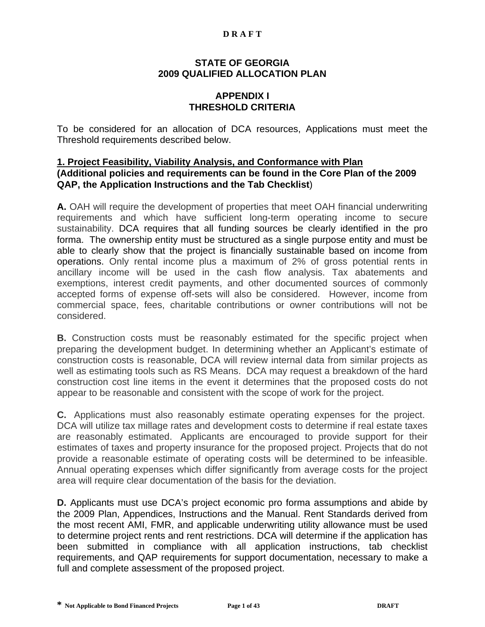#### **D R A F T**

#### **STATE OF GEORGIA 2009 QUALIFIED ALLOCATION PLAN**

## **APPENDIX I THRESHOLD CRITERIA**

To be considered for an allocation of DCA resources, Applications must meet the Threshold requirements described below.

#### **1. Project Feasibility, Viability Analysis, and Conformance with Plan (Additional policies and requirements can be found in the Core Plan of the 2009 QAP, the Application Instructions and the Tab Checklist**)

**A.** OAH will require the development of properties that meet OAH financial underwriting requirements and which have sufficient long-term operating income to secure sustainability. DCA requires that all funding sources be clearly identified in the pro forma. The ownership entity must be structured as a single purpose entity and must be able to clearly show that the project is financially sustainable based on income from operations. Only rental income plus a maximum of 2% of gross potential rents in ancillary income will be used in the cash flow analysis. Tax abatements and exemptions, interest credit payments, and other documented sources of commonly accepted forms of expense off-sets will also be considered. However, income from commercial space, fees, charitable contributions or owner contributions will not be considered.

**B.** Construction costs must be reasonably estimated for the specific project when preparing the development budget. In determining whether an Applicant's estimate of construction costs is reasonable, DCA will review internal data from similar projects as well as estimating tools such as RS Means. DCA may request a breakdown of the hard construction cost line items in the event it determines that the proposed costs do not appear to be reasonable and consistent with the scope of work for the project.

**C.** Applications must also reasonably estimate operating expenses for the project. DCA will utilize tax millage rates and development costs to determine if real estate taxes are reasonably estimated. Applicants are encouraged to provide support for their estimates of taxes and property insurance for the proposed project. Projects that do not provide a reasonable estimate of operating costs will be determined to be infeasible. Annual operating expenses which differ significantly from average costs for the project area will require clear documentation of the basis for the deviation.

**D.** Applicants must use DCA's project economic pro forma assumptions and abide by the 2009 Plan, Appendices, Instructions and the Manual. Rent Standards derived from the most recent AMI, FMR, and applicable underwriting utility allowance must be used to determine project rents and rent restrictions. DCA will determine if the application has been submitted in compliance with all application instructions, tab checklist requirements, and QAP requirements for support documentation, necessary to make a full and complete assessment of the proposed project.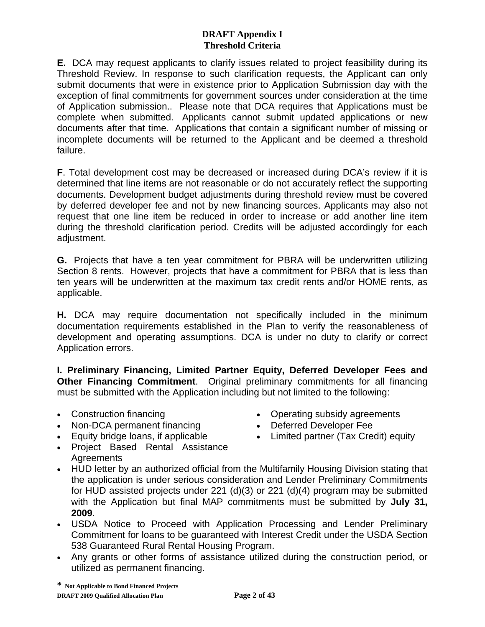**E.** DCA may request applicants to clarify issues related to project feasibility during its Threshold Review. In response to such clarification requests, the Applicant can only submit documents that were in existence prior to Application Submission day with the exception of final commitments for government sources under consideration at the time of Application submission.. Please note that DCA requires that Applications must be complete when submitted. Applicants cannot submit updated applications or new documents after that time. Applications that contain a significant number of missing or incomplete documents will be returned to the Applicant and be deemed a threshold failure.

**F**. Total development cost may be decreased or increased during DCA's review if it is determined that line items are not reasonable or do not accurately reflect the supporting documents. Development budget adjustments during threshold review must be covered by deferred developer fee and not by new financing sources. Applicants may also not request that one line item be reduced in order to increase or add another line item during the threshold clarification period. Credits will be adjusted accordingly for each adjustment.

**G.** Projects that have a ten year commitment for PBRA will be underwritten utilizing Section 8 rents. However, projects that have a commitment for PBRA that is less than ten years will be underwritten at the maximum tax credit rents and/or HOME rents, as applicable.

**H.** DCA may require documentation not specifically included in the minimum documentation requirements established in the Plan to verify the reasonableness of development and operating assumptions. DCA is under no duty to clarify or correct Application errors.

**I. Preliminary Financing, Limited Partner Equity, Deferred Developer Fees and Other Financing Commitment**. Original preliminary commitments for all financing must be submitted with the Application including but not limited to the following:

- Construction financing
- Non-DCA permanent financing
- Equity bridge loans, if applicable
- Project Based Rental Assistance **Agreements**
- Operating subsidy agreements
- Deferred Developer Fee
- Limited partner (Tax Credit) equity
- HUD letter by an authorized official from the Multifamily Housing Division stating that the application is under serious consideration and Lender Preliminary Commitments for HUD assisted projects under 221 (d)(3) or 221 (d)(4) program may be submitted with the Application but final MAP commitments must be submitted by **July 31, 2009**.
- USDA Notice to Proceed with Application Processing and Lender Preliminary Commitment for loans to be guaranteed with Interest Credit under the USDA Section 538 Guaranteed Rural Rental Housing Program.
- Any grants or other forms of assistance utilized during the construction period, or utilized as permanent financing.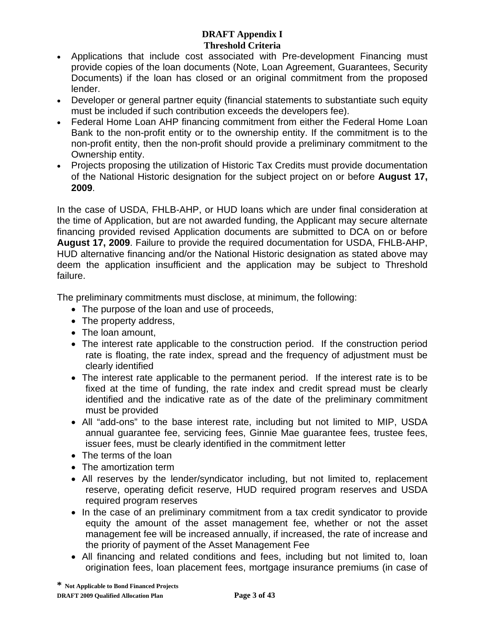- Applications that include cost associated with Pre-development Financing must provide copies of the loan documents (Note, Loan Agreement, Guarantees, Security Documents) if the loan has closed or an original commitment from the proposed lender.
- Developer or general partner equity (financial statements to substantiate such equity must be included if such contribution exceeds the developers fee).
- Federal Home Loan AHP financing commitment from either the Federal Home Loan Bank to the non-profit entity or to the ownership entity. If the commitment is to the non-profit entity, then the non-profit should provide a preliminary commitment to the Ownership entity.
- Projects proposing the utilization of Historic Tax Credits must provide documentation of the National Historic designation for the subject project on or before **August 17, 2009**.

In the case of USDA, FHLB-AHP, or HUD loans which are under final consideration at the time of Application, but are not awarded funding, the Applicant may secure alternate financing provided revised Application documents are submitted to DCA on or before **August 17, 2009**. Failure to provide the required documentation for USDA, FHLB-AHP, HUD alternative financing and/or the National Historic designation as stated above may deem the application insufficient and the application may be subject to Threshold failure.

The preliminary commitments must disclose, at minimum, the following:

- The purpose of the loan and use of proceeds,
- The property address,
- The loan amount.
- The interest rate applicable to the construction period. If the construction period rate is floating, the rate index, spread and the frequency of adjustment must be clearly identified
- The interest rate applicable to the permanent period. If the interest rate is to be fixed at the time of funding, the rate index and credit spread must be clearly identified and the indicative rate as of the date of the preliminary commitment must be provided
- All "add-ons" to the base interest rate, including but not limited to MIP, USDA annual guarantee fee, servicing fees, Ginnie Mae guarantee fees, trustee fees, issuer fees, must be clearly identified in the commitment letter
- The terms of the loan
- The amortization term
- All reserves by the lender/syndicator including, but not limited to, replacement reserve, operating deficit reserve, HUD required program reserves and USDA required program reserves
- In the case of an preliminary commitment from a tax credit syndicator to provide equity the amount of the asset management fee, whether or not the asset management fee will be increased annually, if increased, the rate of increase and the priority of payment of the Asset Management Fee
- All financing and related conditions and fees, including but not limited to, loan origination fees, loan placement fees, mortgage insurance premiums (in case of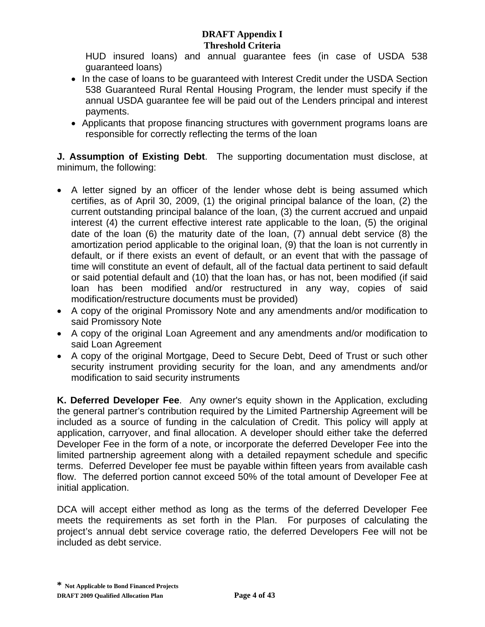HUD insured loans) and annual guarantee fees (in case of USDA 538 guaranteed loans)

- In the case of loans to be guaranteed with Interest Credit under the USDA Section 538 Guaranteed Rural Rental Housing Program, the lender must specify if the annual USDA guarantee fee will be paid out of the Lenders principal and interest payments.
- Applicants that propose financing structures with government programs loans are responsible for correctly reflecting the terms of the loan

**J. Assumption of Existing Debt**. The supporting documentation must disclose, at minimum, the following:

- A letter signed by an officer of the lender whose debt is being assumed which certifies, as of April 30, 2009, (1) the original principal balance of the loan, (2) the current outstanding principal balance of the loan, (3) the current accrued and unpaid interest (4) the current effective interest rate applicable to the loan, (5) the original date of the loan (6) the maturity date of the loan, (7) annual debt service (8) the amortization period applicable to the original loan, (9) that the loan is not currently in default, or if there exists an event of default, or an event that with the passage of time will constitute an event of default, all of the factual data pertinent to said default or said potential default and (10) that the loan has, or has not, been modified (if said loan has been modified and/or restructured in any way, copies of said modification/restructure documents must be provided)
- A copy of the original Promissory Note and any amendments and/or modification to said Promissory Note
- A copy of the original Loan Agreement and any amendments and/or modification to said Loan Agreement
- A copy of the original Mortgage, Deed to Secure Debt, Deed of Trust or such other security instrument providing security for the loan, and any amendments and/or modification to said security instruments

**K. Deferred Developer Fee**. Any owner's equity shown in the Application, excluding the general partner's contribution required by the Limited Partnership Agreement will be included as a source of funding in the calculation of Credit. This policy will apply at application, carryover, and final allocation. A developer should either take the deferred Developer Fee in the form of a note, or incorporate the deferred Developer Fee into the limited partnership agreement along with a detailed repayment schedule and specific terms. Deferred Developer fee must be payable within fifteen years from available cash flow. The deferred portion cannot exceed 50% of the total amount of Developer Fee at initial application.

DCA will accept either method as long as the terms of the deferred Developer Fee meets the requirements as set forth in the Plan. For purposes of calculating the project's annual debt service coverage ratio, the deferred Developers Fee will not be included as debt service.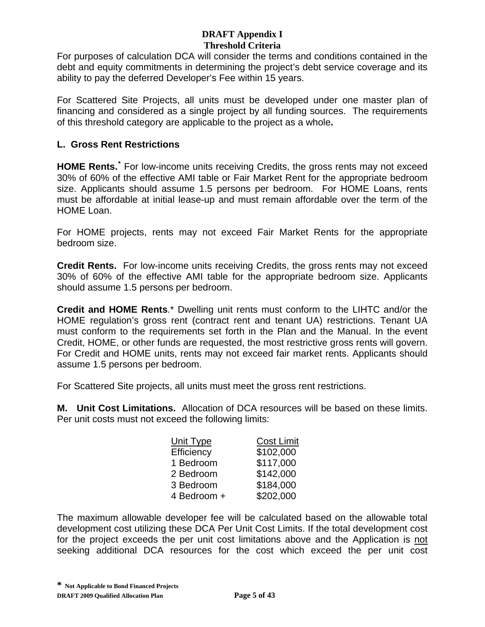For purposes of calculation DCA will consider the terms and conditions contained in the debt and equity commitments in determining the project's debt service coverage and its ability to pay the deferred Developer's Fee within 15 years.

For Scattered Site Projects, all units must be developed under one master plan of financing and considered as a single project by all funding sources. The requirements of this threshold category are applicable to the project as a whole**.** 

## **L. Gross Rent Restrictions**

**HOME Rents.[\\*](#page-60-0)** For low-income units receiving Credits, the gross rents may not exceed 30% of 60% of the effective AMI table or Fair Market Rent for the appropriate bedroom size. Applicants should assume 1.5 persons per bedroom. For HOME Loans, rents must be affordable at initial lease-up and must remain affordable over the term of the HOME Loan.

For HOME projects, rents may not exceed Fair Market Rents for the appropriate bedroom size.

**Credit Rents.** For low-income units receiving Credits, the gross rents may not exceed 30% of 60% of the effective AMI table for the appropriate bedroom size. Applicants should assume 1.5 persons per bedroom.

**Credit and HOME Rents**.\* Dwelling unit rents must conform to the LIHTC and/or the HOME regulation's gross rent (contract rent and tenant UA) restrictions. Tenant UA must conform to the requirements set forth in the Plan and the Manual. In the event Credit, HOME, or other funds are requested, the most restrictive gross rents will govern. For Credit and HOME units, rents may not exceed fair market rents. Applicants should assume 1.5 persons per bedroom.

For Scattered Site projects, all units must meet the gross rent restrictions.

**M. Unit Cost Limitations.** Allocation of DCA resources will be based on these limits. Per unit costs must not exceed the following limits:

| Unit Type   | <b>Cost Limit</b> |
|-------------|-------------------|
| Efficiency  | \$102,000         |
| 1 Bedroom   | \$117,000         |
| 2 Bedroom   | \$142,000         |
| 3 Bedroom   | \$184,000         |
| 4 Bedroom + | \$202,000         |

<span id="page-60-0"></span>The maximum allowable developer fee will be calculated based on the allowable total development cost utilizing these DCA Per Unit Cost Limits. If the total development cost for the project exceeds the per unit cost limitations above and the Application is not seeking additional DCA resources for the cost which exceed the per unit cost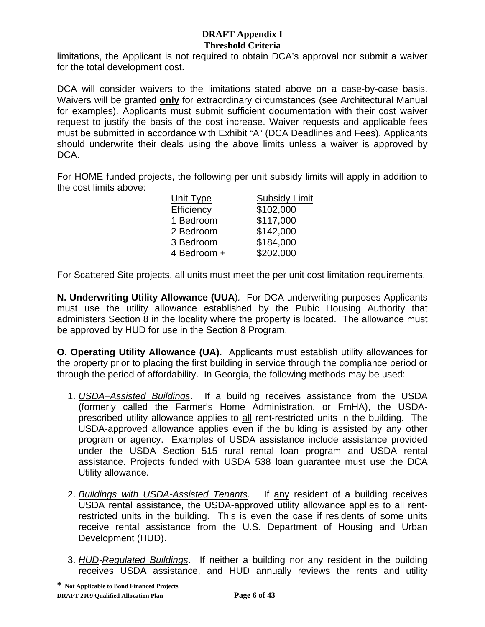limitations, the Applicant is not required to obtain DCA's approval nor submit a waiver for the total development cost.

DCA will consider waivers to the limitations stated above on a case-by-case basis. Waivers will be granted **only** for extraordinary circumstances (see Architectural Manual for examples). Applicants must submit sufficient documentation with their cost waiver request to justify the basis of the cost increase. Waiver requests and applicable fees must be submitted in accordance with Exhibit "A" (DCA Deadlines and Fees). Applicants should underwrite their deals using the above limits unless a waiver is approved by DCA.

For HOME funded projects, the following per unit subsidy limits will apply in addition to the cost limits above:

| <b>Subsidy Limit</b> |
|----------------------|
| \$102,000            |
| \$117,000            |
| \$142,000            |
| \$184,000            |
| \$202,000            |
|                      |

For Scattered Site projects, all units must meet the per unit cost limitation requirements.

**N. Underwriting Utility Allowance (UUA**)*.* For DCA underwriting purposes Applicants must use the utility allowance established by the Pubic Housing Authority that administers Section 8 in the locality where the property is located. The allowance must be approved by HUD for use in the Section 8 Program.

**O. Operating Utility Allowance (UA).** Applicants must establish utility allowances for the property prior to placing the first building in service through the compliance period or through the period of affordability. In Georgia, the following methods may be used:

- 1. *USDA–Assisted Buildings*. If a building receives assistance from the USDA (formerly called the Farmer's Home Administration, or FmHA), the USDAprescribed utility allowance applies to all rent-restricted units in the building. The USDA-approved allowance applies even if the building is assisted by any other program or agency. Examples of USDA assistance include assistance provided under the USDA Section 515 rural rental loan program and USDA rental assistance. Projects funded with USDA 538 loan guarantee must use the DCA Utility allowance.
- 2. *Buildings with USDA-Assisted Tenants*. If any resident of a building receives USDA rental assistance, the USDA-approved utility allowance applies to all rentrestricted units in the building. This is even the case if residents of some units receive rental assistance from the U.S. Department of Housing and Urban Development (HUD).
- 3. *HUD-Regulated Buildings*. If neither a building nor any resident in the building receives USDA assistance, and HUD annually reviews the rents and utility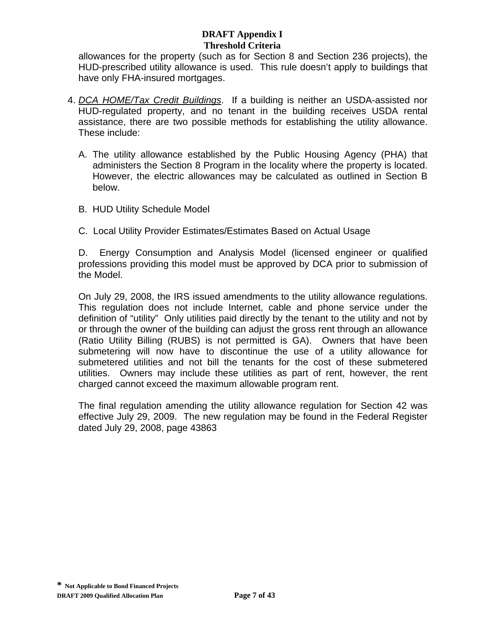allowances for the property (such as for Section 8 and Section 236 projects), the HUD-prescribed utility allowance is used. This rule doesn't apply to buildings that have only FHA-insured mortgages.

- 4. *DCA HOME/Tax Credit Buildings*. If a building is neither an USDA-assisted nor HUD-regulated property, and no tenant in the building receives USDA rental assistance, there are two possible methods for establishing the utility allowance. These include:
	- A. The utility allowance established by the Public Housing Agency (PHA) that administers the Section 8 Program in the locality where the property is located. However, the electric allowances may be calculated as outlined in Section B below.
	- B. HUD Utility Schedule Model
	- C. Local Utility Provider Estimates/Estimates Based on Actual Usage

D. Energy Consumption and Analysis Model (licensed engineer or qualified professions providing this model must be approved by DCA prior to submission of the Model.

On July 29, 2008, the IRS issued amendments to the utility allowance regulations. This regulation does not include Internet, cable and phone service under the definition of "utility" Only utilities paid directly by the tenant to the utility and not by or through the owner of the building can adjust the gross rent through an allowance (Ratio Utility Billing (RUBS) is not permitted is GA). Owners that have been submetering will now have to discontinue the use of a utility allowance for submetered utilities and not bill the tenants for the cost of these submetered utilities. Owners may include these utilities as part of rent, however, the rent charged cannot exceed the maximum allowable program rent.

The final regulation amending the utility allowance regulation for Section 42 was effective July 29, 2009. The new regulation may be found in the Federal Register dated July 29, 2008, page 43863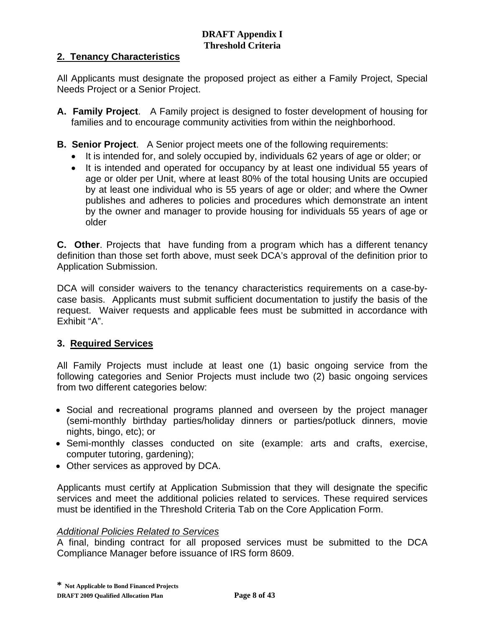## **2. Tenancy Characteristics**

All Applicants must designate the proposed project as either a Family Project, Special Needs Project or a Senior Project.

- **A. Family Project**. A Family project is designed to foster development of housing for families and to encourage community activities from within the neighborhood.
- **B. Senior Project**. A Senior project meets one of the following requirements:
	- It is intended for, and solely occupied by, individuals 62 years of age or older; or
	- It is intended and operated for occupancy by at least one individual 55 years of age or older per Unit, where at least 80% of the total housing Units are occupied by at least one individual who is 55 years of age or older; and where the Owner publishes and adheres to policies and procedures which demonstrate an intent by the owner and manager to provide housing for individuals 55 years of age or older

**C. Other**. Projects that have funding from a program which has a different tenancy definition than those set forth above, must seek DCA's approval of the definition prior to Application Submission.

DCA will consider waivers to the tenancy characteristics requirements on a case-bycase basis. Applicants must submit sufficient documentation to justify the basis of the request. Waiver requests and applicable fees must be submitted in accordance with Exhibit "A".

## **3. Required Services**

All Family Projects must include at least one (1) basic ongoing service from the following categories and Senior Projects must include two (2) basic ongoing services from two different categories below:

- Social and recreational programs planned and overseen by the project manager (semi-monthly birthday parties/holiday dinners or parties/potluck dinners, movie nights, bingo, etc); or
- Semi-monthly classes conducted on site (example: arts and crafts, exercise, computer tutoring, gardening);
- Other services as approved by DCA.

Applicants must certify at Application Submission that they will designate the specific services and meet the additional policies related to services. These required services must be identified in the Threshold Criteria Tab on the Core Application Form.

## *Additional Policies Related to Services*

A final, binding contract for all proposed services must be submitted to the DCA Compliance Manager before issuance of IRS form 8609.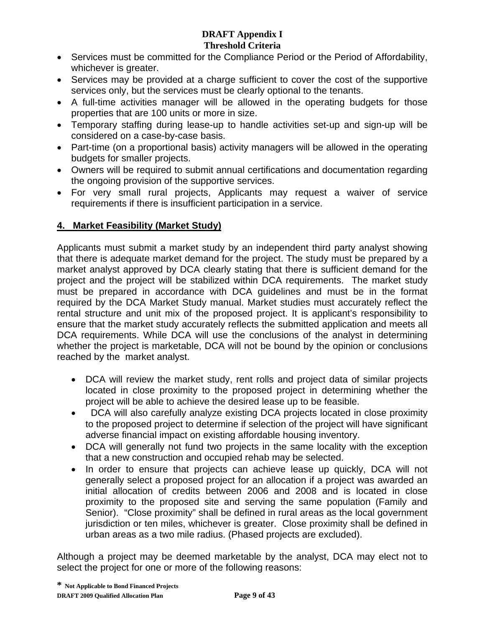- Services must be committed for the Compliance Period or the Period of Affordability, whichever is greater.
- Services may be provided at a charge sufficient to cover the cost of the supportive services only, but the services must be clearly optional to the tenants.
- A full-time activities manager will be allowed in the operating budgets for those properties that are 100 units or more in size.
- Temporary staffing during lease-up to handle activities set-up and sign-up will be considered on a case-by-case basis.
- Part-time (on a proportional basis) activity managers will be allowed in the operating budgets for smaller projects.
- Owners will be required to submit annual certifications and documentation regarding the ongoing provision of the supportive services.
- For very small rural projects, Applicants may request a waiver of service requirements if there is insufficient participation in a service.

# **4. Market Feasibility (Market Study)**

Applicants must submit a market study by an independent third party analyst showing that there is adequate market demand for the project. The study must be prepared by a market analyst approved by DCA clearly stating that there is sufficient demand for the project and the project will be stabilized within DCA requirements. The market study must be prepared in accordance with DCA guidelines and must be in the format required by the DCA Market Study manual. Market studies must accurately reflect the rental structure and unit mix of the proposed project. It is applicant's responsibility to ensure that the market study accurately reflects the submitted application and meets all DCA requirements. While DCA will use the conclusions of the analyst in determining whether the project is marketable, DCA will not be bound by the opinion or conclusions reached by the market analyst.

- DCA will review the market study, rent rolls and project data of similar projects located in close proximity to the proposed project in determining whether the project will be able to achieve the desired lease up to be feasible.
- DCA will also carefully analyze existing DCA projects located in close proximity to the proposed project to determine if selection of the project will have significant adverse financial impact on existing affordable housing inventory.
- DCA will generally not fund two projects in the same locality with the exception that a new construction and occupied rehab may be selected.
- In order to ensure that projects can achieve lease up quickly, DCA will not generally select a proposed project for an allocation if a project was awarded an initial allocation of credits between 2006 and 2008 and is located in close proximity to the proposed site and serving the same population (Family and Senior). "Close proximity" shall be defined in rural areas as the local government jurisdiction or ten miles, whichever is greater. Close proximity shall be defined in urban areas as a two mile radius. (Phased projects are excluded).

Although a project may be deemed marketable by the analyst, DCA may elect not to select the project for one or more of the following reasons: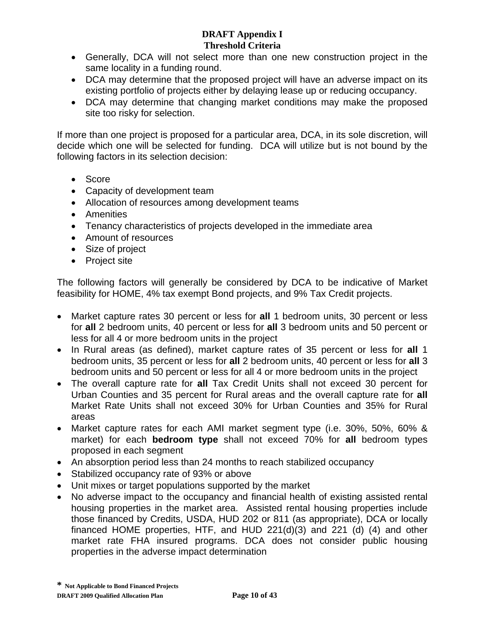- Generally, DCA will not select more than one new construction project in the same locality in a funding round.
- DCA may determine that the proposed project will have an adverse impact on its existing portfolio of projects either by delaying lease up or reducing occupancy.
- DCA may determine that changing market conditions may make the proposed site too risky for selection.

If more than one project is proposed for a particular area, DCA, in its sole discretion, will decide which one will be selected for funding. DCA will utilize but is not bound by the following factors in its selection decision:

- Score
- Capacity of development team
- Allocation of resources among development teams
- Amenities
- Tenancy characteristics of projects developed in the immediate area
- Amount of resources
- Size of project
- Project site

The following factors will generally be considered by DCA to be indicative of Market feasibility for HOME, 4% tax exempt Bond projects, and 9% Tax Credit projects.

- Market capture rates 30 percent or less for **all** 1 bedroom units, 30 percent or less for **all** 2 bedroom units, 40 percent or less for **all** 3 bedroom units and 50 percent or less for all 4 or more bedroom units in the project
- In Rural areas (as defined), market capture rates of 35 percent or less for **all** 1 bedroom units, 35 percent or less for **all** 2 bedroom units, 40 percent or less for **all** 3 bedroom units and 50 percent or less for all 4 or more bedroom units in the project
- The overall capture rate for **all** Tax Credit Units shall not exceed 30 percent for Urban Counties and 35 percent for Rural areas and the overall capture rate for **all** Market Rate Units shall not exceed 30% for Urban Counties and 35% for Rural areas
- Market capture rates for each AMI market segment type (i.e. 30%, 50%, 60% & market) for each **bedroom type** shall not exceed 70% for **all** bedroom types proposed in each segment
- An absorption period less than 24 months to reach stabilized occupancy
- Stabilized occupancy rate of 93% or above
- Unit mixes or target populations supported by the market
- No adverse impact to the occupancy and financial health of existing assisted rental housing properties in the market area. Assisted rental housing properties include those financed by Credits, USDA, HUD 202 or 811 (as appropriate), DCA or locally financed HOME properties, HTF, and HUD 221(d)(3) and 221 (d) (4) and other market rate FHA insured programs. DCA does not consider public housing properties in the adverse impact determination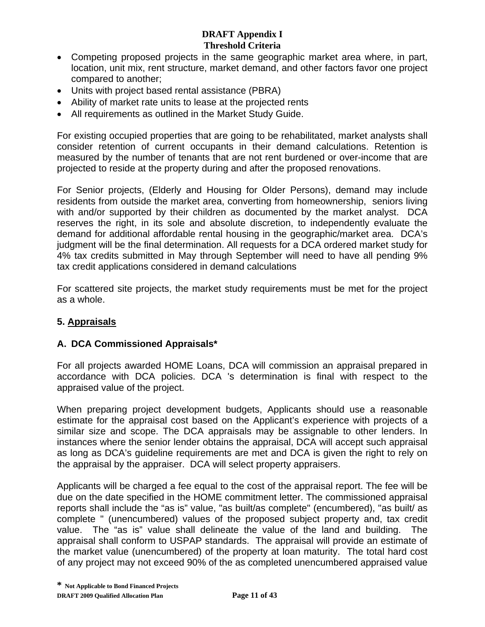- Competing proposed projects in the same geographic market area where, in part, location, unit mix, rent structure, market demand, and other factors favor one project compared to another;
- Units with project based rental assistance (PBRA)
- Ability of market rate units to lease at the projected rents
- All requirements as outlined in the Market Study Guide.

For existing occupied properties that are going to be rehabilitated, market analysts shall consider retention of current occupants in their demand calculations. Retention is measured by the number of tenants that are not rent burdened or over-income that are projected to reside at the property during and after the proposed renovations.

For Senior projects, (Elderly and Housing for Older Persons), demand may include residents from outside the market area, converting from homeownership, seniors living with and/or supported by their children as documented by the market analyst. DCA reserves the right, in its sole and absolute discretion, to independently evaluate the demand for additional affordable rental housing in the geographic/market area. DCA's judgment will be the final determination. All requests for a DCA ordered market study for 4% tax credits submitted in May through September will need to have all pending 9% tax credit applications considered in demand calculations

For scattered site projects, the market study requirements must be met for the project as a whole.

## **5. Appraisals**

## **A. DCA Commissioned Appraisals\***

For all projects awarded HOME Loans, DCA will commission an appraisal prepared in accordance with DCA policies. DCA 's determination is final with respect to the appraised value of the project.

When preparing project development budgets, Applicants should use a reasonable estimate for the appraisal cost based on the Applicant's experience with projects of a similar size and scope. The DCA appraisals may be assignable to other lenders. In instances where the senior lender obtains the appraisal, DCA will accept such appraisal as long as DCA's guideline requirements are met and DCA is given the right to rely on the appraisal by the appraiser. DCA will select property appraisers.

Applicants will be charged a fee equal to the cost of the appraisal report. The fee will be due on the date specified in the HOME commitment letter. The commissioned appraisal reports shall include the "as is" value, "as built/as complete" (encumbered), "as built/ as complete " (unencumbered) values of the proposed subject property and, tax credit value. The "as is" value shall delineate the value of the land and building. The appraisal shall conform to USPAP standards. The appraisal will provide an estimate of the market value (unencumbered) of the property at loan maturity. The total hard cost of any project may not exceed 90% of the as completed unencumbered appraised value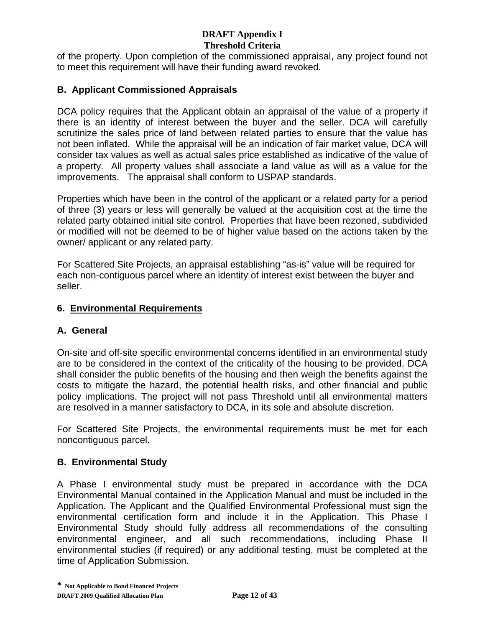of the property. Upon completion of the commissioned appraisal, any project found not to meet this requirement will have their funding award revoked.

## **B. Applicant Commissioned Appraisals**

DCA policy requires that the Applicant obtain an appraisal of the value of a property if there is an identity of interest between the buyer and the seller. DCA will carefully scrutinize the sales price of land between related parties to ensure that the value has not been inflated. While the appraisal will be an indication of fair market value, DCA will consider tax values as well as actual sales price established as indicative of the value of a property. All property values shall associate a land value as will as a value for the improvements. The appraisal shall conform to USPAP standards.

Properties which have been in the control of the applicant or a related party for a period of three (3) years or less will generally be valued at the acquisition cost at the time the related party obtained initial site control. Properties that have been rezoned, subdivided or modified will not be deemed to be of higher value based on the actions taken by the owner/ applicant or any related party.

For Scattered Site Projects, an appraisal establishing "as-is" value will be required for each non-contiguous parcel where an identity of interest exist between the buyer and seller.

## **6. Environmental Requirements**

## **A. General**

On-site and off-site specific environmental concerns identified in an environmental study are to be considered in the context of the criticality of the housing to be provided. DCA shall consider the public benefits of the housing and then weigh the benefits against the costs to mitigate the hazard, the potential health risks, and other financial and public policy implications. The project will not pass Threshold until all environmental matters are resolved in a manner satisfactory to DCA, in its sole and absolute discretion.

For Scattered Site Projects, the environmental requirements must be met for each noncontiguous parcel.

## **B. Environmental Study**

A Phase I environmental study must be prepared in accordance with the DCA Environmental Manual contained in the Application Manual and must be included in the Application. The Applicant and the Qualified Environmental Professional must sign the environmental certification form and include it in the Application. This Phase I Environmental Study should fully address all recommendations of the consulting environmental engineer, and all such recommendations, including Phase II environmental studies (if required) or any additional testing, must be completed at the time of Application Submission.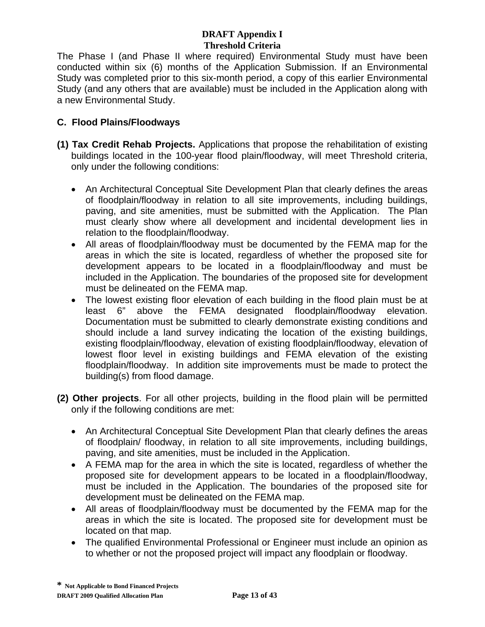The Phase I (and Phase II where required) Environmental Study must have been conducted within six (6) months of the Application Submission. If an Environmental Study was completed prior to this six-month period, a copy of this earlier Environmental Study (and any others that are available) must be included in the Application along with a new Environmental Study.

# **C. Flood Plains/Floodways**

- **(1) Tax Credit Rehab Projects.** Applications that propose the rehabilitation of existing buildings located in the 100-year flood plain/floodway, will meet Threshold criteria, only under the following conditions:
	- An Architectural Conceptual Site Development Plan that clearly defines the areas of floodplain/floodway in relation to all site improvements, including buildings, paving, and site amenities, must be submitted with the Application. The Plan must clearly show where all development and incidental development lies in relation to the floodplain/floodway.
	- All areas of floodplain/floodway must be documented by the FEMA map for the areas in which the site is located, regardless of whether the proposed site for development appears to be located in a floodplain/floodway and must be included in the Application. The boundaries of the proposed site for development must be delineated on the FEMA map.
	- The lowest existing floor elevation of each building in the flood plain must be at least 6" above the FEMA designated floodplain/floodway elevation. Documentation must be submitted to clearly demonstrate existing conditions and should include a land survey indicating the location of the existing buildings, existing floodplain/floodway, elevation of existing floodplain/floodway, elevation of lowest floor level in existing buildings and FEMA elevation of the existing floodplain/floodway. In addition site improvements must be made to protect the building(s) from flood damage.
- **(2) Other projects**. For all other projects, building in the flood plain will be permitted only if the following conditions are met:
	- An Architectural Conceptual Site Development Plan that clearly defines the areas of floodplain/ floodway, in relation to all site improvements, including buildings, paving, and site amenities, must be included in the Application.
	- A FEMA map for the area in which the site is located, regardless of whether the proposed site for development appears to be located in a floodplain/floodway, must be included in the Application. The boundaries of the proposed site for development must be delineated on the FEMA map.
	- All areas of floodplain/floodway must be documented by the FEMA map for the areas in which the site is located. The proposed site for development must be located on that map.
	- The qualified Environmental Professional or Engineer must include an opinion as to whether or not the proposed project will impact any floodplain or floodway.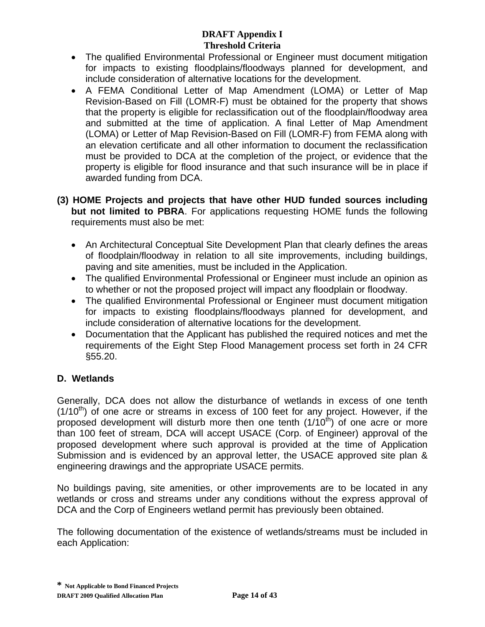- The qualified Environmental Professional or Engineer must document mitigation for impacts to existing floodplains/floodways planned for development, and include consideration of alternative locations for the development.
- A FEMA Conditional Letter of Map Amendment (LOMA) or Letter of Map Revision-Based on Fill (LOMR-F) must be obtained for the property that shows that the property is eligible for reclassification out of the floodplain/floodway area and submitted at the time of application. A final Letter of Map Amendment (LOMA) or Letter of Map Revision-Based on Fill (LOMR-F) from FEMA along with an elevation certificate and all other information to document the reclassification must be provided to DCA at the completion of the project, or evidence that the property is eligible for flood insurance and that such insurance will be in place if awarded funding from DCA.
- **(3) HOME Projects and projects that have other HUD funded sources including but not limited to PBRA**. For applications requesting HOME funds the following requirements must also be met:
	- An Architectural Conceptual Site Development Plan that clearly defines the areas of floodplain/floodway in relation to all site improvements, including buildings, paving and site amenities, must be included in the Application.
	- The qualified Environmental Professional or Engineer must include an opinion as to whether or not the proposed project will impact any floodplain or floodway.
	- The qualified Environmental Professional or Engineer must document mitigation for impacts to existing floodplains/floodways planned for development, and include consideration of alternative locations for the development.
	- Documentation that the Applicant has published the required notices and met the requirements of the Eight Step Flood Management process set forth in 24 CFR §55.20.

# **D. Wetlands**

Generally, DCA does not allow the disturbance of wetlands in excess of one tenth  $(1/10<sup>th</sup>)$  of one acre or streams in excess of 100 feet for any project. However, if the proposed development will disturb more then one tenth  $(1/10<sup>th</sup>)$  of one acre or more than 100 feet of stream, DCA will accept USACE (Corp. of Engineer) approval of the proposed development where such approval is provided at the time of Application Submission and is evidenced by an approval letter, the USACE approved site plan & engineering drawings and the appropriate USACE permits.

No buildings paving, site amenities, or other improvements are to be located in any wetlands or cross and streams under any conditions without the express approval of DCA and the Corp of Engineers wetland permit has previously been obtained.

The following documentation of the existence of wetlands/streams must be included in each Application: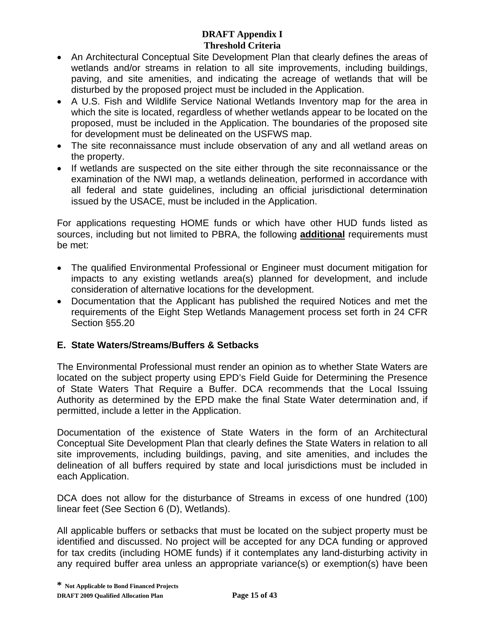- An Architectural Conceptual Site Development Plan that clearly defines the areas of wetlands and/or streams in relation to all site improvements, including buildings, paving, and site amenities, and indicating the acreage of wetlands that will be disturbed by the proposed project must be included in the Application.
- A U.S. Fish and Wildlife Service National Wetlands Inventory map for the area in which the site is located, regardless of whether wetlands appear to be located on the proposed, must be included in the Application. The boundaries of the proposed site for development must be delineated on the USFWS map.
- The site reconnaissance must include observation of any and all wetland areas on the property.
- If wetlands are suspected on the site either through the site reconnaissance or the examination of the NWI map, a wetlands delineation, performed in accordance with all federal and state guidelines, including an official jurisdictional determination issued by the USACE, must be included in the Application.

For applications requesting HOME funds or which have other HUD funds listed as sources, including but not limited to PBRA, the following **additional** requirements must be met:

- The qualified Environmental Professional or Engineer must document mitigation for impacts to any existing wetlands area(s) planned for development, and include consideration of alternative locations for the development.
- Documentation that the Applicant has published the required Notices and met the requirements of the Eight Step Wetlands Management process set forth in 24 CFR Section §55.20

# **E. State Waters/Streams/Buffers & Setbacks**

The Environmental Professional must render an opinion as to whether State Waters are located on the subject property using EPD's Field Guide for Determining the Presence of State Waters That Require a Buffer. DCA recommends that the Local Issuing Authority as determined by the EPD make the final State Water determination and, if permitted, include a letter in the Application.

Documentation of the existence of State Waters in the form of an Architectural Conceptual Site Development Plan that clearly defines the State Waters in relation to all site improvements, including buildings, paving, and site amenities, and includes the delineation of all buffers required by state and local jurisdictions must be included in each Application.

DCA does not allow for the disturbance of Streams in excess of one hundred (100) linear feet (See Section 6 (D), Wetlands).

All applicable buffers or setbacks that must be located on the subject property must be identified and discussed. No project will be accepted for any DCA funding or approved for tax credits (including HOME funds) if it contemplates any land-disturbing activity in any required buffer area unless an appropriate variance(s) or exemption(s) have been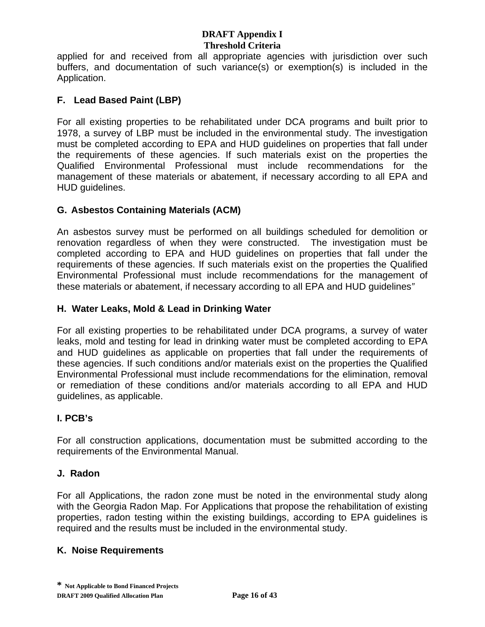applied for and received from all appropriate agencies with jurisdiction over such buffers, and documentation of such variance(s) or exemption(s) is included in the Application.

# **F. Lead Based Paint (LBP)**

For all existing properties to be rehabilitated under DCA programs and built prior to 1978, a survey of LBP must be included in the environmental study. The investigation must be completed according to EPA and HUD guidelines on properties that fall under the requirements of these agencies. If such materials exist on the properties the Qualified Environmental Professional must include recommendations for the management of these materials or abatement, if necessary according to all EPA and HUD guidelines.

## **G. Asbestos Containing Materials (ACM)**

An asbestos survey must be performed on all buildings scheduled for demolition or renovation regardless of when they were constructed. The investigation must be completed according to EPA and HUD guidelines on properties that fall under the requirements of these agencies. If such materials exist on the properties the Qualified Environmental Professional must include recommendations for the management of these materials or abatement, if necessary according to all EPA and HUD guidelines*"*

## **H. Water Leaks, Mold & Lead in Drinking Water**

For all existing properties to be rehabilitated under DCA programs, a survey of water leaks, mold and testing for lead in drinking water must be completed according to EPA and HUD guidelines as applicable on properties that fall under the requirements of these agencies. If such conditions and/or materials exist on the properties the Qualified Environmental Professional must include recommendations for the elimination, removal or remediation of these conditions and/or materials according to all EPA and HUD guidelines, as applicable.

## **I. PCB's**

For all construction applications, documentation must be submitted according to the requirements of the Environmental Manual.

## **J. Radon**

For all Applications, the radon zone must be noted in the environmental study along with the Georgia Radon Map. For Applications that propose the rehabilitation of existing properties, radon testing within the existing buildings, according to EPA guidelines is required and the results must be included in the environmental study.

## **K. Noise Requirements**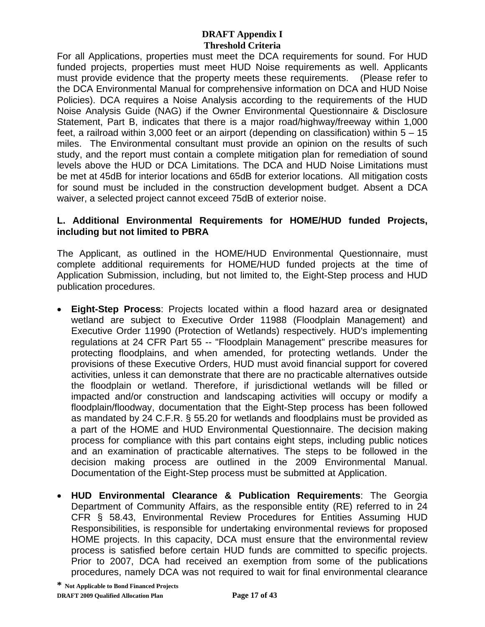For all Applications, properties must meet the DCA requirements for sound. For HUD funded projects, properties must meet HUD Noise requirements as well. Applicants must provide evidence that the property meets these requirements. (Please refer to the DCA Environmental Manual for comprehensive information on DCA and HUD Noise Policies). DCA requires a Noise Analysis according to the requirements of the HUD Noise Analysis Guide (NAG) if the Owner Environmental Questionnaire & Disclosure Statement, Part B, indicates that there is a major road/highway/freeway within 1,000 feet, a railroad within 3,000 feet or an airport (depending on classification) within 5 – 15 miles. The Environmental consultant must provide an opinion on the results of such study, and the report must contain a complete mitigation plan for remediation of sound levels above the HUD or DCA Limitations. The DCA and HUD Noise Limitations must be met at 45dB for interior locations and 65dB for exterior locations. All mitigation costs for sound must be included in the construction development budget. Absent a DCA waiver, a selected project cannot exceed 75dB of exterior noise.

### **L. Additional Environmental Requirements for HOME/HUD funded Projects, including but not limited to PBRA**

The Applicant, as outlined in the HOME/HUD Environmental Questionnaire, must complete additional requirements for HOME/HUD funded projects at the time of Application Submission, including, but not limited to, the Eight-Step process and HUD publication procedures.

- **Eight-Step Process**: Projects located within a flood hazard area or designated wetland are subject to Executive Order 11988 (Floodplain Management) and Executive Order 11990 (Protection of Wetlands) respectively. HUD's implementing regulations at 24 CFR Part 55 -- "Floodplain Management" prescribe measures for protecting floodplains, and when amended, for protecting wetlands. Under the provisions of these Executive Orders, HUD must avoid financial support for covered activities, unless it can demonstrate that there are no practicable alternatives outside the floodplain or wetland. Therefore, if jurisdictional wetlands will be filled or impacted and/or construction and landscaping activities will occupy or modify a floodplain/floodway, documentation that the Eight-Step process has been followed as mandated by 24 C.F.R. § 55.20 for wetlands and floodplains must be provided as a part of the HOME and HUD Environmental Questionnaire. The decision making process for compliance with this part contains eight steps, including public notices and an examination of practicable alternatives. The steps to be followed in the decision making process are outlined in the 2009 Environmental Manual. Documentation of the Eight-Step process must be submitted at Application.
- **HUD Environmental Clearance & Publication Requirements**: The Georgia Department of Community Affairs, as the responsible entity (RE) referred to in 24 CFR § 58.43, Environmental Review Procedures for Entities Assuming HUD Responsibilities, is responsible for undertaking environmental reviews for proposed HOME projects. In this capacity, DCA must ensure that the environmental review process is satisfied before certain HUD funds are committed to specific projects. Prior to 2007, DCA had received an exemption from some of the publications procedures, namely DCA was not required to wait for final environmental clearance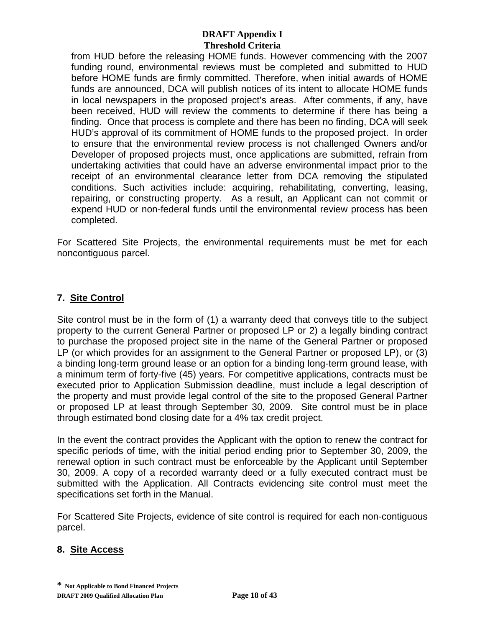from HUD before the releasing HOME funds. However commencing with the 2007 funding round, environmental reviews must be completed and submitted to HUD before HOME funds are firmly committed. Therefore, when initial awards of HOME funds are announced, DCA will publish notices of its intent to allocate HOME funds in local newspapers in the proposed project's areas. After comments, if any, have been received, HUD will review the comments to determine if there has being a finding. Once that process is complete and there has been no finding, DCA will seek HUD's approval of its commitment of HOME funds to the proposed project. In order to ensure that the environmental review process is not challenged Owners and/or Developer of proposed projects must, once applications are submitted, refrain from undertaking activities that could have an adverse environmental impact prior to the receipt of an environmental clearance letter from DCA removing the stipulated conditions. Such activities include: acquiring, rehabilitating, converting, leasing, repairing, or constructing property. As a result, an Applicant can not commit or expend HUD or non-federal funds until the environmental review process has been completed.

For Scattered Site Projects, the environmental requirements must be met for each noncontiguous parcel.

# **7. Site Control**

Site control must be in the form of (1) a warranty deed that conveys title to the subject property to the current General Partner or proposed LP or 2) a legally binding contract to purchase the proposed project site in the name of the General Partner or proposed LP (or which provides for an assignment to the General Partner or proposed LP), or (3) a binding long-term ground lease or an option for a binding long-term ground lease, with a minimum term of forty-five (45) years. For competitive applications, contracts must be executed prior to Application Submission deadline, must include a legal description of the property and must provide legal control of the site to the proposed General Partner or proposed LP at least through September 30, 2009. Site control must be in place through estimated bond closing date for a 4% tax credit project.

In the event the contract provides the Applicant with the option to renew the contract for specific periods of time, with the initial period ending prior to September 30, 2009, the renewal option in such contract must be enforceable by the Applicant until September 30, 2009. A copy of a recorded warranty deed or a fully executed contract must be submitted with the Application. All Contracts evidencing site control must meet the specifications set forth in the Manual.

For Scattered Site Projects, evidence of site control is required for each non-contiguous parcel.

#### **8. Site Access**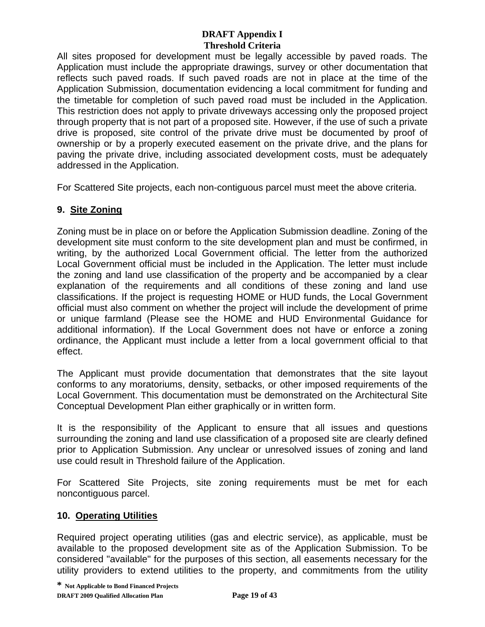All sites proposed for development must be legally accessible by paved roads. The Application must include the appropriate drawings, survey or other documentation that reflects such paved roads. If such paved roads are not in place at the time of the Application Submission, documentation evidencing a local commitment for funding and the timetable for completion of such paved road must be included in the Application. This restriction does not apply to private driveways accessing only the proposed project through property that is not part of a proposed site. However, if the use of such a private drive is proposed, site control of the private drive must be documented by proof of ownership or by a properly executed easement on the private drive, and the plans for paving the private drive, including associated development costs, must be adequately addressed in the Application.

For Scattered Site projects, each non-contiguous parcel must meet the above criteria.

# **9. Site Zoning**

Zoning must be in place on or before the Application Submission deadline. Zoning of the development site must conform to the site development plan and must be confirmed, in writing, by the authorized Local Government official. The letter from the authorized Local Government official must be included in the Application. The letter must include the zoning and land use classification of the property and be accompanied by a clear explanation of the requirements and all conditions of these zoning and land use classifications. If the project is requesting HOME or HUD funds, the Local Government official must also comment on whether the project will include the development of prime or unique farmland (Please see the HOME and HUD Environmental Guidance for additional information). If the Local Government does not have or enforce a zoning ordinance, the Applicant must include a letter from a local government official to that effect.

The Applicant must provide documentation that demonstrates that the site layout conforms to any moratoriums, density, setbacks, or other imposed requirements of the Local Government. This documentation must be demonstrated on the Architectural Site Conceptual Development Plan either graphically or in written form.

It is the responsibility of the Applicant to ensure that all issues and questions surrounding the zoning and land use classification of a proposed site are clearly defined prior to Application Submission. Any unclear or unresolved issues of zoning and land use could result in Threshold failure of the Application.

For Scattered Site Projects, site zoning requirements must be met for each noncontiguous parcel.

# **10. Operating Utilities**

Required project operating utilities (gas and electric service), as applicable, must be available to the proposed development site as of the Application Submission. To be considered "available" for the purposes of this section, all easements necessary for the utility providers to extend utilities to the property, and commitments from the utility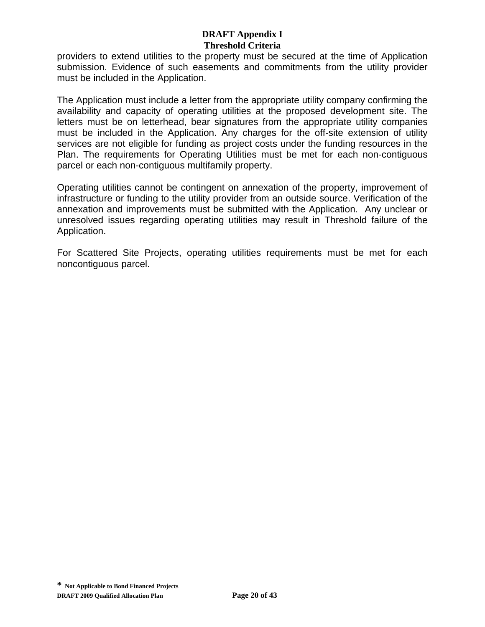providers to extend utilities to the property must be secured at the time of Application submission. Evidence of such easements and commitments from the utility provider must be included in the Application.

The Application must include a letter from the appropriate utility company confirming the availability and capacity of operating utilities at the proposed development site. The letters must be on letterhead, bear signatures from the appropriate utility companies must be included in the Application. Any charges for the off-site extension of utility services are not eligible for funding as project costs under the funding resources in the Plan. The requirements for Operating Utilities must be met for each non-contiguous parcel or each non-contiguous multifamily property.

Operating utilities cannot be contingent on annexation of the property, improvement of infrastructure or funding to the utility provider from an outside source. Verification of the annexation and improvements must be submitted with the Application. Any unclear or unresolved issues regarding operating utilities may result in Threshold failure of the Application.

For Scattered Site Projects, operating utilities requirements must be met for each noncontiguous parcel.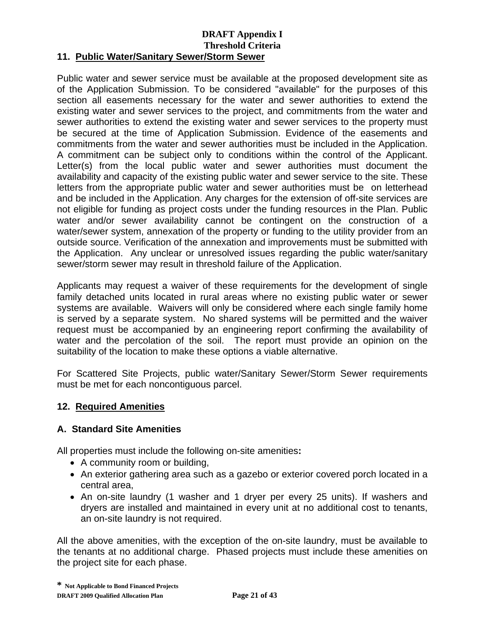### **11. Public Water/Sanitary Sewer/Storm Sewer**

Public water and sewer service must be available at the proposed development site as of the Application Submission. To be considered "available" for the purposes of this section all easements necessary for the water and sewer authorities to extend the existing water and sewer services to the project, and commitments from the water and sewer authorities to extend the existing water and sewer services to the property must be secured at the time of Application Submission. Evidence of the easements and commitments from the water and sewer authorities must be included in the Application. A commitment can be subject only to conditions within the control of the Applicant. Letter(s) from the local public water and sewer authorities must document the availability and capacity of the existing public water and sewer service to the site. These letters from the appropriate public water and sewer authorities must be on letterhead and be included in the Application. Any charges for the extension of off-site services are not eligible for funding as project costs under the funding resources in the Plan. Public water and/or sewer availability cannot be contingent on the construction of a water/sewer system, annexation of the property or funding to the utility provider from an outside source. Verification of the annexation and improvements must be submitted with the Application.Any unclear or unresolved issues regarding the public water/sanitary sewer/storm sewer may result in threshold failure of the Application.

Applicants may request a waiver of these requirements for the development of single family detached units located in rural areas where no existing public water or sewer systems are available. Waivers will only be considered where each single family home is served by a separate system. No shared systems will be permitted and the waiver request must be accompanied by an engineering report confirming the availability of water and the percolation of the soil. The report must provide an opinion on the suitability of the location to make these options a viable alternative.

For Scattered Site Projects, public water/Sanitary Sewer/Storm Sewer requirements must be met for each noncontiguous parcel.

#### **12. Required Amenities**

#### **A. Standard Site Amenities**

All properties must include the following on-site amenities**:** 

- A community room or building,
- An exterior gathering area such as a gazebo or exterior covered porch located in a central area,
- An on-site laundry (1 washer and 1 dryer per every 25 units). If washers and dryers are installed and maintained in every unit at no additional cost to tenants, an on-site laundry is not required.

All the above amenities, with the exception of the on-site laundry, must be available to the tenants at no additional charge. Phased projects must include these amenities on the project site for each phase.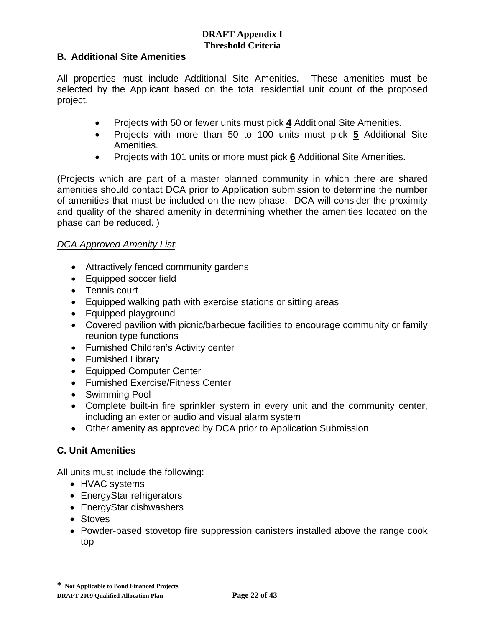## **B. Additional Site Amenities**

All properties must include Additional Site Amenities. These amenities must be selected by the Applicant based on the total residential unit count of the proposed project.

- Projects with 50 or fewer units must pick **4** Additional Site Amenities.
- Projects with more than 50 to 100 units must pick **5** Additional Site Amenities.
- Projects with 101 units or more must pick **6** Additional Site Amenities.

(Projects which are part of a master planned community in which there are shared amenities should contact DCA prior to Application submission to determine the number of amenities that must be included on the new phase. DCA will consider the proximity and quality of the shared amenity in determining whether the amenities located on the phase can be reduced. )

#### *DCA Approved Amenity List*:

- Attractively fenced community gardens
- Equipped soccer field
- Tennis court
- Equipped walking path with exercise stations or sitting areas
- Equipped playground
- Covered pavilion with picnic/barbecue facilities to encourage community or family reunion type functions
- Furnished Children's Activity center
- Furnished Library
- Equipped Computer Center
- Furnished Exercise/Fitness Center
- Swimming Pool
- Complete built-in fire sprinkler system in every unit and the community center, including an exterior audio and visual alarm system
- Other amenity as approved by DCA prior to Application Submission

# **C. Unit Amenities**

All units must include the following:

- HVAC systems
- EnergyStar refrigerators
- EnergyStar dishwashers
- Stoves
- Powder-based stovetop fire suppression canisters installed above the range cook top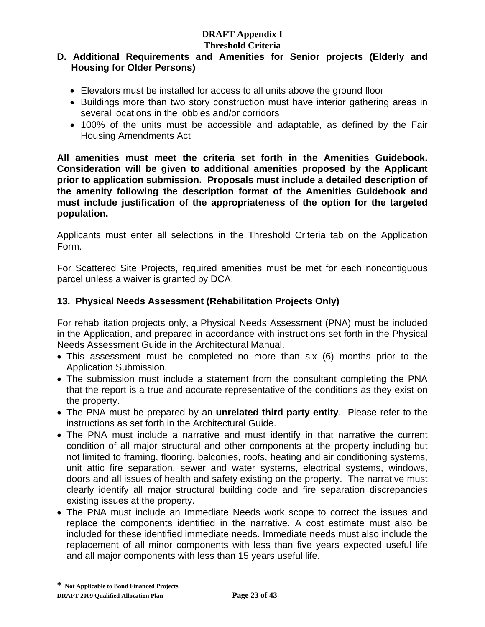# **DRAFT Appendix I**

# **Threshold Criteria**

## **D. Additional Requirements and Amenities for Senior projects (Elderly and Housing for Older Persons)**

- Elevators must be installed for access to all units above the ground floor
- Buildings more than two story construction must have interior gathering areas in several locations in the lobbies and/or corridors
- 100% of the units must be accessible and adaptable, as defined by the Fair Housing Amendments Act

**All amenities must meet the criteria set forth in the Amenities Guidebook. Consideration will be given to additional amenities proposed by the Applicant prior to application submission. Proposals must include a detailed description of the amenity following the description format of the Amenities Guidebook and must include justification of the appropriateness of the option for the targeted population.** 

Applicants must enter all selections in the Threshold Criteria tab on the Application Form.

For Scattered Site Projects, required amenities must be met for each noncontiguous parcel unless a waiver is granted by DCA.

# **13. Physical Needs Assessment (Rehabilitation Projects Only)**

For rehabilitation projects only, a Physical Needs Assessment (PNA) must be included in the Application, and prepared in accordance with instructions set forth in the Physical Needs Assessment Guide in the Architectural Manual.

- This assessment must be completed no more than six (6) months prior to the Application Submission.
- The submission must include a statement from the consultant completing the PNA that the report is a true and accurate representative of the conditions as they exist on the property.
- The PNA must be prepared by an **unrelated third party entity**. Please refer to the instructions as set forth in the Architectural Guide.
- The PNA must include a narrative and must identify in that narrative the current condition of all major structural and other components at the property including but not limited to framing, flooring, balconies, roofs, heating and air conditioning systems, unit attic fire separation, sewer and water systems, electrical systems, windows, doors and all issues of health and safety existing on the property. The narrative must clearly identify all major structural building code and fire separation discrepancies existing issues at the property.
- The PNA must include an Immediate Needs work scope to correct the issues and replace the components identified in the narrative. A cost estimate must also be included for these identified immediate needs. Immediate needs must also include the replacement of all minor components with less than five years expected useful life and all major components with less than 15 years useful life.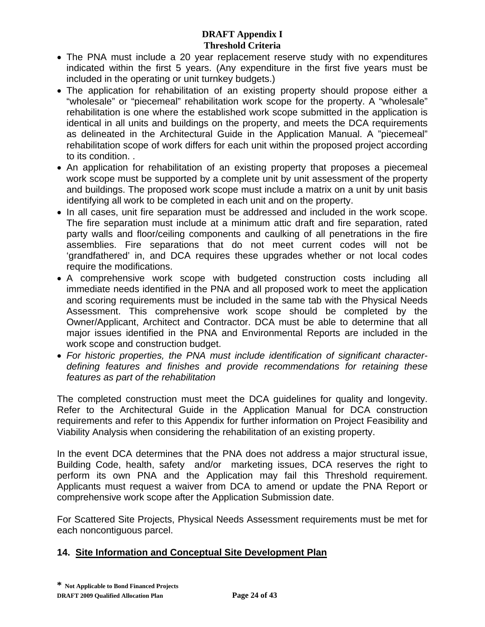- The PNA must include a 20 year replacement reserve study with no expenditures indicated within the first 5 years. (Any expenditure in the first five years must be included in the operating or unit turnkey budgets.)
- The application for rehabilitation of an existing property should propose either a "wholesale" or "piecemeal" rehabilitation work scope for the property. A "wholesale" rehabilitation is one where the established work scope submitted in the application is identical in all units and buildings on the property, and meets the DCA requirements as delineated in the Architectural Guide in the Application Manual. A "piecemeal" rehabilitation scope of work differs for each unit within the proposed project according to its condition. .
- An application for rehabilitation of an existing property that proposes a piecemeal work scope must be supported by a complete unit by unit assessment of the property and buildings. The proposed work scope must include a matrix on a unit by unit basis identifying all work to be completed in each unit and on the property.
- In all cases, unit fire separation must be addressed and included in the work scope. The fire separation must include at a minimum attic draft and fire separation, rated party walls and floor/ceiling components and caulking of all penetrations in the fire assemblies. Fire separations that do not meet current codes will not be 'grandfathered' in, and DCA requires these upgrades whether or not local codes require the modifications.
- A comprehensive work scope with budgeted construction costs including all immediate needs identified in the PNA and all proposed work to meet the application and scoring requirements must be included in the same tab with the Physical Needs Assessment. This comprehensive work scope should be completed by the Owner/Applicant, Architect and Contractor. DCA must be able to determine that all major issues identified in the PNA and Environmental Reports are included in the work scope and construction budget.
- *For historic properties, the PNA must include identification of significant characterdefining features and finishes and provide recommendations for retaining these features as part of the rehabilitation*

The completed construction must meet the DCA guidelines for quality and longevity. Refer to the Architectural Guide in the Application Manual for DCA construction requirements and refer to this Appendix for further information on Project Feasibility and Viability Analysis when considering the rehabilitation of an existing property.

In the event DCA determines that the PNA does not address a major structural issue, Building Code, health, safety and/or marketing issues, DCA reserves the right to perform its own PNA and the Application may fail this Threshold requirement. Applicants must request a waiver from DCA to amend or update the PNA Report or comprehensive work scope after the Application Submission date.

For Scattered Site Projects, Physical Needs Assessment requirements must be met for each noncontiguous parcel.

# **14. Site Information and Conceptual Site Development Plan**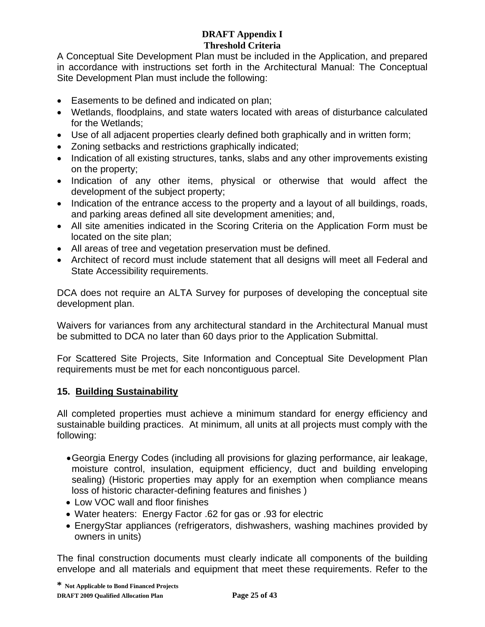A Conceptual Site Development Plan must be included in the Application, and prepared in accordance with instructions set forth in the Architectural Manual: The Conceptual Site Development Plan must include the following:

- Easements to be defined and indicated on plan;
- Wetlands, floodplains, and state waters located with areas of disturbance calculated for the Wetlands;
- Use of all adjacent properties clearly defined both graphically and in written form;
- Zoning setbacks and restrictions graphically indicated;
- Indication of all existing structures, tanks, slabs and any other improvements existing on the property;
- Indication of any other items, physical or otherwise that would affect the development of the subject property;
- Indication of the entrance access to the property and a layout of all buildings, roads, and parking areas defined all site development amenities; and,
- All site amenities indicated in the Scoring Criteria on the Application Form must be located on the site plan;
- All areas of tree and vegetation preservation must be defined.
- Architect of record must include statement that all designs will meet all Federal and State Accessibility requirements.

DCA does not require an ALTA Survey for purposes of developing the conceptual site development plan.

Waivers for variances from any architectural standard in the Architectural Manual must be submitted to DCA no later than 60 days prior to the Application Submittal.

For Scattered Site Projects, Site Information and Conceptual Site Development Plan requirements must be met for each noncontiguous parcel.

# **15. Building Sustainability**

All completed properties must achieve a minimum standard for energy efficiency and sustainable building practices. At minimum, all units at all projects must comply with the following:

- Georgia Energy Codes (including all provisions for glazing performance, air leakage, moisture control, insulation, equipment efficiency, duct and building enveloping sealing) (Historic properties may apply for an exemption when compliance means loss of historic character-defining features and finishes )
- Low VOC wall and floor finishes
- Water heaters: Energy Factor .62 for gas or .93 for electric
- EnergyStar appliances (refrigerators, dishwashers, washing machines provided by owners in units)

The final construction documents must clearly indicate all components of the building envelope and all materials and equipment that meet these requirements. Refer to the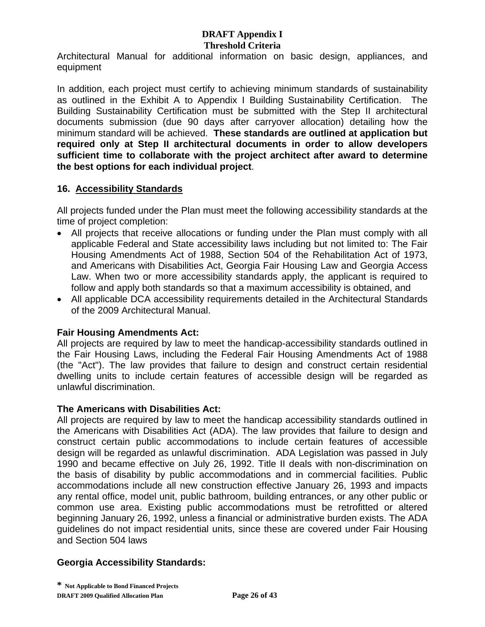Architectural Manual for additional information on basic design, appliances, and equipment

In addition, each project must certify to achieving minimum standards of sustainability as outlined in the Exhibit A to Appendix I Building Sustainability Certification. The Building Sustainability Certification must be submitted with the Step II architectural documents submission (due 90 days after carryover allocation) detailing how the minimum standard will be achieved. **These standards are outlined at application but required only at Step II architectural documents in order to allow developers sufficient time to collaborate with the project architect after award to determine the best options for each individual project**.

#### **16. Accessibility Standards**

All projects funded under the Plan must meet the following accessibility standards at the time of project completion:

- All projects that receive allocations or funding under the Plan must comply with all applicable Federal and State accessibility laws including but not limited to: The Fair Housing Amendments Act of 1988, Section 504 of the Rehabilitation Act of 1973, and Americans with Disabilities Act, Georgia Fair Housing Law and Georgia Access Law. When two or more accessibility standards apply, the applicant is required to follow and apply both standards so that a maximum accessibility is obtained, and
- All applicable DCA accessibility requirements detailed in the Architectural Standards of the 2009 Architectural Manual.

# **Fair Housing Amendments Act:**

All projects are required by law to meet the handicap-accessibility standards outlined in the Fair Housing Laws, including the Federal Fair Housing Amendments Act of 1988 (the "Act"). The law provides that failure to design and construct certain residential dwelling units to include certain features of accessible design will be regarded as unlawful discrimination.

#### **The Americans with Disabilities Act:**

All projects are required by law to meet the handicap accessibility standards outlined in the Americans with Disabilities Act (ADA). The law provides that failure to design and construct certain public accommodations to include certain features of accessible design will be regarded as unlawful discrimination. ADA Legislation was passed in July 1990 and became effective on July 26, 1992. Title II deals with non-discrimination on the basis of disability by public accommodations and in commercial facilities. Public accommodations include all new construction effective January 26, 1993 and impacts any rental office, model unit, public bathroom, building entrances, or any other public or common use area. Existing public accommodations must be retrofitted or altered beginning January 26, 1992, unless a financial or administrative burden exists. The ADA guidelines do not impact residential units, since these are covered under Fair Housing and Section 504 laws

#### **Georgia Accessibility Standards:**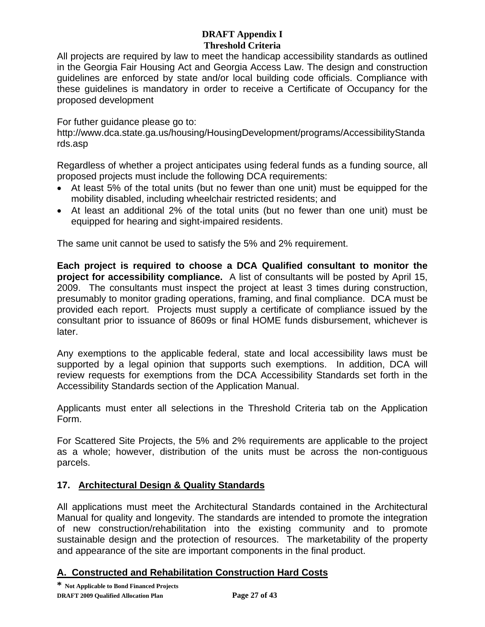All projects are required by law to meet the handicap accessibility standards as outlined in the Georgia Fair Housing Act and Georgia Access Law. The design and construction guidelines are enforced by state and/or local building code officials. Compliance with these guidelines is mandatory in order to receive a Certificate of Occupancy for the proposed development

For futher guidance please go to:

http://www.dca.state.ga.us/housing/HousingDevelopment/programs/AccessibilityStanda rds.asp

Regardless of whether a project anticipates using federal funds as a funding source, all proposed projects must include the following DCA requirements:

- At least 5% of the total units (but no fewer than one unit) must be equipped for the mobility disabled, including wheelchair restricted residents; and
- At least an additional 2% of the total units (but no fewer than one unit) must be equipped for hearing and sight-impaired residents.

The same unit cannot be used to satisfy the 5% and 2% requirement.

**Each project is required to choose a DCA Qualified consultant to monitor the project for accessibility compliance.** A list of consultants will be posted by April 15, 2009. The consultants must inspect the project at least 3 times during construction, presumably to monitor grading operations, framing, and final compliance. DCA must be provided each report. Projects must supply a certificate of compliance issued by the consultant prior to issuance of 8609s or final HOME funds disbursement, whichever is later.

Any exemptions to the applicable federal, state and local accessibility laws must be supported by a legal opinion that supports such exemptions. In addition, DCA will review requests for exemptions from the DCA Accessibility Standards set forth in the Accessibility Standards section of the Application Manual.

Applicants must enter all selections in the Threshold Criteria tab on the Application Form.

For Scattered Site Projects, the 5% and 2% requirements are applicable to the project as a whole; however, distribution of the units must be across the non-contiguous parcels.

# **17. Architectural Design & Quality Standards**

All applications must meet the Architectural Standards contained in the Architectural Manual for quality and longevity. The standards are intended to promote the integration of new construction/rehabilitation into the existing community and to promote sustainable design and the protection of resources. The marketability of the property and appearance of the site are important components in the final product.

# **A. Constructed and Rehabilitation Construction Hard Costs**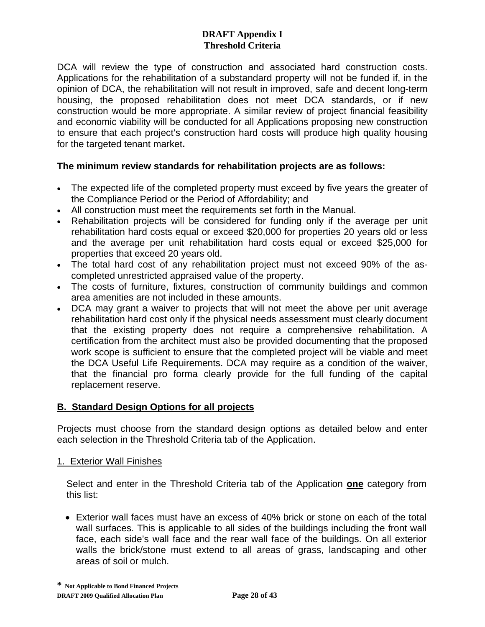DCA will review the type of construction and associated hard construction costs. Applications for the rehabilitation of a substandard property will not be funded if, in the opinion of DCA, the rehabilitation will not result in improved, safe and decent long-term housing, the proposed rehabilitation does not meet DCA standards, or if new construction would be more appropriate. A similar review of project financial feasibility and economic viability will be conducted for all Applications proposing new construction to ensure that each project's construction hard costs will produce high quality housing for the targeted tenant market**.** 

## **The minimum review standards for rehabilitation projects are as follows:**

- The expected life of the completed property must exceed by five years the greater of the Compliance Period or the Period of Affordability; and
- All construction must meet the requirements set forth in the Manual.
- Rehabilitation projects will be considered for funding only if the average per unit rehabilitation hard costs equal or exceed \$20,000 for properties 20 years old or less and the average per unit rehabilitation hard costs equal or exceed \$25,000 for properties that exceed 20 years old.
- The total hard cost of any rehabilitation project must not exceed 90% of the ascompleted unrestricted appraised value of the property.
- The costs of furniture, fixtures, construction of community buildings and common area amenities are not included in these amounts.
- DCA may grant a waiver to projects that will not meet the above per unit average rehabilitation hard cost only if the physical needs assessment must clearly document that the existing property does not require a comprehensive rehabilitation. A certification from the architect must also be provided documenting that the proposed work scope is sufficient to ensure that the completed project will be viable and meet the DCA Useful Life Requirements. DCA may require as a condition of the waiver, that the financial pro forma clearly provide for the full funding of the capital replacement reserve.

#### **B. Standard Design Options for all projects**

Projects must choose from the standard design options as detailed below and enter each selection in the Threshold Criteria tab of the Application.

#### 1. Exterior Wall Finishes

Select and enter in the Threshold Criteria tab of the Application **one** category from this list:

• Exterior wall faces must have an excess of 40% brick or stone on each of the total wall surfaces. This is applicable to all sides of the buildings including the front wall face, each side's wall face and the rear wall face of the buildings. On all exterior walls the brick/stone must extend to all areas of grass, landscaping and other areas of soil or mulch.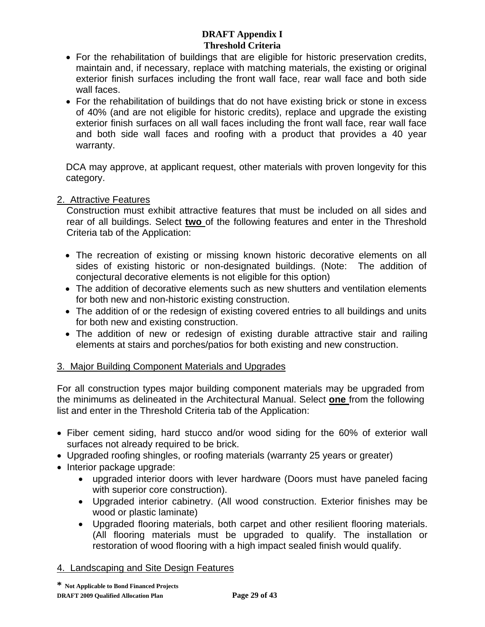- For the rehabilitation of buildings that are eligible for historic preservation credits, maintain and, if necessary, replace with matching materials, the existing or original exterior finish surfaces including the front wall face, rear wall face and both side wall faces.
- For the rehabilitation of buildings that do not have existing brick or stone in excess of 40% (and are not eligible for historic credits), replace and upgrade the existing exterior finish surfaces on all wall faces including the front wall face, rear wall face and both side wall faces and roofing with a product that provides a 40 year warranty.

DCA may approve, at applicant request, other materials with proven longevity for this category.

## 2. Attractive Features

Construction must exhibit attractive features that must be included on all sides and rear of all buildings. Select **two** of the following features and enter in the Threshold Criteria tab of the Application:

- The recreation of existing or missing known historic decorative elements on all sides of existing historic or non-designated buildings. (Note: The addition of conjectural decorative elements is not eligible for this option)
- The addition of decorative elements such as new shutters and ventilation elements for both new and non-historic existing construction.
- The addition of or the redesign of existing covered entries to all buildings and units for both new and existing construction.
- The addition of new or redesign of existing durable attractive stair and railing elements at stairs and porches/patios for both existing and new construction.

# 3. Major Building Component Materials and Upgrades

For all construction types major building component materials may be upgraded from the minimums as delineated in the Architectural Manual. Select **one** from the following list and enter in the Threshold Criteria tab of the Application:

- Fiber cement siding, hard stucco and/or wood siding for the 60% of exterior wall surfaces not already required to be brick.
- Upgraded roofing shingles, or roofing materials (warranty 25 years or greater)
- Interior package upgrade:
	- upgraded interior doors with lever hardware (Doors must have paneled facing with superior core construction).
	- Upgraded interior cabinetry. (All wood construction. Exterior finishes may be wood or plastic laminate)
	- Upgraded flooring materials, both carpet and other resilient flooring materials. (All flooring materials must be upgraded to qualify. The installation or restoration of wood flooring with a high impact sealed finish would qualify.

# 4. Landscaping and Site Design Features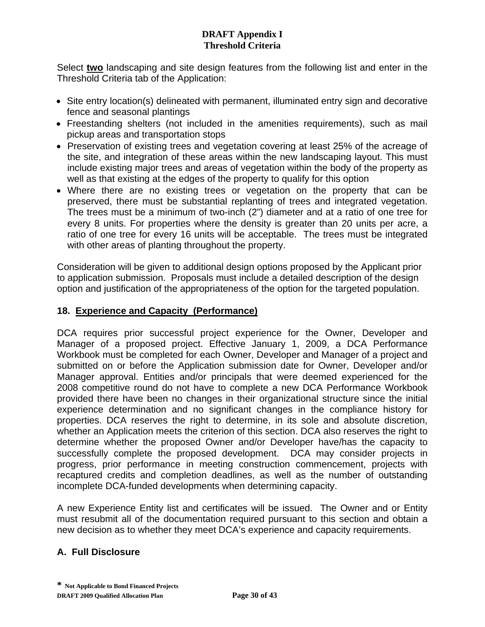Select **two** landscaping and site design features from the following list and enter in the Threshold Criteria tab of the Application:

- Site entry location(s) delineated with permanent, illuminated entry sign and decorative fence and seasonal plantings
- Freestanding shelters (not included in the amenities requirements), such as mail pickup areas and transportation stops
- Preservation of existing trees and vegetation covering at least 25% of the acreage of the site, and integration of these areas within the new landscaping layout. This must include existing major trees and areas of vegetation within the body of the property as well as that existing at the edges of the property to qualify for this option
- Where there are no existing trees or vegetation on the property that can be preserved, there must be substantial replanting of trees and integrated vegetation. The trees must be a minimum of two-inch (2") diameter and at a ratio of one tree for every 8 units. For properties where the density is greater than 20 units per acre, a ratio of one tree for every 16 units will be acceptable. The trees must be integrated with other areas of planting throughout the property.

Consideration will be given to additional design options proposed by the Applicant prior to application submission. Proposals must include a detailed description of the design option and justification of the appropriateness of the option for the targeted population.

# **18. Experience and Capacity (Performance)**

DCA requires prior successful project experience for the Owner, Developer and Manager of a proposed project. Effective January 1, 2009, a DCA Performance Workbook must be completed for each Owner, Developer and Manager of a project and submitted on or before the Application submission date for Owner, Developer and/or Manager approval. Entities and/or principals that were deemed experienced for the 2008 competitive round do not have to complete a new DCA Performance Workbook provided there have been no changes in their organizational structure since the initial experience determination and no significant changes in the compliance history for properties. DCA reserves the right to determine, in its sole and absolute discretion, whether an Application meets the criterion of this section. DCA also reserves the right to determine whether the proposed Owner and/or Developer have/has the capacity to successfully complete the proposed development. DCA may consider projects in progress, prior performance in meeting construction commencement, projects with recaptured credits and completion deadlines, as well as the number of outstanding incomplete DCA-funded developments when determining capacity.

A new Experience Entity list and certificates will be issued. The Owner and or Entity must resubmit all of the documentation required pursuant to this section and obtain a new decision as to whether they meet DCA's experience and capacity requirements.

# **A. Full Disclosure**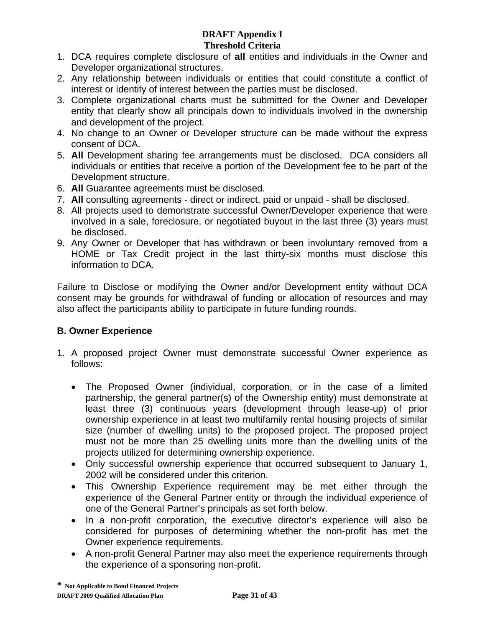- 1. DCA requires complete disclosure of **all** entities and individuals in the Owner and Developer organizational structures.
- 2. Any relationship between individuals or entities that could constitute a conflict of interest or identity of interest between the parties must be disclosed.
- 3. Complete organizational charts must be submitted for the Owner and Developer entity that clearly show all principals down to individuals involved in the ownership and development of the project.
- 4. No change to an Owner or Developer structure can be made without the express consent of DCA.
- 5. **All** Development sharing fee arrangements must be disclosed. DCA considers all individuals or entities that receive a portion of the Development fee to be part of the Development structure.
- 6. **All** Guarantee agreements must be disclosed.
- 7. **All** consulting agreements direct or indirect, paid or unpaid shall be disclosed.
- 8. All projects used to demonstrate successful Owner/Developer experience that were involved in a sale, foreclosure, or negotiated buyout in the last three (3) years must be disclosed.
- 9. Any Owner or Developer that has withdrawn or been involuntary removed from a HOME or Tax Credit project in the last thirty-six months must disclose this information to DCA.

Failure to Disclose or modifying the Owner and/or Development entity without DCA consent may be grounds for withdrawal of funding or allocation of resources and may also affect the participants ability to participate in future funding rounds.

# **B. Owner Experience**

- 1. A proposed project Owner must demonstrate successful Owner experience as follows:
	- The Proposed Owner (individual, corporation, or in the case of a limited partnership, the general partner(s) of the Ownership entity) must demonstrate at least three (3) continuous years (development through lease-up) of prior ownership experience in at least two multifamily rental housing projects of similar size (number of dwelling units) to the proposed project. The proposed project must not be more than 25 dwelling units more than the dwelling units of the projects utilized for determining ownership experience.
	- Only successful ownership experience that occurred subsequent to January 1, 2002 will be considered under this criterion.
	- This Ownership Experience requirement may be met either through the experience of the General Partner entity or through the individual experience of one of the General Partner's principals as set forth below.
	- In a non-profit corporation, the executive director's experience will also be considered for purposes of determining whether the non-profit has met the Owner experience requirements.
	- A non-profit General Partner may also meet the experience requirements through the experience of a sponsoring non-profit.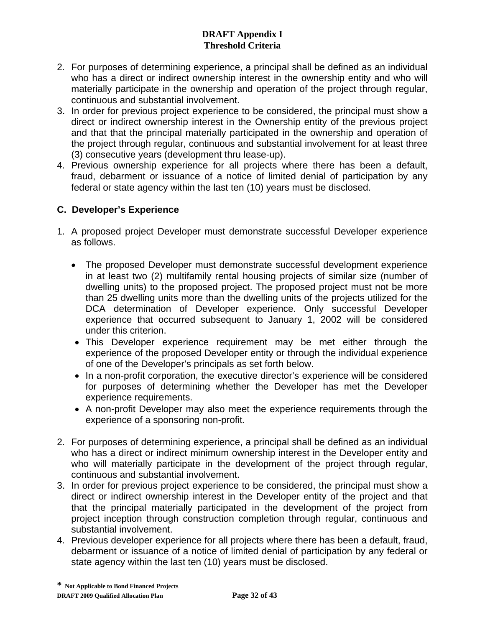- 2. For purposes of determining experience, a principal shall be defined as an individual who has a direct or indirect ownership interest in the ownership entity and who will materially participate in the ownership and operation of the project through regular, continuous and substantial involvement.
- 3. In order for previous project experience to be considered, the principal must show a direct or indirect ownership interest in the Ownership entity of the previous project and that that the principal materially participated in the ownership and operation of the project through regular, continuous and substantial involvement for at least three (3) consecutive years (development thru lease-up).
- 4. Previous ownership experience for all projects where there has been a default, fraud, debarment or issuance of a notice of limited denial of participation by any federal or state agency within the last ten (10) years must be disclosed.

# **C. Developer's Experience**

- 1. A proposed project Developer must demonstrate successful Developer experience as follows.
	- The proposed Developer must demonstrate successful development experience in at least two (2) multifamily rental housing projects of similar size (number of dwelling units) to the proposed project. The proposed project must not be more than 25 dwelling units more than the dwelling units of the projects utilized for the DCA determination of Developer experience. Only successful Developer experience that occurred subsequent to January 1, 2002 will be considered under this criterion.
	- This Developer experience requirement may be met either through the experience of the proposed Developer entity or through the individual experience of one of the Developer's principals as set forth below.
	- In a non-profit corporation, the executive director's experience will be considered for purposes of determining whether the Developer has met the Developer experience requirements.
	- A non-profit Developer may also meet the experience requirements through the experience of a sponsoring non-profit.
- 2. For purposes of determining experience, a principal shall be defined as an individual who has a direct or indirect minimum ownership interest in the Developer entity and who will materially participate in the development of the project through regular, continuous and substantial involvement.
- 3. In order for previous project experience to be considered, the principal must show a direct or indirect ownership interest in the Developer entity of the project and that that the principal materially participated in the development of the project from project inception through construction completion through regular, continuous and substantial involvement.
- 4. Previous developer experience for all projects where there has been a default, fraud, debarment or issuance of a notice of limited denial of participation by any federal or state agency within the last ten (10) years must be disclosed.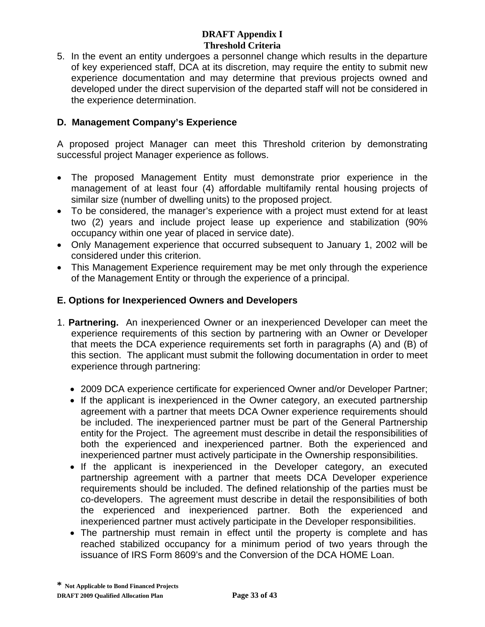5. In the event an entity undergoes a personnel change which results in the departure of key experienced staff, DCA at its discretion, may require the entity to submit new experience documentation and may determine that previous projects owned and developed under the direct supervision of the departed staff will not be considered in the experience determination.

## **D. Management Company's Experience**

A proposed project Manager can meet this Threshold criterion by demonstrating successful project Manager experience as follows.

- The proposed Management Entity must demonstrate prior experience in the management of at least four (4) affordable multifamily rental housing projects of similar size (number of dwelling units) to the proposed project.
- To be considered, the manager's experience with a project must extend for at least two (2) years and include project lease up experience and stabilization (90% occupancy within one year of placed in service date).
- Only Management experience that occurred subsequent to January 1, 2002 will be considered under this criterion.
- This Management Experience requirement may be met only through the experience of the Management Entity or through the experience of a principal.

## **E. Options for Inexperienced Owners and Developers**

- 1. **Partnering.** An inexperienced Owner or an inexperienced Developer can meet the experience requirements of this section by partnering with an Owner or Developer that meets the DCA experience requirements set forth in paragraphs (A) and (B) of this section. The applicant must submit the following documentation in order to meet experience through partnering:
	- 2009 DCA experience certificate for experienced Owner and/or Developer Partner;
	- If the applicant is inexperienced in the Owner category, an executed partnership agreement with a partner that meets DCA Owner experience requirements should be included. The inexperienced partner must be part of the General Partnership entity for the Project. The agreement must describe in detail the responsibilities of both the experienced and inexperienced partner. Both the experienced and inexperienced partner must actively participate in the Ownership responsibilities.
	- If the applicant is inexperienced in the Developer category, an executed partnership agreement with a partner that meets DCA Developer experience requirements should be included. The defined relationship of the parties must be co-developers. The agreement must describe in detail the responsibilities of both the experienced and inexperienced partner. Both the experienced and inexperienced partner must actively participate in the Developer responsibilities.
	- The partnership must remain in effect until the property is complete and has reached stabilized occupancy for a minimum period of two years through the issuance of IRS Form 8609's and the Conversion of the DCA HOME Loan.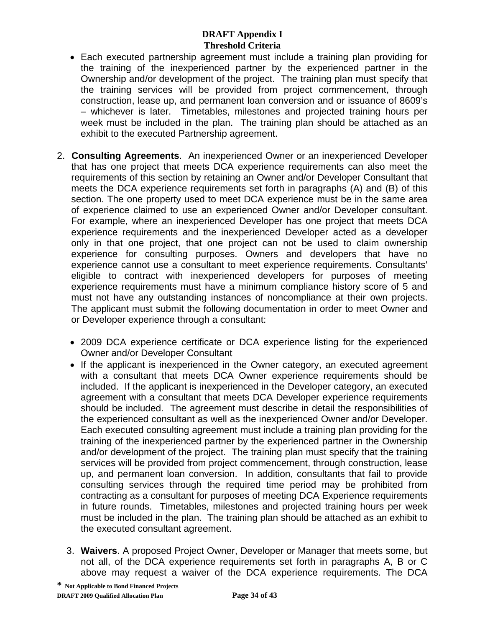- Each executed partnership agreement must include a training plan providing for the training of the inexperienced partner by the experienced partner in the Ownership and/or development of the project. The training plan must specify that the training services will be provided from project commencement, through construction, lease up, and permanent loan conversion and or issuance of 8609's – whichever is later. Timetables, milestones and projected training hours per week must be included in the plan. The training plan should be attached as an exhibit to the executed Partnership agreement.
- 2. **Consulting Agreements**. An inexperienced Owner or an inexperienced Developer that has one project that meets DCA experience requirements can also meet the requirements of this section by retaining an Owner and/or Developer Consultant that meets the DCA experience requirements set forth in paragraphs (A) and (B) of this section. The one property used to meet DCA experience must be in the same area of experience claimed to use an experienced Owner and/or Developer consultant. For example, where an inexperienced Developer has one project that meets DCA experience requirements and the inexperienced Developer acted as a developer only in that one project, that one project can not be used to claim ownership experience for consulting purposes. Owners and developers that have no experience cannot use a consultant to meet experience requirements. Consultants' eligible to contract with inexperienced developers for purposes of meeting experience requirements must have a minimum compliance history score of 5 and must not have any outstanding instances of noncompliance at their own projects. The applicant must submit the following documentation in order to meet Owner and or Developer experience through a consultant:
	- 2009 DCA experience certificate or DCA experience listing for the experienced Owner and/or Developer Consultant
	- If the applicant is inexperienced in the Owner category, an executed agreement with a consultant that meets DCA Owner experience requirements should be included. If the applicant is inexperienced in the Developer category, an executed agreement with a consultant that meets DCA Developer experience requirements should be included. The agreement must describe in detail the responsibilities of the experienced consultant as well as the inexperienced Owner and/or Developer. Each executed consulting agreement must include a training plan providing for the training of the inexperienced partner by the experienced partner in the Ownership and/or development of the project. The training plan must specify that the training services will be provided from project commencement, through construction, lease up, and permanent loan conversion. In addition, consultants that fail to provide consulting services through the required time period may be prohibited from contracting as a consultant for purposes of meeting DCA Experience requirements in future rounds. Timetables, milestones and projected training hours per week must be included in the plan. The training plan should be attached as an exhibit to the executed consultant agreement.
	- 3. **Waivers**. A proposed Project Owner, Developer or Manager that meets some, but not all, of the DCA experience requirements set forth in paragraphs A, B or C above may request a waiver of the DCA experience requirements. The DCA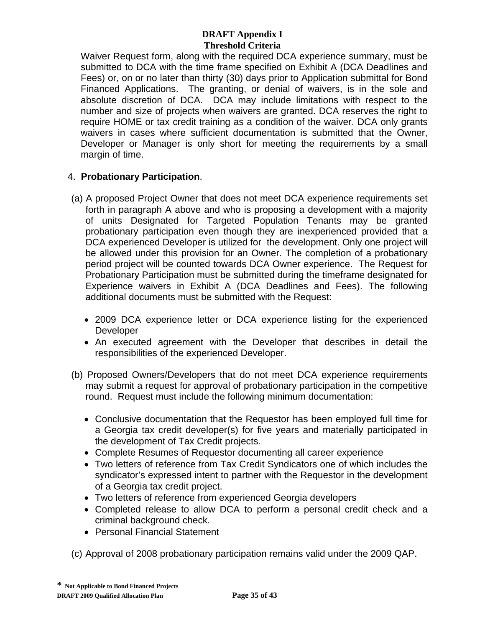Waiver Request form, along with the required DCA experience summary, must be submitted to DCA with the time frame specified on Exhibit A (DCA Deadlines and Fees) or, on or no later than thirty (30) days prior to Application submittal for Bond Financed Applications. The granting, or denial of waivers, is in the sole and absolute discretion of DCA. DCA may include limitations with respect to the number and size of projects when waivers are granted. DCA reserves the right to require HOME or tax credit training as a condition of the waiver. DCA only grants waivers in cases where sufficient documentation is submitted that the Owner, Developer or Manager is only short for meeting the requirements by a small margin of time.

# 4. **Probationary Participation**.

- (a) A proposed Project Owner that does not meet DCA experience requirements set forth in paragraph A above and who is proposing a development with a majority of units Designated for Targeted Population Tenants may be granted probationary participation even though they are inexperienced provided that a DCA experienced Developer is utilized for the development. Only one project will be allowed under this provision for an Owner. The completion of a probationary period project will be counted towards DCA Owner experience. The Request for Probationary Participation must be submitted during the timeframe designated for Experience waivers in Exhibit A (DCA Deadlines and Fees). The following additional documents must be submitted with the Request:
	- 2009 DCA experience letter or DCA experience listing for the experienced **Developer**
	- An executed agreement with the Developer that describes in detail the responsibilities of the experienced Developer.
- (b) Proposed Owners/Developers that do not meet DCA experience requirements may submit a request for approval of probationary participation in the competitive round. Request must include the following minimum documentation:
	- Conclusive documentation that the Requestor has been employed full time for a Georgia tax credit developer(s) for five years and materially participated in the development of Tax Credit projects.
	- Complete Resumes of Requestor documenting all career experience
	- Two letters of reference from Tax Credit Syndicators one of which includes the syndicator's expressed intent to partner with the Requestor in the development of a Georgia tax credit project.
	- Two letters of reference from experienced Georgia developers
	- Completed release to allow DCA to perform a personal credit check and a criminal background check.
	- Personal Financial Statement

(c) Approval of 2008 probationary participation remains valid under the 2009 QAP.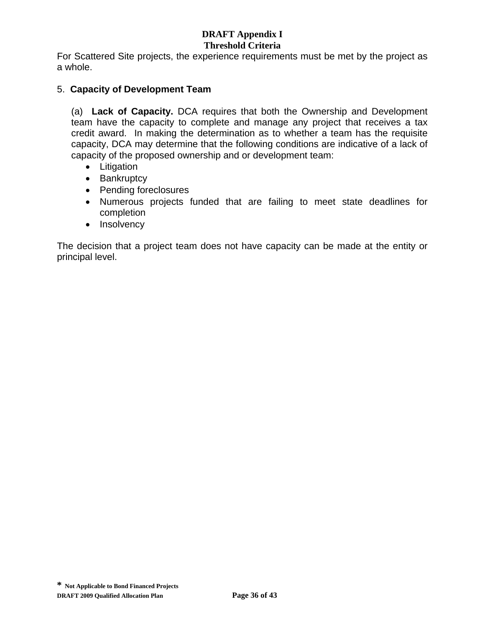# **DRAFT Appendix I**

#### **Threshold Criteria**

For Scattered Site projects, the experience requirements must be met by the project as a whole.

### 5. **Capacity of Development Team**

(a) **Lack of Capacity.** DCA requires that both the Ownership and Development team have the capacity to complete and manage any project that receives a tax credit award. In making the determination as to whether a team has the requisite capacity, DCA may determine that the following conditions are indicative of a lack of capacity of the proposed ownership and or development team:

- Litigation
- Bankruptcy
- Pending foreclosures
- Numerous projects funded that are failing to meet state deadlines for completion
- Insolvency

The decision that a project team does not have capacity can be made at the entity or principal level.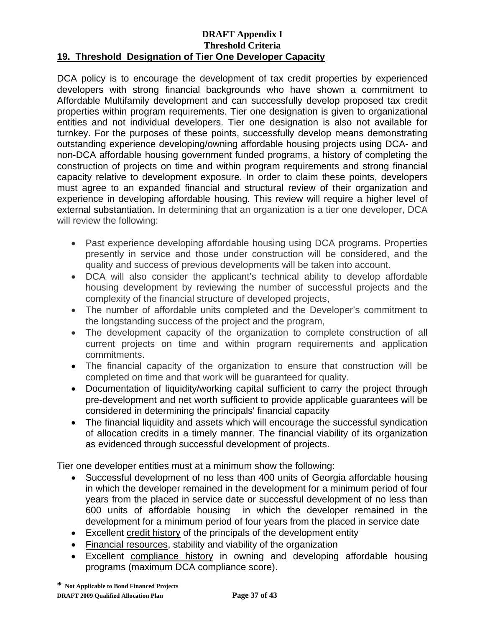#### **DRAFT Appendix I Threshold Criteria 19. Threshold Designation of Tier One Developer Capacity**

DCA policy is to encourage the development of tax credit properties by experienced developers with strong financial backgrounds who have shown a commitment to Affordable Multifamily development and can successfully develop proposed tax credit properties within program requirements. Tier one designation is given to organizational entities and not individual developers. Tier one designation is also not available for turnkey. For the purposes of these points, successfully develop means demonstrating outstanding experience developing/owning affordable housing projects using DCA- and non-DCA affordable housing government funded programs, a history of completing the construction of projects on time and within program requirements and strong financial capacity relative to development exposure. In order to claim these points, developers must agree to an expanded financial and structural review of their organization and experience in developing affordable housing. This review will require a higher level of external substantiation. In determining that an organization is a tier one developer, DCA will review the following:

- Past experience developing affordable housing using DCA programs. Properties presently in service and those under construction will be considered, and the quality and success of previous developments will be taken into account.
- DCA will also consider the applicant's technical ability to develop affordable housing development by reviewing the number of successful projects and the complexity of the financial structure of developed projects,
- The number of affordable units completed and the Developer's commitment to the longstanding success of the project and the program,
- The development capacity of the organization to complete construction of all current projects on time and within program requirements and application commitments.
- The financial capacity of the organization to ensure that construction will be completed on time and that work will be guaranteed for quality.
- Documentation of liquidity/working capital sufficient to carry the project through pre-development and net worth sufficient to provide applicable guarantees will be considered in determining the principals' financial capacity
- The financial liquidity and assets which will encourage the successful syndication of allocation credits in a timely manner. The financial viability of its organization as evidenced through successful development of projects.

Tier one developer entities must at a minimum show the following:

- Successful development of no less than 400 units of Georgia affordable housing in which the developer remained in the development for a minimum period of four years from the placed in service date or successful development of no less than 600 units of affordable housing in which the developer remained in the development for a minimum period of four years from the placed in service date
- Excellent credit history of the principals of the development entity
- Financial resources, stability and viability of the organization
- Excellent compliance history in owning and developing affordable housing programs (maximum DCA compliance score).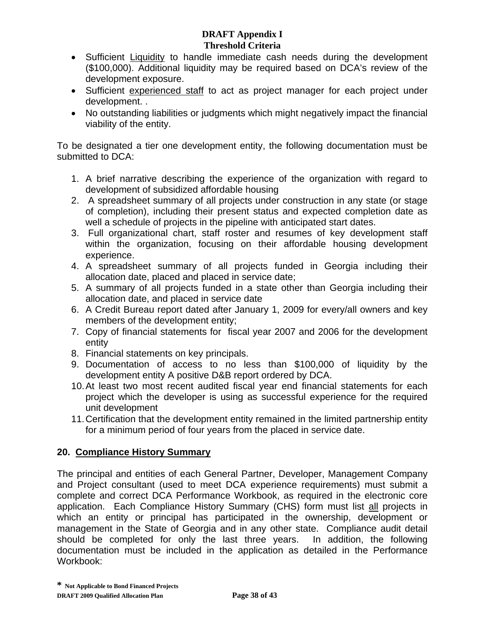- Sufficient Liquidity to handle immediate cash needs during the development (\$100,000). Additional liquidity may be required based on DCA's review of the development exposure.
- Sufficient experienced staff to act as project manager for each project under development. .
- No outstanding liabilities or judgments which might negatively impact the financial viability of the entity.

To be designated a tier one development entity, the following documentation must be submitted to DCA:

- 1. A brief narrative describing the experience of the organization with regard to development of subsidized affordable housing
- 2. A spreadsheet summary of all projects under construction in any state (or stage of completion), including their present status and expected completion date as well a schedule of projects in the pipeline with anticipated start dates.
- 3. Full organizational chart, staff roster and resumes of key development staff within the organization, focusing on their affordable housing development experience.
- 4. A spreadsheet summary of all projects funded in Georgia including their allocation date, placed and placed in service date;
- 5. A summary of all projects funded in a state other than Georgia including their allocation date, and placed in service date
- 6. A Credit Bureau report dated after January 1, 2009 for every/all owners and key members of the development entity;
- 7. Copy of financial statements for fiscal year 2007 and 2006 for the development entity
- 8. Financial statements on key principals.
- 9. Documentation of access to no less than \$100,000 of liquidity by the development entity A positive D&B report ordered by DCA.
- 10. At least two most recent audited fiscal year end financial statements for each project which the developer is using as successful experience for the required unit development
- 11. Certification that the development entity remained in the limited partnership entity for a minimum period of four years from the placed in service date.

# **20. Compliance History Summary**

The principal and entities of each General Partner, Developer, Management Company and Project consultant (used to meet DCA experience requirements) must submit a complete and correct DCA Performance Workbook, as required in the electronic core application. Each Compliance History Summary (CHS) form must list all projects in which an entity or principal has participated in the ownership, development or management in the State of Georgia and in any other state. Compliance audit detail should be completed for only the last three years. In addition, the following documentation must be included in the application as detailed in the Performance Workbook: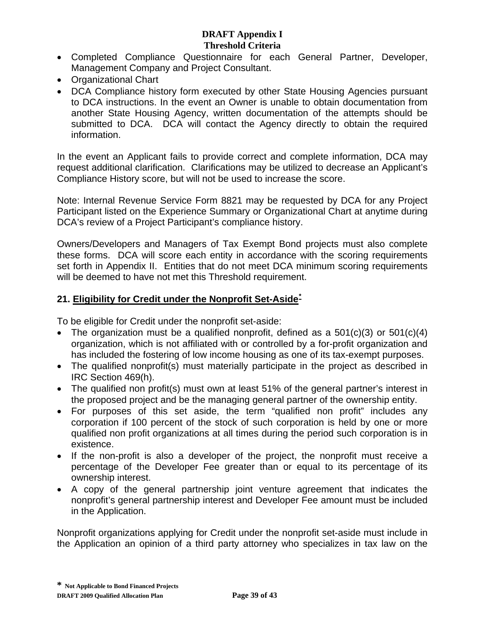- Completed Compliance Questionnaire for each General Partner, Developer, Management Company and Project Consultant.
- Organizational Chart
- DCA Compliance history form executed by other State Housing Agencies pursuant to DCA instructions. In the event an Owner is unable to obtain documentation from another State Housing Agency, written documentation of the attempts should be submitted to DCA. DCA will contact the Agency directly to obtain the required information.

In the event an Applicant fails to provide correct and complete information, DCA may request additional clarification. Clarifications may be utilized to decrease an Applicant's Compliance History score, but will not be used to increase the score.

Note: Internal Revenue Service Form 8821 may be requested by DCA for any Project Participant listed on the Experience Summary or Organizational Chart at anytime during DCA's review of a Project Participant's compliance history.

Owners/Developers and Managers of Tax Exempt Bond projects must also complete these forms. DCA will score each entity in accordance with the scoring requirements set forth in Appendix II. Entities that do not meet DCA minimum scoring requirements will be deemed to have not met this Threshold requirement.

# **21. Eligibility for Credit under the Nonprofit Set-Aside[\\*](#page-94-0)**

To be eligible for Credit under the nonprofit set-aside:

- The organization must be a qualified nonprofit, defined as a  $501(c)(3)$  or  $501(c)(4)$ organization, which is not affiliated with or controlled by a for-profit organization and has included the fostering of low income housing as one of its tax-exempt purposes.
- The qualified nonprofit(s) must materially participate in the project as described in IRC Section 469(h).
- The qualified non profit(s) must own at least 51% of the general partner's interest in the proposed project and be the managing general partner of the ownership entity.
- For purposes of this set aside, the term "qualified non profit" includes any corporation if 100 percent of the stock of such corporation is held by one or more qualified non profit organizations at all times during the period such corporation is in existence.
- If the non-profit is also a developer of the project, the nonprofit must receive a percentage of the Developer Fee greater than or equal to its percentage of its ownership interest.
- A copy of the general partnership joint venture agreement that indicates the nonprofit's general partnership interest and Developer Fee amount must be included in the Application.

<span id="page-94-0"></span>Nonprofit organizations applying for Credit under the nonprofit set-aside must include in the Application an opinion of a third party attorney who specializes in tax law on the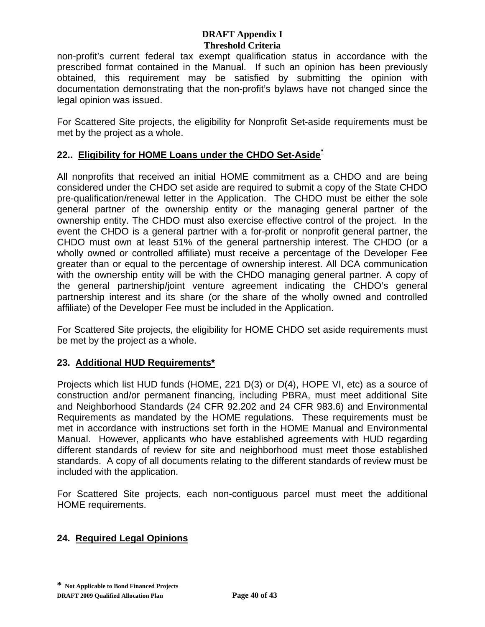non-profit's current federal tax exempt qualification status in accordance with the prescribed format contained in the Manual. If such an opinion has been previously obtained, this requirement may be satisfied by submitting the opinion with documentation demonstrating that the non-profit's bylaws have not changed since the legal opinion was issued.

For Scattered Site projects, the eligibility for Nonprofit Set-aside requirements must be met by the project as a whole.

# **22.. Eligibility for HOME Loans under the CHDO Set-Aside[\\*](#page-95-0)**

All nonprofits that received an initial HOME commitment as a CHDO and are being considered under the CHDO set aside are required to submit a copy of the State CHDO pre-qualification/renewal letter in the Application. The CHDO must be either the sole general partner of the ownership entity or the managing general partner of the ownership entity. The CHDO must also exercise effective control of the project. In the event the CHDO is a general partner with a for-profit or nonprofit general partner, the CHDO must own at least 51% of the general partnership interest. The CHDO (or a wholly owned or controlled affiliate) must receive a percentage of the Developer Fee greater than or equal to the percentage of ownership interest. All DCA communication with the ownership entity will be with the CHDO managing general partner. A copy of the general partnership/joint venture agreement indicating the CHDO's general partnership interest and its share (or the share of the wholly owned and controlled affiliate) of the Developer Fee must be included in the Application.

For Scattered Site projects, the eligibility for HOME CHDO set aside requirements must be met by the project as a whole.

# **23. Additional HUD Requirements\***

Projects which list HUD funds (HOME, 221 D(3) or D(4), HOPE VI, etc) as a source of construction and/or permanent financing, including PBRA, must meet additional Site and Neighborhood Standards (24 CFR 92.202 and 24 CFR 983.6) and Environmental Requirements as mandated by the HOME regulations. These requirements must be met in accordance with instructions set forth in the HOME Manual and Environmental Manual. However, applicants who have established agreements with HUD regarding different standards of review for site and neighborhood must meet those established standards. A copy of all documents relating to the different standards of review must be included with the application.

For Scattered Site projects, each non-contiguous parcel must meet the additional HOME requirements.

# <span id="page-95-0"></span>**24. Required Legal Opinions**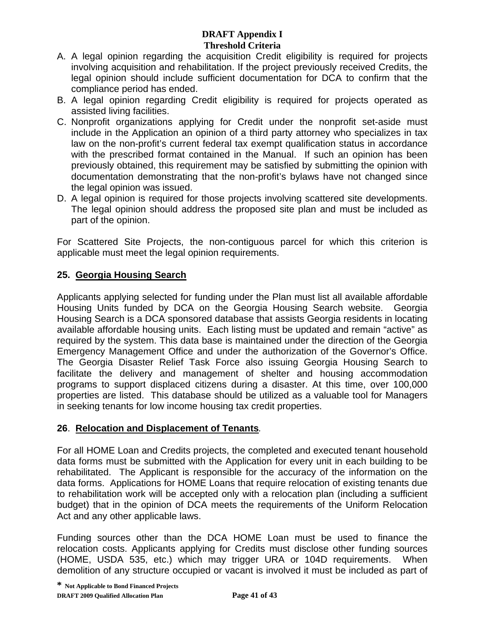- A. A legal opinion regarding the acquisition Credit eligibility is required for projects involving acquisition and rehabilitation. If the project previously received Credits, the legal opinion should include sufficient documentation for DCA to confirm that the compliance period has ended.
- B. A legal opinion regarding Credit eligibility is required for projects operated as assisted living facilities.
- C. Nonprofit organizations applying for Credit under the nonprofit set-aside must include in the Application an opinion of a third party attorney who specializes in tax law on the non-profit's current federal tax exempt qualification status in accordance with the prescribed format contained in the Manual. If such an opinion has been previously obtained, this requirement may be satisfied by submitting the opinion with documentation demonstrating that the non-profit's bylaws have not changed since the legal opinion was issued.
- D. A legal opinion is required for those projects involving scattered site developments. The legal opinion should address the proposed site plan and must be included as part of the opinion.

For Scattered Site Projects, the non-contiguous parcel for which this criterion is applicable must meet the legal opinion requirements.

# **25. Georgia Housing Search**

Applicants applying selected for funding under the Plan must list all available affordable Housing Units funded by DCA on the Georgia Housing Search website. Georgia Housing Search is a DCA sponsored database that assists Georgia residents in locating available affordable housing units. Each listing must be updated and remain "active" as required by the system. This data base is maintained under the direction of the Georgia Emergency Management Office and under the authorization of the Governor's Office. The Georgia Disaster Relief Task Force also issuing Georgia Housing Search to facilitate the delivery and management of shelter and housing accommodation programs to support displaced citizens during a disaster. At this time, over 100,000 properties are listed. This database should be utilized as a valuable tool for Managers in seeking tenants for low income housing tax credit properties.

# **26**. **Relocation and Displacement of Tenants***.*

For all HOME Loan and Credits projects, the completed and executed tenant household data forms must be submitted with the Application for every unit in each building to be rehabilitated. The Applicant is responsible for the accuracy of the information on the data forms. Applications for HOME Loans that require relocation of existing tenants due to rehabilitation work will be accepted only with a relocation plan (including a sufficient budget) that in the opinion of DCA meets the requirements of the Uniform Relocation Act and any other applicable laws.

Funding sources other than the DCA HOME Loan must be used to finance the relocation costs. Applicants applying for Credits must disclose other funding sources (HOME, USDA 535, etc.) which may trigger URA or 104D requirements. When demolition of any structure occupied or vacant is involved it must be included as part of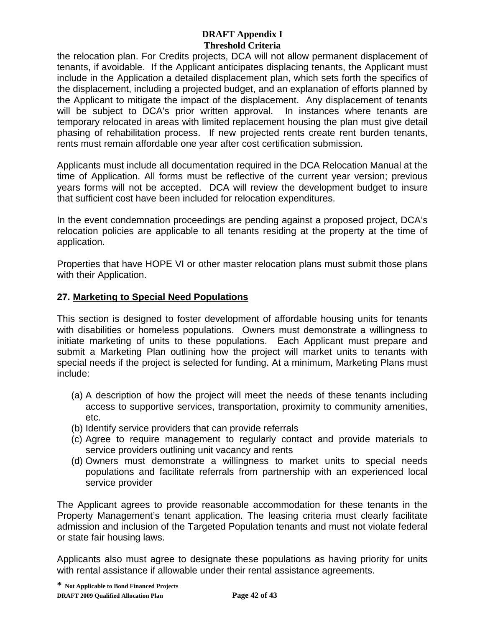the relocation plan. For Credits projects, DCA will not allow permanent displacement of tenants, if avoidable. If the Applicant anticipates displacing tenants, the Applicant must include in the Application a detailed displacement plan, which sets forth the specifics of the displacement, including a projected budget, and an explanation of efforts planned by the Applicant to mitigate the impact of the displacement. Any displacement of tenants will be subject to DCA's prior written approval. In instances where tenants are temporary relocated in areas with limited replacement housing the plan must give detail phasing of rehabilitation process. If new projected rents create rent burden tenants, rents must remain affordable one year after cost certification submission.

Applicants must include all documentation required in the DCA Relocation Manual at the time of Application. All forms must be reflective of the current year version; previous years forms will not be accepted. DCA will review the development budget to insure that sufficient cost have been included for relocation expenditures.

In the event condemnation proceedings are pending against a proposed project, DCA's relocation policies are applicable to all tenants residing at the property at the time of application.

Properties that have HOPE VI or other master relocation plans must submit those plans with their Application.

# **27. Marketing to Special Need Populations**

This section is designed to foster development of affordable housing units for tenants with disabilities or homeless populations. Owners must demonstrate a willingness to initiate marketing of units to these populations. Each Applicant must prepare and submit a Marketing Plan outlining how the project will market units to tenants with special needs if the project is selected for funding. At a minimum, Marketing Plans must include:

- (a) A description of how the project will meet the needs of these tenants including access to supportive services, transportation, proximity to community amenities, etc.
- (b) Identify service providers that can provide referrals
- (c) Agree to require management to regularly contact and provide materials to service providers outlining unit vacancy and rents
- (d) Owners must demonstrate a willingness to market units to special needs populations and facilitate referrals from partnership with an experienced local service provider

The Applicant agrees to provide reasonable accommodation for these tenants in the Property Management's tenant application. The leasing criteria must clearly facilitate admission and inclusion of the Targeted Population tenants and must not violate federal or state fair housing laws.

Applicants also must agree to designate these populations as having priority for units with rental assistance if allowable under their rental assistance agreements.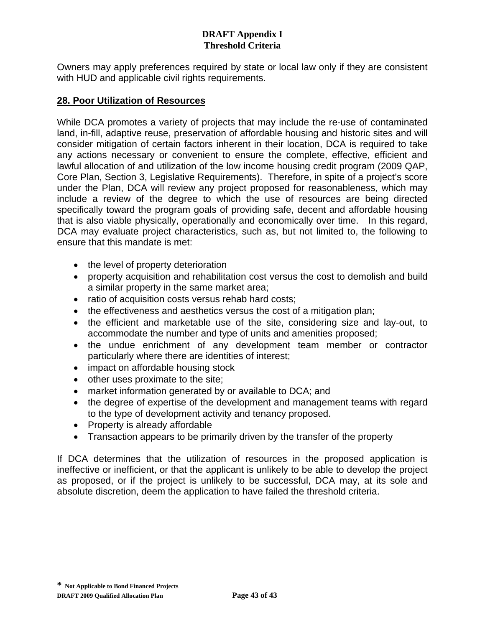Owners may apply preferences required by state or local law only if they are consistent with HUD and applicable civil rights requirements.

## **28. Poor Utilization of Resources**

While DCA promotes a variety of projects that may include the re-use of contaminated land, in-fill, adaptive reuse, preservation of affordable housing and historic sites and will consider mitigation of certain factors inherent in their location, DCA is required to take any actions necessary or convenient to ensure the complete, effective, efficient and lawful allocation of and utilization of the low income housing credit program (2009 QAP, Core Plan, Section 3, Legislative Requirements). Therefore, in spite of a project's score under the Plan, DCA will review any project proposed for reasonableness, which may include a review of the degree to which the use of resources are being directed specifically toward the program goals of providing safe, decent and affordable housing that is also viable physically, operationally and economically over time. In this regard, DCA may evaluate project characteristics, such as, but not limited to, the following to ensure that this mandate is met:

- the level of property deterioration
- property acquisition and rehabilitation cost versus the cost to demolish and build a similar property in the same market area;
- ratio of acquisition costs versus rehab hard costs;
- the effectiveness and aesthetics versus the cost of a mitigation plan;
- the efficient and marketable use of the site, considering size and lay-out, to accommodate the number and type of units and amenities proposed;
- the undue enrichment of any development team member or contractor particularly where there are identities of interest;
- impact on affordable housing stock
- other uses proximate to the site;
- market information generated by or available to DCA; and
- the degree of expertise of the development and management teams with regard to the type of development activity and tenancy proposed.
- Property is already affordable
- Transaction appears to be primarily driven by the transfer of the property

If DCA determines that the utilization of resources in the proposed application is ineffective or inefficient, or that the applicant is unlikely to be able to develop the project as proposed, or if the project is unlikely to be successful, DCA may, at its sole and absolute discretion, deem the application to have failed the threshold criteria.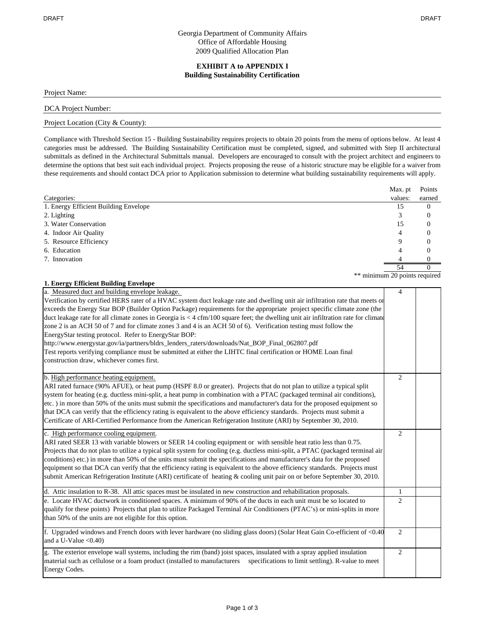#### Georgia Department of Community Affairs Office of Affordable Housing 2009 Qualified Allocation Plan

#### **EXHIBIT A to APPENDIX I Building Sustainability Certification**

Project Name:

#### DCA Project Number:

#### Project Location (City & County):

Compliance with Threshold Section 15 - Building Sustainability requires projects to obtain 20 points from the menu of options below. At least 4 categories must be addressed. The Building Sustainability Certification must be completed, signed, and submitted with Step II architectural submittals as defined in the Architectural Submittals manual. Developers are encouraged to consult with the project architect and engineers to determine the options that best suit each individual project. Projects proposing the reuse of a historic structure may be eligible for a waiver from these requirements and should contact DCA prior to Application submission to determine what building sustainability requirements will apply.

|                                       | Max. pt                       | Points   |
|---------------------------------------|-------------------------------|----------|
| Categories:                           | values:                       | earned   |
| 1. Energy Efficient Building Envelope | 15                            | $\theta$ |
| 2. Lighting                           |                               | 0        |
| 3. Water Conservation                 | 15                            | $\theta$ |
| 4. Indoor Air Quality                 | 4                             | 0        |
| 5. Resource Efficiency                |                               |          |
| 6. Education                          |                               |          |
| 7. Innovation                         |                               |          |
|                                       | 54                            |          |
|                                       | ** minimum 20 points required |          |

| 1. Energy Efficient Building Envelope                                                                                                                                                                                                                                                                                                                                                                                                                                                                                                                                                                                                                                                                                                                                                                                                                                                          |                |  |
|------------------------------------------------------------------------------------------------------------------------------------------------------------------------------------------------------------------------------------------------------------------------------------------------------------------------------------------------------------------------------------------------------------------------------------------------------------------------------------------------------------------------------------------------------------------------------------------------------------------------------------------------------------------------------------------------------------------------------------------------------------------------------------------------------------------------------------------------------------------------------------------------|----------------|--|
| a. Measured duct and building envelope leakage.<br>Verification by certified HERS rater of a HVAC system duct leakage rate and dwelling unit air infiltration rate that meets or<br>exceeds the Energy Star BOP (Builder Option Package) requirements for the appropriate project specific climate zone (the<br>duct leakage rate for all climate zones in Georgia is < 4 cfm/100 square feet; the dwelling unit air infiltration rate for climate<br>zone 2 is an ACH 50 of 7 and for climate zones 3 and 4 is an ACH 50 of 6). Verification testing must follow the<br>EnergyStar testing protocol. Refer to EnergyStar BOP:<br>http://www.energystar.gov/ia/partners/bldrs_lenders_raters/downloads/Nat_BOP_Final_062807.pdf<br>Test reports verifying compliance must be submitted at either the LIHTC final certification or HOME Loan final<br>construction draw, whichever comes first. | 4              |  |
| b. High performance heating equipment.<br>ARI rated furnace (90% AFUE), or heat pump (HSPF 8.0 or greater). Projects that do not plan to utilize a typical split<br>system for heating (e.g. ductless mini-split, a heat pump in combination with a PTAC (packaged terminal air conditions),<br>etc.) in more than 50% of the units must submit the specifications and manufacturer's data for the proposed equipment so<br>that DCA can verify that the efficiency rating is equivalent to the above efficiency standards. Projects must submit a<br>Certificate of ARI-Certified Performance from the American Refrigeration Institute (ARI) by September 30, 2010.                                                                                                                                                                                                                          | $\overline{c}$ |  |
| c. High performance cooling equipment.<br>ARI rated SEER 13 with variable blowers or SEER 14 cooling equipment or with sensible heat ratio less than 0.75.<br>Projects that do not plan to utilize a typical split system for cooling (e.g. ductless mini-split, a PTAC (packaged terminal air<br>conditions) etc.) in more than 50% of the units must submit the specifications and manufacturer's data for the proposed<br>equipment so that DCA can verify that the efficiency rating is equivalent to the above efficiency standards. Projects must<br>submit American Refrigeration Institute (ARI) certificate of heating & cooling unit pair on or before September 30, 2010.                                                                                                                                                                                                           | $\overline{c}$ |  |
| d. Attic insulation to R-38. All attic spaces must be insulated in new construction and rehabilitation proposals.                                                                                                                                                                                                                                                                                                                                                                                                                                                                                                                                                                                                                                                                                                                                                                              | 1              |  |
| e. Locate HVAC ductwork in conditioned spaces. A minimum of 90% of the ducts in each unit must be so located to<br>qualify for these points) Projects that plan to utilize Packaged Terminal Air Conditioners (PTAC's) or mini-splits in more<br>than 50% of the units are not eligible for this option.                                                                                                                                                                                                                                                                                                                                                                                                                                                                                                                                                                                       | $\overline{c}$ |  |
| f. Upgraded windows and French doors with lever hardware (no sliding glass doors) (Solar Heat Gain Co-efficient of <0.40<br>and a U-Value $< 0.40$ )                                                                                                                                                                                                                                                                                                                                                                                                                                                                                                                                                                                                                                                                                                                                           | 2              |  |
| g. The exterior envelope wall systems, including the rim (band) joist spaces, insulated with a spray applied insulation<br>material such as cellulose or a foam product (installed to manufacturers specifications to limit settling). R-value to meet<br>Energy Codes.                                                                                                                                                                                                                                                                                                                                                                                                                                                                                                                                                                                                                        | $\overline{2}$ |  |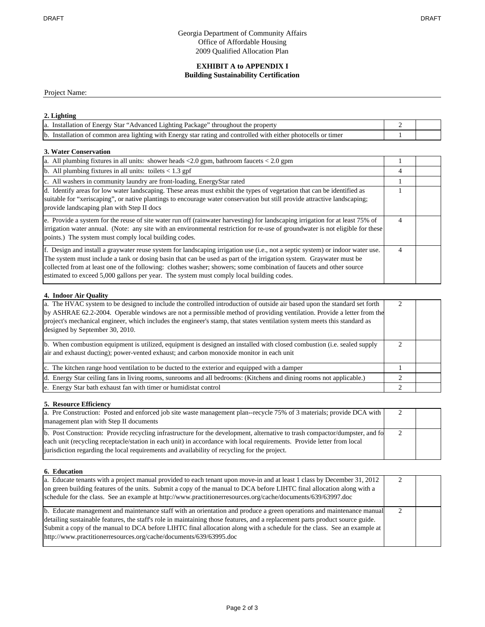#### Georgia Department of Community Affairs Office of Affordable Housing 2009 Qualified Allocation Plan

#### **EXHIBIT A to APPENDIX I Building Sustainability Certification**

Project Name:

#### **2. Lighting**

| a. Installation of Energy Star "Advanced Lighting Package" throughout the property                             |  |
|----------------------------------------------------------------------------------------------------------------|--|
| b. Installation of common area lighting with Energy star rating and controlled with either photocells or timer |  |

#### **3. Water Conservation**

| a. All plumbing fixtures in all units: shower heads $\langle 2.0 \text{ gpm} \rangle$ , bathroom faucets $\langle 2.0 \text{ gpm} \rangle$                                                                                                                                                                                                                                                                                                                               |   |  |
|--------------------------------------------------------------------------------------------------------------------------------------------------------------------------------------------------------------------------------------------------------------------------------------------------------------------------------------------------------------------------------------------------------------------------------------------------------------------------|---|--|
| b. All plumbing fixtures in all units: toilets $< 1.3$ gpf                                                                                                                                                                                                                                                                                                                                                                                                               | 4 |  |
| c. All washers in community laundry are front-loading, EnergyStar rated                                                                                                                                                                                                                                                                                                                                                                                                  |   |  |
| d. Identify areas for low water landscaping. These areas must exhibit the types of vegetation that can be identified as<br>suitable for "xeriscaping", or native plantings to encourage water conservation but still provide attractive landscaping;<br>provide landscaping plan with Step II docs                                                                                                                                                                       |   |  |
| e. Provide a system for the reuse of site water run off (rainwater harvesting) for landscaping irrigation for at least 75% of<br>irrigation water annual. (Note: any site with an environmental restriction for re-use of groundwater is not eligible for these<br>points.) The system must comply local building codes.                                                                                                                                                 | 4 |  |
| f. Design and install a graywater reuse system for landscaping irrigation use (i.e., not a septic system) or indoor water use.<br>The system must include a tank or dosing basin that can be used as part of the irrigation system. Graywater must be<br>collected from at least one of the following: clothes washer; showers; some combination of faucets and other source<br>estimated to exceed 5,000 gallons per year. The system must comply local building codes. |   |  |

#### **4. Indoor Air Quality**

| a. The HVAC system to be designed to include the controlled introduction of outside air based upon the standard set forth<br>by ASHRAE 62.2-2004. Operable windows are not a permissible method of providing ventilation. Provide a letter from the<br>project's mechanical engineer, which includes the engineer's stamp, that states ventilation system meets this standard as<br>designed by September 30, 2010. |  |
|---------------------------------------------------------------------------------------------------------------------------------------------------------------------------------------------------------------------------------------------------------------------------------------------------------------------------------------------------------------------------------------------------------------------|--|
| b. When combustion equipment is utilized, equipment is designed an installed with closed combustion (i.e. sealed supply<br>air and exhaust ducting); power-vented exhaust; and carbon monoxide monitor in each unit                                                                                                                                                                                                 |  |
| c. The kitchen range hood ventilation to be ducted to the exterior and equipped with a damper                                                                                                                                                                                                                                                                                                                       |  |
| d. Energy Star ceiling fans in living rooms, sunrooms and all bedrooms: (Kitchens and dining rooms not applicable.)                                                                                                                                                                                                                                                                                                 |  |
| e. Energy Star bath exhaust fan with timer or humidistat control                                                                                                                                                                                                                                                                                                                                                    |  |

#### **5. Resource Efficiency**

| a. Pre Construction: Posted and enforced job site waste management plan-recycle 75% of 3 materials; provide DCA with        |  |
|-----------------------------------------------------------------------------------------------------------------------------|--|
| management plan with Step II documents                                                                                      |  |
| b. Post Construction: Provide recycling infrastructure for the development, alternative to trash compactor/dumpster, and fo |  |
| each unit (recycling receptacle/station in each unit) in accordance with local requirements. Provide letter from local      |  |
| jurisdiction regarding the local requirements and availability of recycling for the project.                                |  |

#### **6. Education**

| a. Educate tenants with a project manual provided to each tenant upon move-in and at least 1 class by December 31, 2012       |  |
|-------------------------------------------------------------------------------------------------------------------------------|--|
| on green building features of the units. Submit a copy of the manual to DCA before LIHTC final allocation along with a        |  |
| schedule for the class. See an example at http://www.practitionerresources.org/cache/documents/639/63997.doc                  |  |
| b. Educate management and maintenance staff with an orientation and produce a green operations and maintenance manual         |  |
| detailing sustainable features, the staff's role in maintaining those features, and a replacement parts product source guide. |  |
| Submit a copy of the manual to DCA before LIHTC final allocation along with a schedule for the class. See an example at       |  |
| http://www.practitionerresources.org/cache/documents/639/63995.doc                                                            |  |
|                                                                                                                               |  |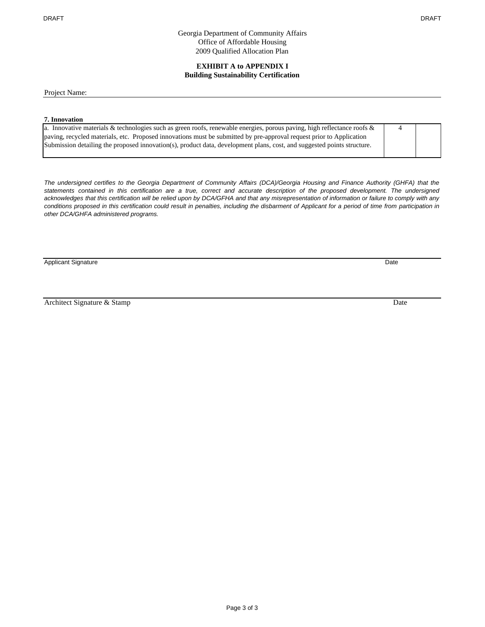Georgia Department of Community Affairs Office of Affordable Housing 2009 Qualified Allocation Plan

#### **EXHIBIT A to APPENDIX I Building Sustainability Certification**

Project Name:

#### **7. Innovation**

| a. Innovative materials & technologies such as green roofs, renewable energies, porous paving, high reflectance roofs $\&$ |  |
|----------------------------------------------------------------------------------------------------------------------------|--|
| paving, recycled materials, etc. Proposed innovations must be submitted by pre-approval request prior to Application       |  |
| Submission detailing the proposed innovation(s), product data, development plans, cost, and suggested points structure.    |  |

*The undersigned certifies to the Georgia Department of Community Affairs (DCA)/Georgia Housing and Finance Authority (GHFA) that the statements contained in this certification are a true, correct and accurate description of the proposed development. The undersigned acknowledges that this certification will be relied upon by DCA/GFHA and that any misrepresentation of information or failure to comply with any conditions proposed in this certification could result in penalties, including the disbarment of Applicant for a period of time from participation in other DCA/GHFA administered programs.*

Applicant Signature Date

Architect Signature & Stamp Date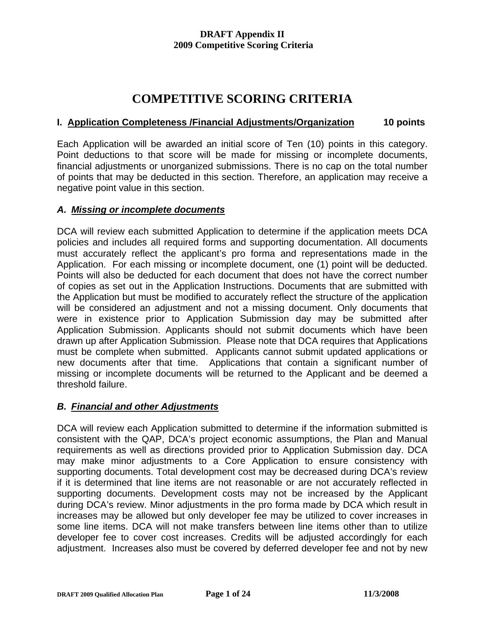# **COMPETITIVE SCORING CRITERIA**

### **I. Application Completeness /Financial Adjustments/Organization 10 points**

Each Application will be awarded an initial score of Ten (10) points in this category. Point deductions to that score will be made for missing or incomplete documents, financial adjustments or unorganized submissions. There is no cap on the total number of points that may be deducted in this section. Therefore, an application may receive a negative point value in this section.

#### *A. Missing or incomplete documents*

DCA will review each submitted Application to determine if the application meets DCA policies and includes all required forms and supporting documentation. All documents must accurately reflect the applicant's pro forma and representations made in the Application. For each missing or incomplete document, one (1) point will be deducted. Points will also be deducted for each document that does not have the correct number of copies as set out in the Application Instructions. Documents that are submitted with the Application but must be modified to accurately reflect the structure of the application will be considered an adjustment and not a missing document. Only documents that were in existence prior to Application Submission day may be submitted after Application Submission. Applicants should not submit documents which have been drawn up after Application Submission. Please note that DCA requires that Applications must be complete when submitted. Applicants cannot submit updated applications or new documents after that time. Applications that contain a significant number of missing or incomplete documents will be returned to the Applicant and be deemed a threshold failure.

#### *B. Financial and other Adjustments*

DCA will review each Application submitted to determine if the information submitted is consistent with the QAP, DCA's project economic assumptions, the Plan and Manual requirements as well as directions provided prior to Application Submission day. DCA may make minor adjustments to a Core Application to ensure consistency with supporting documents. Total development cost may be decreased during DCA's review if it is determined that line items are not reasonable or are not accurately reflected in supporting documents. Development costs may not be increased by the Applicant during DCA's review. Minor adjustments in the pro forma made by DCA which result in increases may be allowed but only developer fee may be utilized to cover increases in some line items. DCA will not make transfers between line items other than to utilize developer fee to cover cost increases. Credits will be adjusted accordingly for each adjustment. Increases also must be covered by deferred developer fee and not by new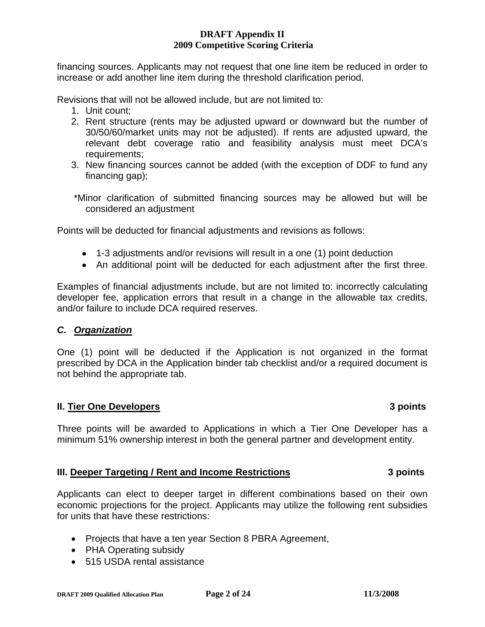financing sources. Applicants may not request that one line item be reduced in order to increase or add another line item during the threshold clarification period.

Revisions that will not be allowed include, but are not limited to:

- 1. Unit count;
- 2. Rent structure (rents may be adjusted upward or downward but the number of 30/50/60/market units may not be adjusted). If rents are adjusted upward, the relevant debt coverage ratio and feasibility analysis must meet DCA's requirements;
- 3. New financing sources cannot be added (with the exception of DDF to fund any financing gap);
- \*Minor clarification of submitted financing sources may be allowed but will be considered an adjustment

Points will be deducted for financial adjustments and revisions as follows:

- 1-3 adjustments and/or revisions will result in a one (1) point deduction
- An additional point will be deducted for each adjustment after the first three.

Examples of financial adjustments include, but are not limited to: incorrectly calculating developer fee, application errors that result in a change in the allowable tax credits, and/or failure to include DCA required reserves.

#### *C. Organization*

One (1) point will be deducted if the Application is not organized in the format prescribed by DCA in the Application binder tab checklist and/or a required document is not behind the appropriate tab.

#### **II. Tier One Developers 3 points**

Three points will be awarded to Applications in which a Tier One Developer has a minimum 51% ownership interest in both the general partner and development entity.

#### **III. Deeper Targeting / Rent and Income Restrictions 3 points**

Applicants can elect to deeper target in different combinations based on their own economic projections for the project. Applicants may utilize the following rent subsidies for units that have these restrictions:

- Projects that have a ten year Section 8 PBRA Agreement,
- PHA Operating subsidy
- 515 USDA rental assistance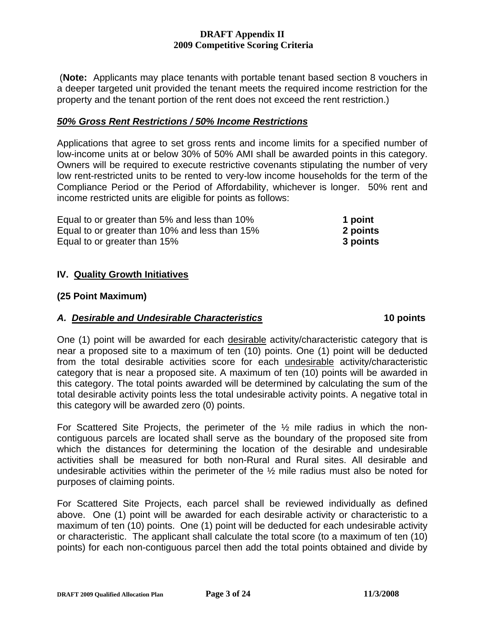(**Note:** Applicants may place tenants with portable tenant based section 8 vouchers in a deeper targeted unit provided the tenant meets the required income restriction for the property and the tenant portion of the rent does not exceed the rent restriction.)

#### *50% Gross Rent Restrictions / 50% Income Restrictions*

Applications that agree to set gross rents and income limits for a specified number of low-income units at or below 30% of 50% AMI shall be awarded points in this category. Owners will be required to execute restrictive covenants stipulating the number of very low rent-restricted units to be rented to very-low income households for the term of the Compliance Period or the Period of Affordability, whichever is longer. 50% rent and income restricted units are eligible for points as follows:

| Equal to or greater than 5% and less than 10%  | 1 point  |
|------------------------------------------------|----------|
| Equal to or greater than 10% and less than 15% | 2 points |
| Equal to or greater than 15%                   | 3 points |

#### **IV. Quality Growth Initiatives**

#### **(25 Point Maximum)**

#### A. Desirable and Undesirable Characteristics **10 points 10 points**

One (1) point will be awarded for each desirable activity/characteristic category that is near a proposed site to a maximum of ten (10) points. One (1) point will be deducted from the total desirable activities score for each undesirable activity/characteristic category that is near a proposed site. A maximum of ten (10) points will be awarded in this category. The total points awarded will be determined by calculating the sum of the total desirable activity points less the total undesirable activity points. A negative total in this category will be awarded zero (0) points.

For Scattered Site Projects, the perimeter of the ½ mile radius in which the noncontiguous parcels are located shall serve as the boundary of the proposed site from which the distances for determining the location of the desirable and undesirable activities shall be measured for both non-Rural and Rural sites. All desirable and undesirable activities within the perimeter of the  $\frac{1}{2}$  mile radius must also be noted for purposes of claiming points.

For Scattered Site Projects, each parcel shall be reviewed individually as defined above. One (1) point will be awarded for each desirable activity or characteristic to a maximum of ten (10) points. One (1) point will be deducted for each undesirable activity or characteristic. The applicant shall calculate the total score (to a maximum of ten (10) points) for each non-contiguous parcel then add the total points obtained and divide by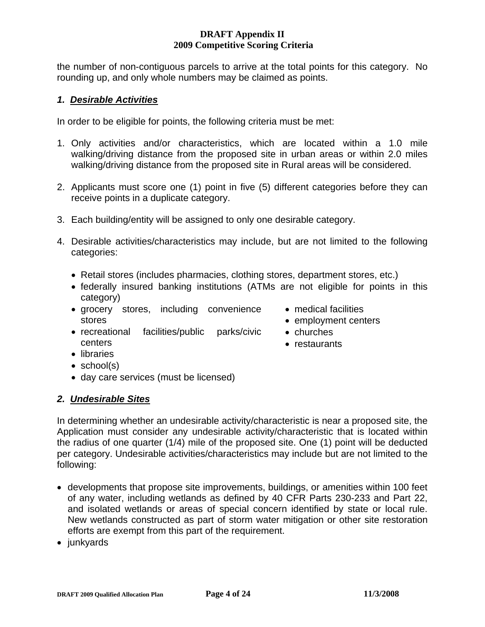the number of non-contiguous parcels to arrive at the total points for this category. No rounding up, and only whole numbers may be claimed as points.

#### *1. Desirable Activities*

In order to be eligible for points, the following criteria must be met:

- 1. Only activities and/or characteristics, which are located within a 1.0 mile walking/driving distance from the proposed site in urban areas or within 2.0 miles walking/driving distance from the proposed site in Rural areas will be considered.
- 2. Applicants must score one (1) point in five (5) different categories before they can receive points in a duplicate category.
- 3. Each building/entity will be assigned to only one desirable category.
- 4. Desirable activities/characteristics may include, but are not limited to the following categories:
	- Retail stores (includes pharmacies, clothing stores, department stores, etc.)
	- federally insured banking institutions (ATMs are not eligible for points in this category)
	- grocery stores, including convenience stores
- medical facilities
- employment centers
- recreational facilities/public parks/civic centers
- churches
- restaurants
- libraries
- school(s)
- day care services (must be licensed)

#### *2. Undesirable Sites*

In determining whether an undesirable activity/characteristic is near a proposed site, the Application must consider any undesirable activity/characteristic that is located within the radius of one quarter (1/4) mile of the proposed site. One (1) point will be deducted per category. Undesirable activities/characteristics may include but are not limited to the following:

- developments that propose site improvements, buildings, or amenities within 100 feet of any water, including wetlands as defined by 40 CFR Parts 230-233 and Part 22, and isolated wetlands or areas of special concern identified by state or local rule. New wetlands constructed as part of storm water mitigation or other site restoration efforts are exempt from this part of the requirement.
- junkyards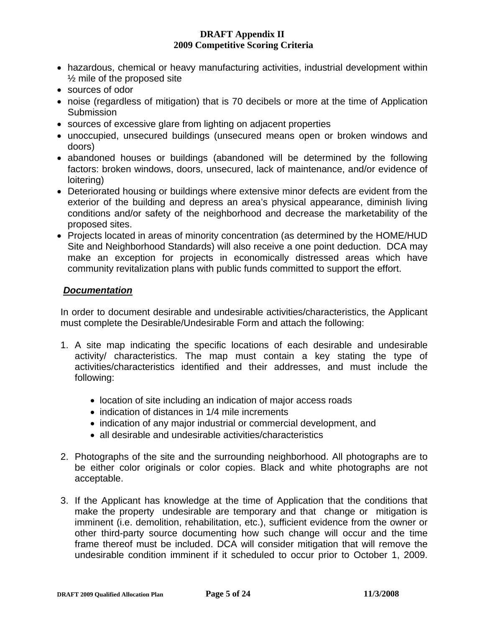- hazardous, chemical or heavy manufacturing activities, industrial development within ½ mile of the proposed site
- sources of odor
- noise (regardless of mitigation) that is 70 decibels or more at the time of Application **Submission**
- sources of excessive glare from lighting on adjacent properties
- unoccupied, unsecured buildings (unsecured means open or broken windows and doors)
- abandoned houses or buildings (abandoned will be determined by the following factors: broken windows, doors, unsecured, lack of maintenance, and/or evidence of loitering)
- Deteriorated housing or buildings where extensive minor defects are evident from the exterior of the building and depress an area's physical appearance, diminish living conditions and/or safety of the neighborhood and decrease the marketability of the proposed sites.
- Projects located in areas of minority concentration (as determined by the HOME/HUD Site and Neighborhood Standards) will also receive a one point deduction. DCA may make an exception for projects in economically distressed areas which have community revitalization plans with public funds committed to support the effort.

#### *Documentation*

In order to document desirable and undesirable activities/characteristics, the Applicant must complete the Desirable/Undesirable Form and attach the following:

- 1. A site map indicating the specific locations of each desirable and undesirable activity/ characteristics. The map must contain a key stating the type of activities/characteristics identified and their addresses, and must include the following:
	- location of site including an indication of major access roads
	- indication of distances in 1/4 mile increments
	- indication of any major industrial or commercial development, and
	- all desirable and undesirable activities/characteristics
- 2. Photographs of the site and the surrounding neighborhood. All photographs are to be either color originals or color copies. Black and white photographs are not acceptable.
- 3. If the Applicant has knowledge at the time of Application that the conditions that make the property undesirable are temporary and that change or mitigation is imminent (i.e. demolition, rehabilitation, etc.), sufficient evidence from the owner or other third-party source documenting how such change will occur and the time frame thereof must be included. DCA will consider mitigation that will remove the undesirable condition imminent if it scheduled to occur prior to October 1, 2009.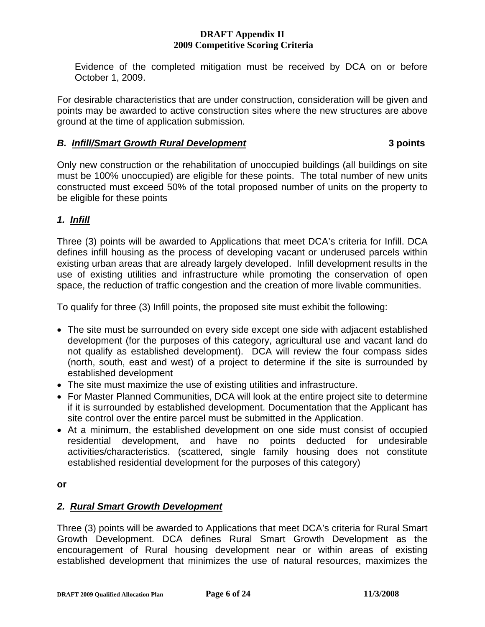Evidence of the completed mitigation must be received by DCA on or before October 1, 2009.

For desirable characteristics that are under construction, consideration will be given and points may be awarded to active construction sites where the new structures are above ground at the time of application submission.

### *B. Infill/Smart Growth Rural Development* **3 points**

Only new construction or the rehabilitation of unoccupied buildings (all buildings on site must be 100% unoccupied) are eligible for these points. The total number of new units constructed must exceed 50% of the total proposed number of units on the property to be eligible for these points

# *1. Infill*

Three (3) points will be awarded to Applications that meet DCA's criteria for Infill. DCA defines infill housing as the process of developing vacant or underused parcels within existing urban areas that are already largely developed. Infill development results in the use of existing utilities and infrastructure while promoting the conservation of open space, the reduction of traffic congestion and the creation of more livable communities.

To qualify for three (3) Infill points, the proposed site must exhibit the following:

- The site must be surrounded on every side except one side with adjacent established development (for the purposes of this category, agricultural use and vacant land do not qualify as established development). DCA will review the four compass sides (north, south, east and west) of a project to determine if the site is surrounded by established development
- The site must maximize the use of existing utilities and infrastructure.
- For Master Planned Communities, DCA will look at the entire project site to determine if it is surrounded by established development. Documentation that the Applicant has site control over the entire parcel must be submitted in the Application.
- At a minimum, the established development on one side must consist of occupied residential development, and have no points deducted for undesirable activities/characteristics. (scattered, single family housing does not constitute established residential development for the purposes of this category)

#### **or**

# *2. Rural Smart Growth Development*

Three (3) points will be awarded to Applications that meet DCA's criteria for Rural Smart Growth Development. DCA defines Rural Smart Growth Development as the encouragement of Rural housing development near or within areas of existing established development that minimizes the use of natural resources, maximizes the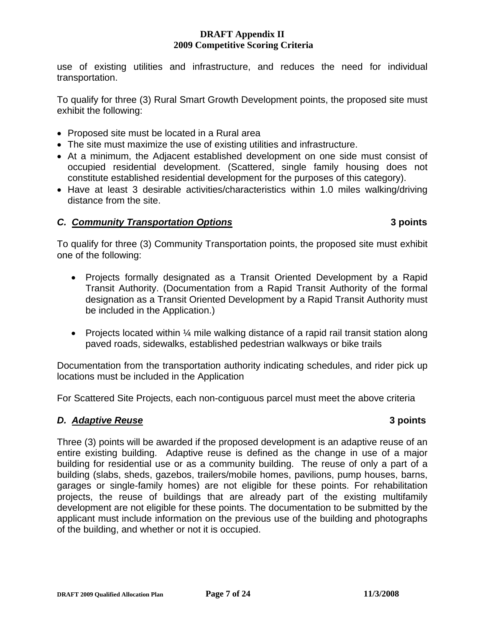use of existing utilities and infrastructure, and reduces the need for individual transportation.

To qualify for three (3) Rural Smart Growth Development points, the proposed site must exhibit the following:

- Proposed site must be located in a Rural area
- The site must maximize the use of existing utilities and infrastructure.
- At a minimum, the Adjacent established development on one side must consist of occupied residential development. (Scattered, single family housing does not constitute established residential development for the purposes of this category).
- Have at least 3 desirable activities/characteristics within 1.0 miles walking/driving distance from the site.

# *C. Community Transportation Options* **3 points**

To qualify for three (3) Community Transportation points, the proposed site must exhibit one of the following:

- Projects formally designated as a Transit Oriented Development by a Rapid Transit Authority. (Documentation from a Rapid Transit Authority of the formal designation as a Transit Oriented Development by a Rapid Transit Authority must be included in the Application.)
- Projects located within 1/4 mile walking distance of a rapid rail transit station along paved roads, sidewalks, established pedestrian walkways or bike trails

Documentation from the transportation authority indicating schedules, and rider pick up locations must be included in the Application

For Scattered Site Projects, each non-contiguous parcel must meet the above criteria

# *D. Adaptive Reuse* **3 points**

Three (3) points will be awarded if the proposed development is an adaptive reuse of an entire existing building. Adaptive reuse is defined as the change in use of a major building for residential use or as a community building. The reuse of only a part of a building (slabs, sheds, gazebos, trailers/mobile homes, pavilions, pump houses, barns, garages or single-family homes) are not eligible for these points. For rehabilitation projects, the reuse of buildings that are already part of the existing multifamily development are not eligible for these points. The documentation to be submitted by the applicant must include information on the previous use of the building and photographs of the building, and whether or not it is occupied.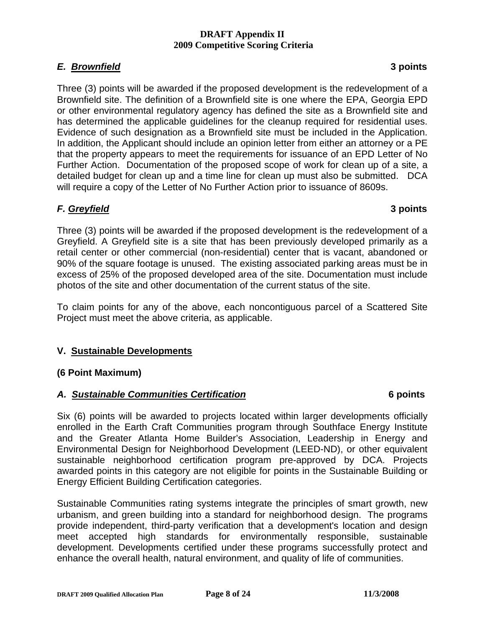# *E. Brownfield* **3 points**

Three (3) points will be awarded if the proposed development is the redevelopment of a Brownfield site. The definition of a Brownfield site is one where the EPA, Georgia EPD or other environmental regulatory agency has defined the site as a Brownfield site and has determined the applicable guidelines for the cleanup required for residential uses. Evidence of such designation as a Brownfield site must be included in the Application. In addition, the Applicant should include an opinion letter from either an attorney or a PE that the property appears to meet the requirements for issuance of an EPD Letter of No Further Action. Documentation of the proposed scope of work for clean up of a site, a detailed budget for clean up and a time line for clean up must also be submitted. DCA will require a copy of the Letter of No Further Action prior to issuance of 8609s.

# *F. Greyfield* **3 points**

Three (3) points will be awarded if the proposed development is the redevelopment of a Greyfield. A Greyfield site is a site that has been previously developed primarily as a retail center or other commercial (non-residential) center that is vacant, abandoned or 90% of the square footage is unused. The existing associated parking areas must be in excess of 25% of the proposed developed area of the site. Documentation must include photos of the site and other documentation of the current status of the site.

To claim points for any of the above, each noncontiguous parcel of a Scattered Site Project must meet the above criteria, as applicable.

# **V. Sustainable Developments**

### **(6 Point Maximum)**

### *A. Sustainable Communities Certification* **6 points**

Six (6) points will be awarded to projects located within larger developments officially enrolled in the Earth Craft Communities program through Southface Energy Institute and the Greater Atlanta Home Builder's Association, Leadership in Energy and Environmental Design for Neighborhood Development (LEED-ND), or other equivalent sustainable neighborhood certification program pre-approved by DCA. Projects awarded points in this category are not eligible for points in the Sustainable Building or Energy Efficient Building Certification categories.

Sustainable Communities rating systems integrate the principles of smart growth, new urbanism, and green building into a standard for neighborhood design. The programs provide independent, third-party verification that a development's location and design meet accepted high standards for environmentally responsible, sustainable development. Developments certified under these programs successfully protect and enhance the overall health, natural environment, and quality of life of communities.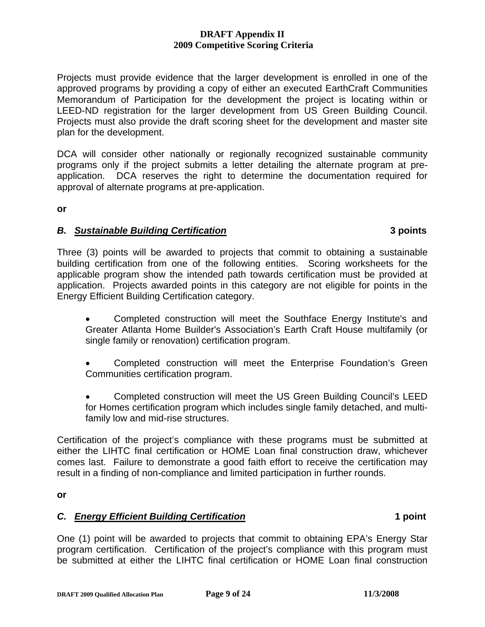Projects must provide evidence that the larger development is enrolled in one of the approved programs by providing a copy of either an executed EarthCraft Communities Memorandum of Participation for the development the project is locating within or LEED-ND registration for the larger development from US Green Building Council. Projects must also provide the draft scoring sheet for the development and master site plan for the development.

DCA will consider other nationally or regionally recognized sustainable community programs only if the project submits a letter detailing the alternate program at preapplication. DCA reserves the right to determine the documentation required for approval of alternate programs at pre-application.

**or** 

# *B. Sustainable Building Certification* **3 points**

Three (3) points will be awarded to projects that commit to obtaining a sustainable building certification from one of the following entities. Scoring worksheets for the applicable program show the intended path towards certification must be provided at application. Projects awarded points in this category are not eligible for points in the Energy Efficient Building Certification category.

- Completed construction will meet the Southface Energy Institute's and Greater Atlanta Home Builder's Association's Earth Craft House multifamily (or single family or renovation) certification program.
- Completed construction will meet the Enterprise Foundation's Green Communities certification program.
- Completed construction will meet the US Green Building Council's LEED for Homes certification program which includes single family detached, and multifamily low and mid-rise structures.

Certification of the project's compliance with these programs must be submitted at either the LIHTC final certification or HOME Loan final construction draw, whichever comes last. Failure to demonstrate a good faith effort to receive the certification may result in a finding of non-compliance and limited participation in further rounds.

**or**

# *C. Energy Efficient Building Certification* **1 point**

One (1) point will be awarded to projects that commit to obtaining EPA's Energy Star program certification. Certification of the project's compliance with this program must be submitted at either the LIHTC final certification or HOME Loan final construction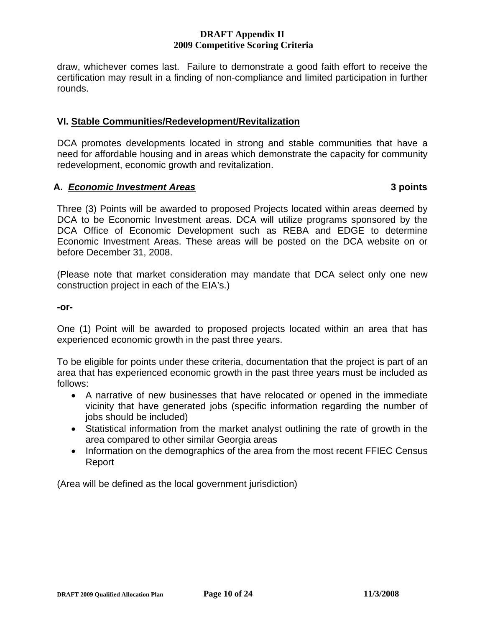draw, whichever comes last. Failure to demonstrate a good faith effort to receive the certification may result in a finding of non-compliance and limited participation in further rounds.

### **VI. Stable Communities/Redevelopment/Revitalization**

DCA promotes developments located in strong and stable communities that have a need for affordable housing and in areas which demonstrate the capacity for community redevelopment, economic growth and revitalization.

### **A.** *Economic Investment Areas* **3 points**

Three (3) Points will be awarded to proposed Projects located within areas deemed by DCA to be Economic Investment areas. DCA will utilize programs sponsored by the DCA Office of Economic Development such as REBA and EDGE to determine Economic Investment Areas. These areas will be posted on the DCA website on or before December 31, 2008.

(Please note that market consideration may mandate that DCA select only one new construction project in each of the EIA's.)

**-or-**

One (1) Point will be awarded to proposed projects located within an area that has experienced economic growth in the past three years.

To be eligible for points under these criteria, documentation that the project is part of an area that has experienced economic growth in the past three years must be included as follows:

- A narrative of new businesses that have relocated or opened in the immediate vicinity that have generated jobs (specific information regarding the number of jobs should be included)
- Statistical information from the market analyst outlining the rate of growth in the area compared to other similar Georgia areas
- Information on the demographics of the area from the most recent FFIEC Census Report

(Area will be defined as the local government jurisdiction)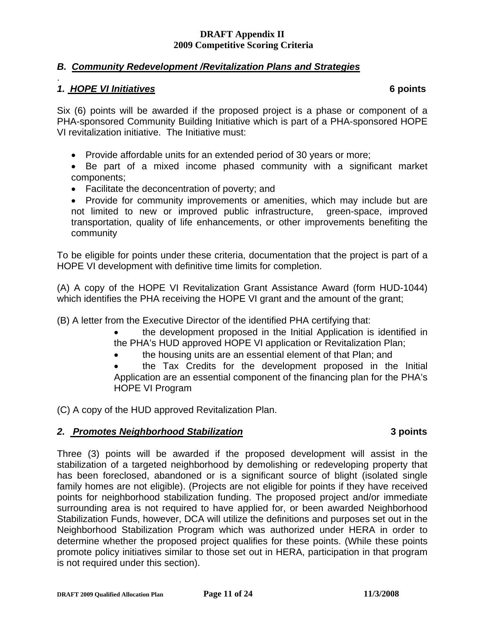# *B. Community Redevelopment /Revitalization Plans and Strategies*

### . *1. HOPE VI Initiatives* **6 points**

Six (6) points will be awarded if the proposed project is a phase or component of a PHA-sponsored Community Building Initiative which is part of a PHA-sponsored HOPE VI revitalization initiative. The Initiative must:

- Provide affordable units for an extended period of 30 years or more;
- Be part of a mixed income phased community with a significant market components;
- Facilitate the deconcentration of poverty; and
- Provide for community improvements or amenities, which may include but are not limited to new or improved public infrastructure, green-space, improved transportation, quality of life enhancements, or other improvements benefiting the community

To be eligible for points under these criteria, documentation that the project is part of a HOPE VI development with definitive time limits for completion.

(A) A copy of the HOPE VI Revitalization Grant Assistance Award (form HUD-1044) which identifies the PHA receiving the HOPE VI grant and the amount of the grant;

(B) A letter from the Executive Director of the identified PHA certifying that:

- the development proposed in the Initial Application is identified in the PHA's HUD approved HOPE VI application or Revitalization Plan;
- the housing units are an essential element of that Plan; and
- the Tax Credits for the development proposed in the Initial Application are an essential component of the financing plan for the PHA's HOPE VI Program

(C) A copy of the HUD approved Revitalization Plan.

# *2. Promotes Neighborhood Stabilization* **3 points**

Three (3) points will be awarded if the proposed development will assist in the stabilization of a targeted neighborhood by demolishing or redeveloping property that has been foreclosed, abandoned or is a significant source of blight (isolated single family homes are not eligible). (Projects are not eligible for points if they have received points for neighborhood stabilization funding. The proposed project and/or immediate surrounding area is not required to have applied for, or been awarded Neighborhood Stabilization Funds, however, DCA will utilize the definitions and purposes set out in the Neighborhood Stabilization Program which was authorized under HERA in order to determine whether the proposed project qualifies for these points. (While these points promote policy initiatives similar to those set out in HERA, participation in that program is not required under this section).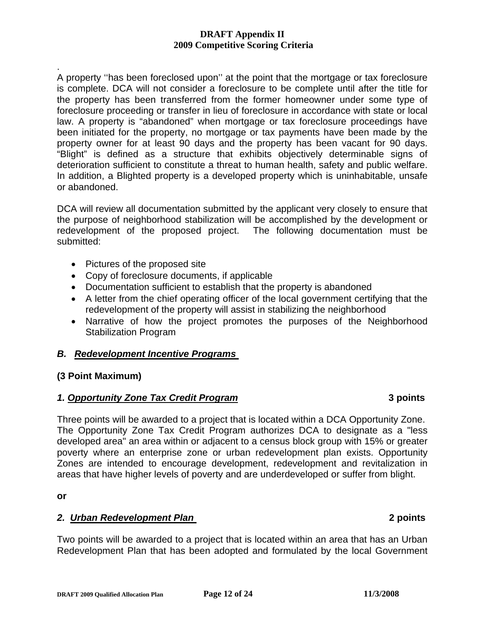. A property ''has been foreclosed upon'' at the point that the mortgage or tax foreclosure is complete. DCA will not consider a foreclosure to be complete until after the title for the property has been transferred from the former homeowner under some type of foreclosure proceeding or transfer in lieu of foreclosure in accordance with state or local law. A property is "abandoned" when mortgage or tax foreclosure proceedings have been initiated for the property, no mortgage or tax payments have been made by the property owner for at least 90 days and the property has been vacant for 90 days. "Blight" is defined as a structure that exhibits objectively determinable signs of deterioration sufficient to constitute a threat to human health, safety and public welfare. In addition, a Blighted property is a developed property which is uninhabitable, unsafe or abandoned.

DCA will review all documentation submitted by the applicant very closely to ensure that the purpose of neighborhood stabilization will be accomplished by the development or redevelopment of the proposed project. The following documentation must be submitted:

- Pictures of the proposed site
- Copy of foreclosure documents, if applicable
- Documentation sufficient to establish that the property is abandoned
- A letter from the chief operating officer of the local government certifying that the redevelopment of the property will assist in stabilizing the neighborhood
- Narrative of how the project promotes the purposes of the Neighborhood Stabilization Program

# *B. Redevelopment Incentive Programs*

### **(3 Point Maximum)**

# *1. Opportunity Zone Tax Credit Program* **3 points**

Three points will be awarded to a project that is located within a DCA Opportunity Zone. The Opportunity Zone Tax Credit Program authorizes DCA to designate as a "less developed area" an area within or adjacent to a census block group with 15% or greater poverty where an enterprise zone or urban redevelopment plan exists. Opportunity Zones are intended to encourage development, redevelopment and revitalization in areas that have higher levels of poverty and are underdeveloped or suffer from blight.

**or** 

### *2. Urban Redevelopment Plan* **2 points**

Two points will be awarded to a project that is located within an area that has an Urban Redevelopment Plan that has been adopted and formulated by the local Government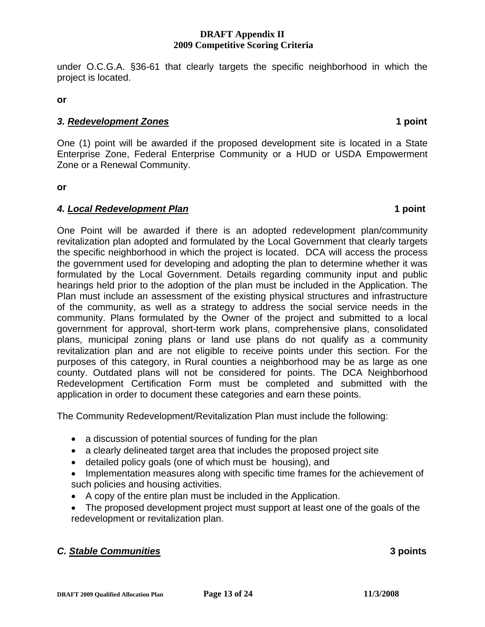**DRAFT 2009 Qualified Allocation Plan Page 13 of 24** 11/3/2008

under O.C.G.A. §36-61 that clearly targets the specific neighborhood in which the project is located.

**or** 

### *3. Redevelopment Zones* **1 point**

One (1) point will be awarded if the proposed development site is located in a State Enterprise Zone, Federal Enterprise Community or a HUD or USDA Empowerment Zone or a Renewal Community.

**or** 

### *4. Local Redevelopment Plan* **1 point**

One Point will be awarded if there is an adopted redevelopment plan/community revitalization plan adopted and formulated by the Local Government that clearly targets the specific neighborhood in which the project is located. DCA will access the process the government used for developing and adopting the plan to determine whether it was formulated by the Local Government. Details regarding community input and public hearings held prior to the adoption of the plan must be included in the Application. The Plan must include an assessment of the existing physical structures and infrastructure of the community, as well as a strategy to address the social service needs in the community. Plans formulated by the Owner of the project and submitted to a local government for approval, short-term work plans, comprehensive plans, consolidated plans, municipal zoning plans or land use plans do not qualify as a community revitalization plan and are not eligible to receive points under this section. For the purposes of this category, in Rural counties a neighborhood may be as large as one county. Outdated plans will not be considered for points. The DCA Neighborhood Redevelopment Certification Form must be completed and submitted with the application in order to document these categories and earn these points.

The Community Redevelopment/Revitalization Plan must include the following:

- a discussion of potential sources of funding for the plan
- a clearly delineated target area that includes the proposed project site
- detailed policy goals (one of which must be housing), and
- Implementation measures along with specific time frames for the achievement of such policies and housing activities.
- A copy of the entire plan must be included in the Application.
- The proposed development project must support at least one of the goals of the redevelopment or revitalization plan.

# *C. Stable Communities* **3 points**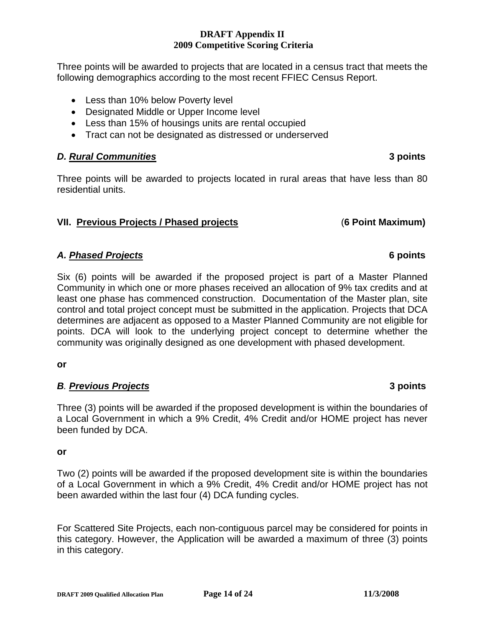Three points will be awarded to projects that are located in a census tract that meets the following demographics according to the most recent FFIEC Census Report.

- Less than 10% below Poverty level
- Designated Middle or Upper Income level
- Less than 15% of housings units are rental occupied
- Tract can not be designated as distressed or underserved

### *D. Rural Communities* **3 points**

Three points will be awarded to projects located in rural areas that have less than 80 residential units.

# **VII. Previous Projects / Phased projects** (**6 Point Maximum)**

# *A. Phased Projects* **6 points**

Six (6) points will be awarded if the proposed project is part of a Master Planned Community in which one or more phases received an allocation of 9% tax credits and at least one phase has commenced construction. Documentation of the Master plan, site control and total project concept must be submitted in the application. Projects that DCA determines are adjacent as opposed to a Master Planned Community are not eligible for points. DCA will look to the underlying project concept to determine whether the community was originally designed as one development with phased development.

**or** 

# *B. Previous Projects* **3 points**

Three (3) points will be awarded if the proposed development is within the boundaries of a Local Government in which a 9% Credit, 4% Credit and/or HOME project has never been funded by DCA.

**or** 

Two (2) points will be awarded if the proposed development site is within the boundaries of a Local Government in which a 9% Credit, 4% Credit and/or HOME project has not been awarded within the last four (4) DCA funding cycles.

For Scattered Site Projects, each non-contiguous parcel may be considered for points in this category. However, the Application will be awarded a maximum of three (3) points in this category.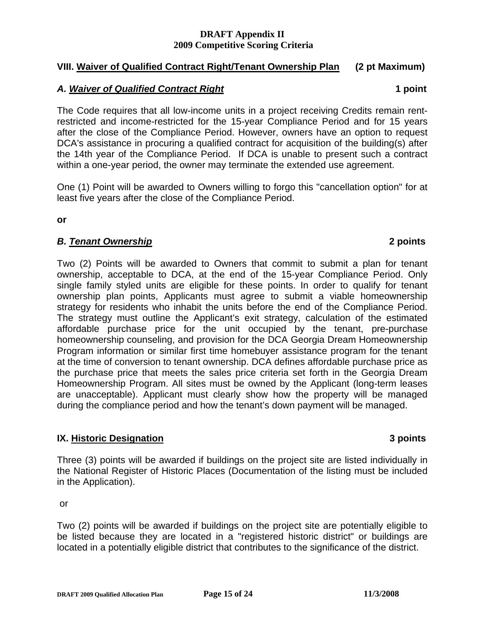### **VIII. Waiver of Qualified Contract Right/Tenant Ownership Plan (2 pt Maximum)**

### *A. Waiver of Qualified Contract Right* **1 point**

The Code requires that all low-income units in a project receiving Credits remain rentrestricted and income-restricted for the 15-year Compliance Period and for 15 years after the close of the Compliance Period. However, owners have an option to request DCA's assistance in procuring a qualified contract for acquisition of the building(s) after the 14th year of the Compliance Period. If DCA is unable to present such a contract within a one-year period, the owner may terminate the extended use agreement.

One (1) Point will be awarded to Owners willing to forgo this "cancellation option" for at least five years after the close of the Compliance Period.

**or** 

# *B. Tenant Ownership* **2 points**

Two (2) Points will be awarded to Owners that commit to submit a plan for tenant ownership, acceptable to DCA, at the end of the 15-year Compliance Period. Only single family styled units are eligible for these points. In order to qualify for tenant ownership plan points, Applicants must agree to submit a viable homeownership strategy for residents who inhabit the units before the end of the Compliance Period. The strategy must outline the Applicant's exit strategy, calculation of the estimated affordable purchase price for the unit occupied by the tenant, pre-purchase homeownership counseling, and provision for the DCA Georgia Dream Homeownership Program information or similar first time homebuyer assistance program for the tenant at the time of conversion to tenant ownership. DCA defines affordable purchase price as the purchase price that meets the sales price criteria set forth in the Georgia Dream Homeownership Program. All sites must be owned by the Applicant (long-term leases are unacceptable). Applicant must clearly show how the property will be managed during the compliance period and how the tenant's down payment will be managed.

# **IX. Historic Designation 3 points**

Three (3) points will be awarded if buildings on the project site are listed individually in the National Register of Historic Places (Documentation of the listing must be included in the Application).

or

Two (2) points will be awarded if buildings on the project site are potentially eligible to be listed because they are located in a "registered historic district" or buildings are located in a potentially eligible district that contributes to the significance of the district.

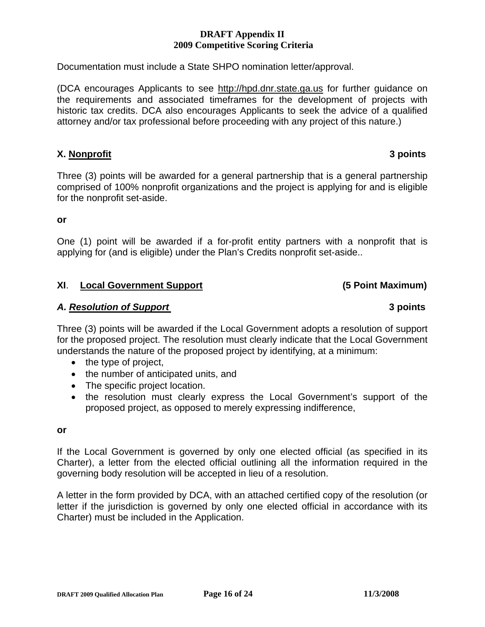Documentation must include a State SHPO nomination letter/approval.

(DCA encourages Applicants to see [http://hpd.dnr.state.ga.us](http://hpd.dnr.state.ga.us/) for further guidance on the requirements and associated timeframes for the development of projects with historic tax credits. DCA also encourages Applicants to seek the advice of a qualified attorney and/or tax professional before proceeding with any project of this nature.)

# **X. Nonprofit 3 points**

Three (3) points will be awarded for a general partnership that is a general partnership comprised of 100% nonprofit organizations and the project is applying for and is eligible for the nonprofit set-aside.

### **or**

One (1) point will be awarded if a for-profit entity partners with a nonprofit that is applying for (and is eligible) under the Plan's Credits nonprofit set-aside..

# **XI**. **Local Government Support (5 Point Maximum)**

### *A. Resolution of Support* **3 points**

Three (3) points will be awarded if the Local Government adopts a resolution of support for the proposed project. The resolution must clearly indicate that the Local Government understands the nature of the proposed project by identifying, at a minimum:

- the type of project,
- the number of anticipated units, and
- The specific project location.
- the resolution must clearly express the Local Government's support of the proposed project, as opposed to merely expressing indifference,

# **or**

If the Local Government is governed by only one elected official (as specified in its Charter), a letter from the elected official outlining all the information required in the governing body resolution will be accepted in lieu of a resolution.

A letter in the form provided by DCA, with an attached certified copy of the resolution (or letter if the jurisdiction is governed by only one elected official in accordance with its Charter) must be included in the Application.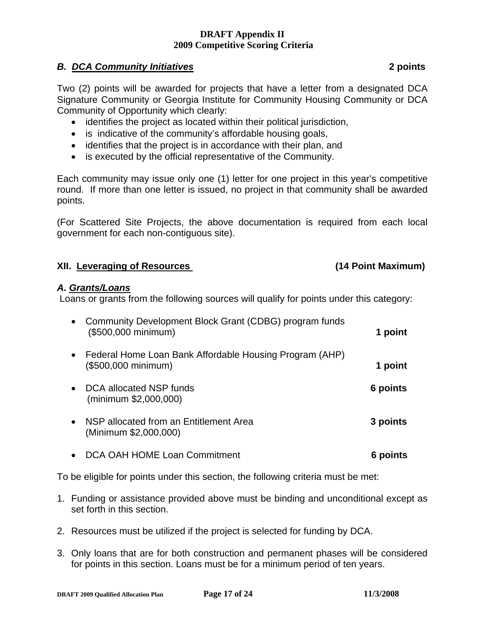# *B. DCA Community Initiatives* **2 points**

Two (2) points will be awarded for projects that have a letter from a designated DCA Signature Community or Georgia Institute for Community Housing Community or DCA Community of Opportunity which clearly:

- identifies the project as located within their political jurisdiction,
- is indicative of the community's affordable housing goals,
- identifies that the project is in accordance with their plan, and
- is executed by the official representative of the Community.

Each community may issue only one (1) letter for one project in this year's competitive round. If more than one letter is issued, no project in that community shall be awarded points.

(For Scattered Site Projects, the above documentation is required from each local government for each non-contiguous site).

### **XII. Leveraging of Resources (14 Point Maximum)**

### *A. Grants/Loans*

Loans or grants from the following sources will qualify for points under this category:

| Community Development Block Grant (CDBG) program funds<br>$\bullet$<br>(\$500,000 minimum) | 1 point  |
|--------------------------------------------------------------------------------------------|----------|
| • Federal Home Loan Bank Affordable Housing Program (AHP)<br>(\$500,000 minimum)           | 1 point  |
| DCA allocated NSP funds<br>(minimum \$2,000,000)                                           | 6 points |
| NSP allocated from an Entitlement Area<br>$\bullet$<br>(Minimum \$2,000,000)               | 3 points |
| DCA OAH HOME Loan Commitment                                                               | 6 poin   |

To be eligible for points under this section, the following criteria must be met:

- 1. Funding or assistance provided above must be binding and unconditional except as set forth in this section.
- 2. Resources must be utilized if the project is selected for funding by DCA.
- 3. Only loans that are for both construction and permanent phases will be considered for points in this section. Loans must be for a minimum period of ten years.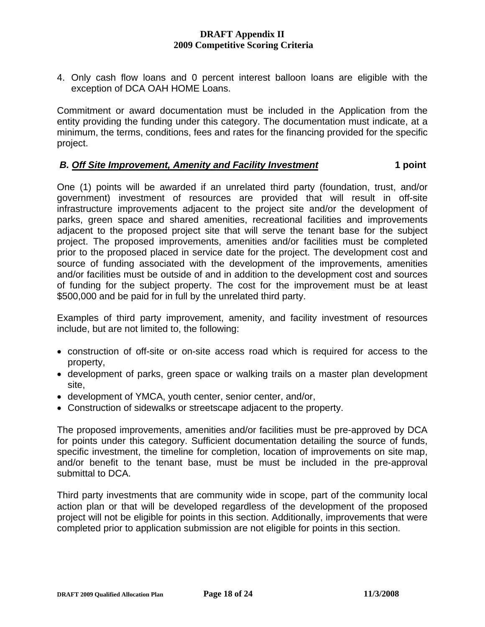4. Only cash flow loans and 0 percent interest balloon loans are eligible with the exception of DCA OAH HOME Loans.

Commitment or award documentation must be included in the Application from the entity providing the funding under this category. The documentation must indicate, at a minimum, the terms, conditions, fees and rates for the financing provided for the specific project.

### *B. Off Site Improvement, Amenity and Facility Investment* **1 1 point**

One (1) points will be awarded if an unrelated third party (foundation, trust, and/or government) investment of resources are provided that will result in off-site infrastructure improvements adjacent to the project site and/or the development of parks, green space and shared amenities, recreational facilities and improvements adjacent to the proposed project site that will serve the tenant base for the subject project. The proposed improvements, amenities and/or facilities must be completed prior to the proposed placed in service date for the project. The development cost and source of funding associated with the development of the improvements, amenities and/or facilities must be outside of and in addition to the development cost and sources of funding for the subject property. The cost for the improvement must be at least \$500,000 and be paid for in full by the unrelated third party.

Examples of third party improvement, amenity, and facility investment of resources include, but are not limited to, the following:

- construction of off-site or on-site access road which is required for access to the property,
- development of parks, green space or walking trails on a master plan development site,
- development of YMCA, youth center, senior center, and/or,
- Construction of sidewalks or streetscape adjacent to the property.

The proposed improvements, amenities and/or facilities must be pre-approved by DCA for points under this category. Sufficient documentation detailing the source of funds, specific investment, the timeline for completion, location of improvements on site map, and/or benefit to the tenant base, must be must be included in the pre-approval submittal to DCA.

Third party investments that are community wide in scope, part of the community local action plan or that will be developed regardless of the development of the proposed project will not be eligible for points in this section. Additionally, improvements that were completed prior to application submission are not eligible for points in this section.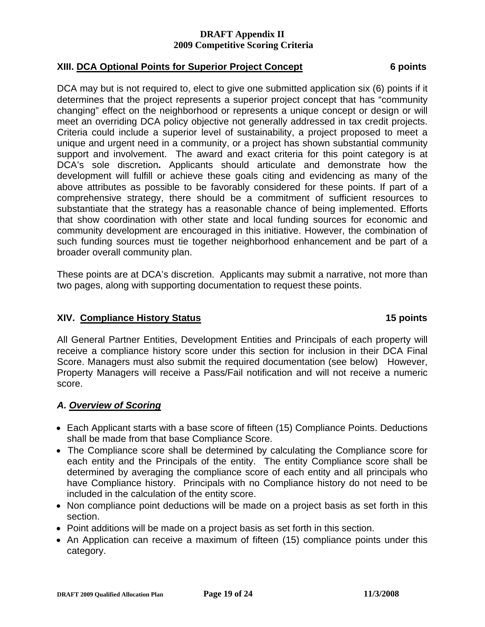# **XIII. DCA Optional Points for Superior Project Concept 6 points**

DCA may but is not required to, elect to give one submitted application six (6) points if it determines that the project represents a superior project concept that has "community changing" effect on the neighborhood or represents a unique concept or design or will meet an overriding DCA policy objective not generally addressed in tax credit projects. Criteria could include a superior level of sustainability, a project proposed to meet a unique and urgent need in a community, or a project has shown substantial community support and involvement. The award and exact criteria for this point category is at DCA's sole discretion**.** Applicants should articulate and demonstrate how the development will fulfill or achieve these goals citing and evidencing as many of the above attributes as possible to be favorably considered for these points. If part of a comprehensive strategy, there should be a commitment of sufficient resources to substantiate that the strategy has a reasonable chance of being implemented. Efforts that show coordination with other state and local funding sources for economic and community development are encouraged in this initiative. However, the combination of such funding sources must tie together neighborhood enhancement and be part of a broader overall community plan.

These points are at DCA's discretion. Applicants may submit a narrative, not more than two pages, along with supporting documentation to request these points.

# **XIV. Compliance History Status 15 points**

All General Partner Entities, Development Entities and Principals of each property will receive a compliance history score under this section for inclusion in their DCA Final Score. Managers must also submit the required documentation (see below) However, Property Managers will receive a Pass/Fail notification and will not receive a numeric score.

# *A. Overview of Scoring*

- Each Applicant starts with a base score of fifteen (15) Compliance Points. Deductions shall be made from that base Compliance Score.
- The Compliance score shall be determined by calculating the Compliance score for each entity and the Principals of the entity. The entity Compliance score shall be determined by averaging the compliance score of each entity and all principals who have Compliance history. Principals with no Compliance history do not need to be included in the calculation of the entity score.
- Non compliance point deductions will be made on a project basis as set forth in this section.
- Point additions will be made on a project basis as set forth in this section.
- An Application can receive a maximum of fifteen (15) compliance points under this category.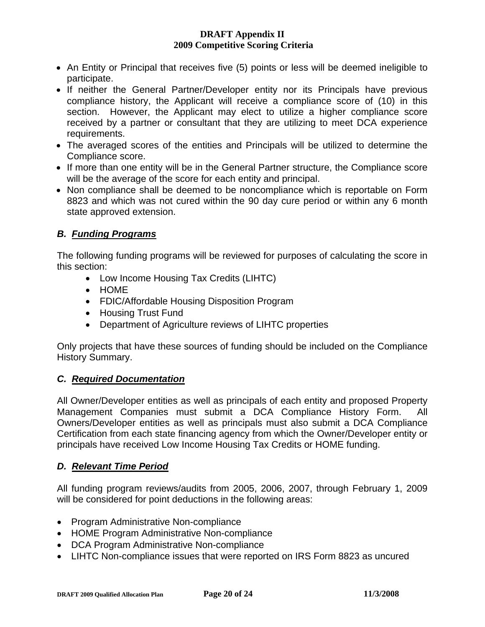- An Entity or Principal that receives five (5) points or less will be deemed ineligible to participate.
- If neither the General Partner/Developer entity nor its Principals have previous compliance history, the Applicant will receive a compliance score of (10) in this section. However, the Applicant may elect to utilize a higher compliance score received by a partner or consultant that they are utilizing to meet DCA experience requirements.
- The averaged scores of the entities and Principals will be utilized to determine the Compliance score.
- If more than one entity will be in the General Partner structure, the Compliance score will be the average of the score for each entity and principal.
- Non compliance shall be deemed to be noncompliance which is reportable on Form 8823 and which was not cured within the 90 day cure period or within any 6 month state approved extension.

# *B. Funding Programs*

The following funding programs will be reviewed for purposes of calculating the score in this section:

- Low Income Housing Tax Credits (LIHTC)
- HOME
- FDIC/Affordable Housing Disposition Program
- Housing Trust Fund
- Department of Agriculture reviews of LIHTC properties

Only projects that have these sources of funding should be included on the Compliance History Summary.

# *C. Required Documentation*

All Owner/Developer entities as well as principals of each entity and proposed Property Management Companies must submit a DCA Compliance History Form. Owners/Developer entities as well as principals must also submit a DCA Compliance Certification from each state financing agency from which the Owner/Developer entity or principals have received Low Income Housing Tax Credits or HOME funding.

# *D. Relevant Time Period*

All funding program reviews/audits from 2005, 2006, 2007, through February 1, 2009 will be considered for point deductions in the following areas:

- Program Administrative Non-compliance
- HOME Program Administrative Non-compliance
- DCA Program Administrative Non-compliance
- LIHTC Non-compliance issues that were reported on IRS Form 8823 as uncured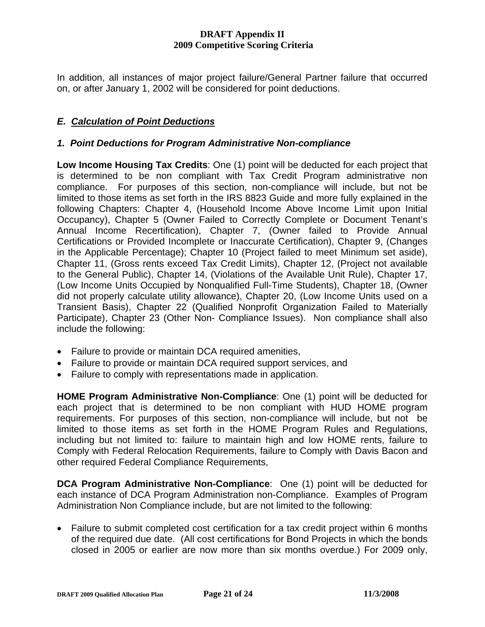In addition, all instances of major project failure/General Partner failure that occurred on, or after January 1, 2002 will be considered for point deductions.

# *E. Calculation of Point Deductions*

### *1. Point Deductions for Program Administrative Non-compliance*

**Low Income Housing Tax Credits**: One (1) point will be deducted for each project that is determined to be non compliant with Tax Credit Program administrative non compliance. For purposes of this section, non-compliance will include, but not be limited to those items as set forth in the IRS 8823 Guide and more fully explained in the following Chapters: Chapter 4, (Household Income Above Income Limit upon Initial Occupancy), Chapter 5 (Owner Failed to Correctly Complete or Document Tenant's Annual Income Recertification), Chapter 7, (Owner failed to Provide Annual Certifications or Provided Incomplete or Inaccurate Certification), Chapter 9, (Changes in the Applicable Percentage); Chapter 10 (Project failed to meet Minimum set aside), Chapter 11, (Gross rents exceed Tax Credit Limits), Chapter 12, (Project not available to the General Public), Chapter 14, (Violations of the Available Unit Rule), Chapter 17, (Low Income Units Occupied by Nonqualified Full-Time Students), Chapter 18, (Owner did not properly calculate utility allowance), Chapter 20, (Low Income Units used on a Transient Basis), Chapter 22 (Qualified Nonprofit Organization Failed to Materially Participate), Chapter 23 (Other Non- Compliance Issues). Non compliance shall also include the following:

- Failure to provide or maintain DCA required amenities,
- Failure to provide or maintain DCA required support services, and
- Failure to comply with representations made in application.

**HOME Program Administrative Non-Compliance**: One (1) point will be deducted for each project that is determined to be non compliant with HUD HOME program requirements. For purposes of this section, non-compliance will include, but not be limited to those items as set forth in the HOME Program Rules and Regulations, including but not limited to: failure to maintain high and low HOME rents, failure to Comply with Federal Relocation Requirements, failure to Comply with Davis Bacon and other required Federal Compliance Requirements,

**DCA Program Administrative Non-Compliance**: One (1) point will be deducted for each instance of DCA Program Administration non-Compliance. Examples of Program Administration Non Compliance include, but are not limited to the following:

• Failure to submit completed cost certification for a tax credit project within 6 months of the required due date. (All cost certifications for Bond Projects in which the bonds closed in 2005 or earlier are now more than six months overdue.) For 2009 only,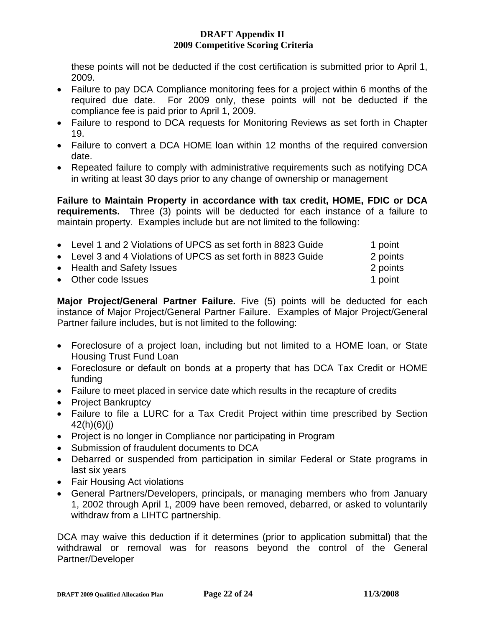these points will not be deducted if the cost certification is submitted prior to April 1, 2009.

- Failure to pay DCA Compliance monitoring fees for a project within 6 months of the required due date. For 2009 only, these points will not be deducted if the compliance fee is paid prior to April 1, 2009.
- Failure to respond to DCA requests for Monitoring Reviews as set forth in Chapter 19.
- Failure to convert a DCA HOME loan within 12 months of the required conversion date.
- Repeated failure to comply with administrative requirements such as notifying DCA in writing at least 30 days prior to any change of ownership or management

**Failure to Maintain Property in accordance with tax credit, HOME, FDIC or DCA requirements.** Three (3) points will be deducted for each instance of a failure to maintain property. Examples include but are not limited to the following:

| • Level 1 and 2 Violations of UPCS as set forth in 8823 Guide | 1 point  |
|---------------------------------------------------------------|----------|
| • Level 3 and 4 Violations of UPCS as set forth in 8823 Guide | 2 points |
| • Health and Safety Issues                                    | 2 points |
| • Other code Issues                                           | 1 point  |

**Major Project/General Partner Failure.** Five (5) points will be deducted for each instance of Major Project/General Partner Failure. Examples of Major Project/General Partner failure includes, but is not limited to the following:

- Foreclosure of a project loan, including but not limited to a HOME loan, or State Housing Trust Fund Loan
- Foreclosure or default on bonds at a property that has DCA Tax Credit or HOME funding
- Failure to meet placed in service date which results in the recapture of credits
- Project Bankruptcy
- Failure to file a LURC for a Tax Credit Project within time prescribed by Section  $42(h)(6)(i)$
- Project is no longer in Compliance nor participating in Program
- Submission of fraudulent documents to DCA
- Debarred or suspended from participation in similar Federal or State programs in last six years
- Fair Housing Act violations
- General Partners/Developers, principals, or managing members who from January 1, 2002 through April 1, 2009 have been removed, debarred, or asked to voluntarily withdraw from a LIHTC partnership.

DCA may waive this deduction if it determines (prior to application submittal) that the withdrawal or removal was for reasons beyond the control of the General Partner/Developer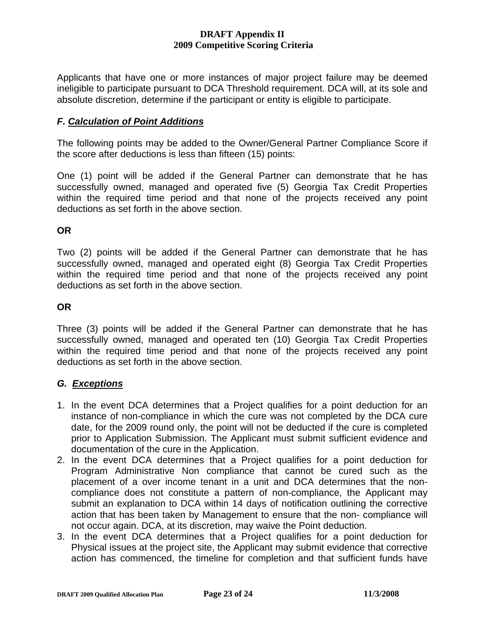Applicants that have one or more instances of major project failure may be deemed ineligible to participate pursuant to DCA Threshold requirement. DCA will, at its sole and absolute discretion, determine if the participant or entity is eligible to participate.

# *F. Calculation of Point Additions*

The following points may be added to the Owner/General Partner Compliance Score if the score after deductions is less than fifteen (15) points:

One (1) point will be added if the General Partner can demonstrate that he has successfully owned, managed and operated five (5) Georgia Tax Credit Properties within the required time period and that none of the projects received any point deductions as set forth in the above section.

**OR** 

Two (2) points will be added if the General Partner can demonstrate that he has successfully owned, managed and operated eight (8) Georgia Tax Credit Properties within the required time period and that none of the projects received any point deductions as set forth in the above section.

# **OR**

Three (3) points will be added if the General Partner can demonstrate that he has successfully owned, managed and operated ten (10) Georgia Tax Credit Properties within the required time period and that none of the projects received any point deductions as set forth in the above section.

# *G. Exceptions*

- 1. In the event DCA determines that a Project qualifies for a point deduction for an instance of non-compliance in which the cure was not completed by the DCA cure date, for the 2009 round only, the point will not be deducted if the cure is completed prior to Application Submission. The Applicant must submit sufficient evidence and documentation of the cure in the Application.
- 2. In the event DCA determines that a Project qualifies for a point deduction for Program Administrative Non compliance that cannot be cured such as the placement of a over income tenant in a unit and DCA determines that the noncompliance does not constitute a pattern of non-compliance, the Applicant may submit an explanation to DCA within 14 days of notification outlining the corrective action that has been taken by Management to ensure that the non- compliance will not occur again. DCA, at its discretion, may waive the Point deduction.
- 3. In the event DCA determines that a Project qualifies for a point deduction for Physical issues at the project site, the Applicant may submit evidence that corrective action has commenced, the timeline for completion and that sufficient funds have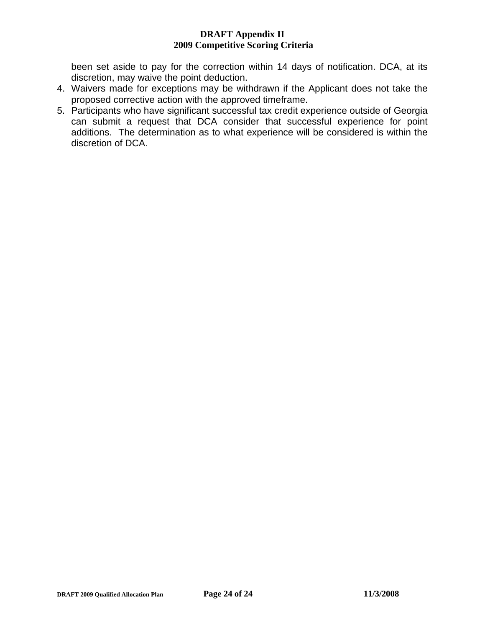been set aside to pay for the correction within 14 days of notification. DCA, at its discretion, may waive the point deduction.

- 4. Waivers made for exceptions may be withdrawn if the Applicant does not take the proposed corrective action with the approved timeframe.
- 5. Participants who have significant successful tax credit experience outside of Georgia can submit a request that DCA consider that successful experience for point additions. The determination as to what experience will be considered is within the discretion of DCA.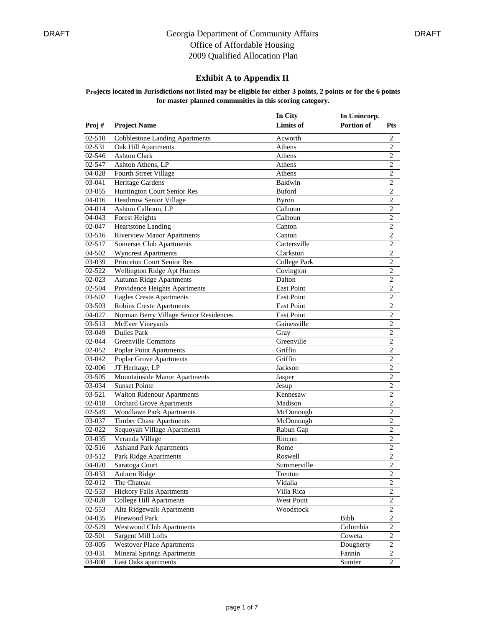### **Exhibit A to Appendix II**

|        |                                        | In City           | In Unincorp.      |                |
|--------|----------------------------------------|-------------------|-------------------|----------------|
| Proj#  | <b>Project Name</b>                    | <b>Limits</b> of  | <b>Portion of</b> | <b>Pts</b>     |
| 02-510 | <b>Cobblestone Landing Apartments</b>  | Acworth           |                   | $\overline{c}$ |
| 02-531 | Oak Hill Apartments                    | Athens            |                   | $\overline{2}$ |
| 02-546 | <b>Ashton Clark</b>                    | Athens            |                   | 2              |
| 02-547 | Ashton Athens, LP                      | Athens            |                   | $\overline{c}$ |
| 04-028 | Fourth Street Village                  | Athens            |                   | $\overline{c}$ |
| 03-041 | Heritage Gardens                       | Baldwin           |                   | $\overline{c}$ |
| 03-055 | Huntington Court Senior Res            | <b>Buford</b>     |                   | $\overline{c}$ |
| 04-016 | Heathrow Senior Village                | Byron             |                   | $\sqrt{2}$     |
| 04-014 | Ashton Calhoun, LP                     | Calhoun           |                   | $\overline{c}$ |
| 04-043 | <b>Forest Heights</b>                  | Calhoun           |                   | $\overline{2}$ |
| 02-047 | Heartstone Landing                     | Canton            |                   | $\overline{c}$ |
| 03-516 | <b>Riverview Manor Apartments</b>      | Canton            |                   | $\overline{c}$ |
| 02-517 | Somerset Club Apartments               | Cartersville      |                   | $\overline{c}$ |
| 04-502 | <b>Wyncrest Apartments</b>             | Clarkston         |                   | $\overline{2}$ |
| 03-039 | <b>Princeton Court Senior Res</b>      | College Park      |                   | $\sqrt{2}$     |
| 02-522 | Wellington Ridge Apt Homes             | Covington         |                   | $\overline{c}$ |
| 02-023 | <b>Autumn Ridge Apartments</b>         | Dalton            |                   | $\overline{c}$ |
| 02-504 | Providence Heights Apartments          | <b>East Point</b> |                   | $\overline{2}$ |
| 03-502 | <b>Eagles Creste Apartments</b>        | East Point        |                   | $\overline{c}$ |
| 03-503 | Robins Creste Apartments               | <b>East Point</b> |                   | $\overline{c}$ |
| 04-027 | Norman Berry Village Senior Residences | <b>East Point</b> |                   | $\overline{2}$ |
| 03-513 | McEver Vineyards                       | Gainesville       |                   | $\overline{c}$ |
| 03-049 | <b>Dulles Park</b>                     | Gray              |                   | $\overline{c}$ |
| 02-044 | Greenville Commons                     | Greenville        |                   | $\overline{c}$ |
| 02-052 | Poplar Point Apartments                | Griffin           |                   | $\overline{2}$ |
| 03-042 | Poplar Grove Apartments                | Griffin           |                   | $\sqrt{2}$     |
| 02-006 | JT Heritage, LP                        | Jackson           |                   | $\overline{c}$ |
| 03-505 | Mountainside Manor Apartments          | Jasper            |                   | 2              |
| 03-034 | <b>Sunset Pointe</b>                   | Jesup             |                   | $\sqrt{2}$     |
| 03-521 | <b>Walton Ridenour Apartments</b>      | Kennesaw          |                   | $\mathbf{2}$   |
| 02-018 | <b>Orchard Grove Apartments</b>        | Madison           |                   | $\overline{c}$ |
| 02-549 | Woodlawn Park Apartments               | McDonough         |                   | $\overline{c}$ |
| 03-037 | <b>Timber Chase Apartments</b>         | McDonough         |                   | $\sqrt{2}$     |
| 02-022 | Sequoyah Village Apartments            | Rabun Gap         |                   | $\overline{c}$ |
| 03-035 | Veranda Village                        | Rincon            |                   | $\overline{c}$ |
| 02-516 | <b>Ashland Park Apartments</b>         | Rome              |                   | $\overline{c}$ |
| 03-512 | Park Ridge Apartments                  | Roswell           |                   | $\overline{c}$ |
|        | 04-020 Saratoga Court                  | Summerville       |                   | $\overline{c}$ |
| 03-033 | Auburn Ridge                           | Trenton           |                   | $\overline{c}$ |
| 02-012 | The Chateau                            | Vidalia           |                   | $\overline{c}$ |
| 02-533 | <b>Hickory Falls Apartments</b>        | Villa Rica        |                   | $\overline{2}$ |
| 02-028 | College Hill Apartments                | West Point        |                   | 2              |
| 02-553 | Alta Ridgewalk Apartments              | Woodstock         |                   | $\overline{c}$ |
| 04-035 | Pinewood Park                          |                   | Bibb              | $\overline{c}$ |
| 02-529 | <b>Westwood Club Apartments</b>        |                   | Columbia          | 2              |
| 02-501 | Sargent Mill Lofts                     |                   | Coweta            | $\overline{c}$ |
| 03-005 | Westover Place Apartments              |                   | Dougherty         | $\overline{c}$ |
| 03-031 | <b>Mineral Springs Apartments</b>      |                   | Fannin            | $\overline{c}$ |
| 03-008 | East Oaks apartments                   |                   | Sumter            | 2              |
|        |                                        |                   |                   |                |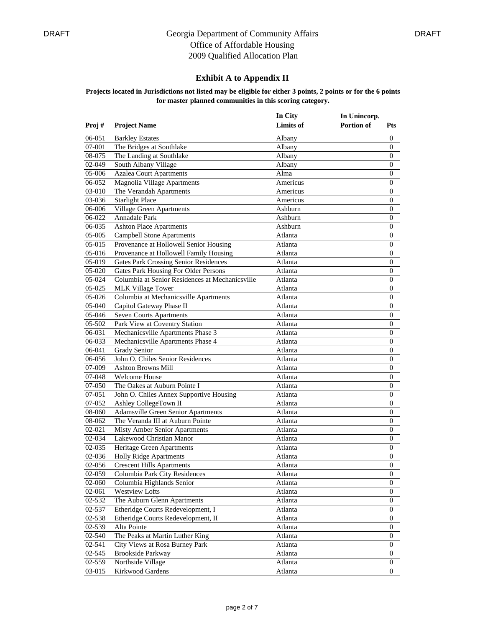| In City<br><b>Limits</b> of<br>Portion of<br>Proj#<br><b>Project Name</b><br>06-051<br>Albany<br><b>Barkley Estates</b><br>07-001<br>The Bridges at Southlake<br>Albany | <b>Pts</b><br>$\boldsymbol{0}$<br>$\boldsymbol{0}$<br>0 |
|-------------------------------------------------------------------------------------------------------------------------------------------------------------------------|---------------------------------------------------------|
|                                                                                                                                                                         |                                                         |
|                                                                                                                                                                         |                                                         |
|                                                                                                                                                                         |                                                         |
| The Landing at Southlake<br>08-075<br>Albany                                                                                                                            |                                                         |
| 02-049<br>South Albany Village<br>Albany                                                                                                                                | 0                                                       |
| <b>Azalea Court Apartments</b><br>05-006<br>Alma                                                                                                                        | $\boldsymbol{0}$                                        |
| 06-052<br><b>Magnolia Village Apartments</b><br>Americus                                                                                                                | 0                                                       |
| 03-010<br>The Verandah Apartments<br>Americus                                                                                                                           | 0                                                       |
| <b>Starlight Place</b><br>03-036<br>Americus                                                                                                                            | 0                                                       |
| 06-006<br>Village Green Apartments<br>Ashburn                                                                                                                           | $\boldsymbol{0}$                                        |
| 06-022<br>Annadale Park<br>Ashburn                                                                                                                                      | $\boldsymbol{0}$                                        |
| <b>Ashton Place Apartments</b><br>06-035<br>Ashburn                                                                                                                     | 0                                                       |
| <b>Campbell Stone Apartments</b><br>05-005<br>Atlanta                                                                                                                   | $\boldsymbol{0}$                                        |
| 05-015<br>Provenance at Hollowell Senior Housing<br>Atlanta                                                                                                             | 0                                                       |
| 05-016<br>Provenance at Hollowell Family Housing<br>Atlanta                                                                                                             | 0                                                       |
| 05-019<br>Gates Park Crossing Senior Residences<br>Atlanta                                                                                                              | 0                                                       |
| <b>Gates Park Housing For Older Persons</b><br>05-020<br>Atlanta                                                                                                        | $\boldsymbol{0}$                                        |
| Columbia at Senior Residences at Mechanicsville<br>05-024<br>Atlanta                                                                                                    | 0                                                       |
| $05-025$<br><b>MLK Village Tower</b><br>Atlanta                                                                                                                         | 0                                                       |
| Columbia at Mechanicsville Apartments<br>05-026<br>Atlanta                                                                                                              | 0                                                       |
| Capitol Gateway Phase II<br>05-040<br>Atlanta                                                                                                                           | 0                                                       |
| 05-046<br><b>Seven Courts Apartments</b><br>Atlanta                                                                                                                     | 0                                                       |
| 05-502<br>Park View at Coventry Station<br>Atlanta                                                                                                                      | 0                                                       |
| 06-031<br>Mechanicsville Apartments Phase 3<br>Atlanta                                                                                                                  | $\boldsymbol{0}$                                        |
| 06-033<br>Mechanicsville Apartments Phase 4<br>Atlanta                                                                                                                  | 0                                                       |
| <b>Grady Senior</b><br>06-041<br>Atlanta                                                                                                                                | 0                                                       |
| John O. Chiles Senior Residences<br>06-056<br>Atlanta                                                                                                                   | 0                                                       |
| 07-009<br><b>Ashton Browns Mill</b><br>Atlanta                                                                                                                          | 0                                                       |
| 07-048<br><b>Welcome House</b><br>Atlanta                                                                                                                               | 0                                                       |
| 07-050<br>The Oakes at Auburn Pointe I<br>Atlanta                                                                                                                       | 0                                                       |
| John O. Chiles Annex Supportive Housing<br>07-051<br>Atlanta                                                                                                            | $\boldsymbol{0}$                                        |
| 07-052<br>Ashley CollegeTown II<br>Atlanta                                                                                                                              | $\boldsymbol{0}$                                        |
| 08-060<br>Adamsville Green Senior Apartments<br>Atlanta                                                                                                                 | 0                                                       |
| 08-062<br>The Veranda III at Auburn Pointe<br>Atlanta                                                                                                                   | 0                                                       |
| 02-021<br>Misty Amber Senior Apartments<br>Atlanta                                                                                                                      | 0                                                       |
| Lakewood Christian Manor<br>02-034<br>Atlanta                                                                                                                           | 0                                                       |
| 02-035<br>Heritage Green Apartments<br>Atlanta                                                                                                                          | 0                                                       |
| 02-036<br>Holly Ridge Apartments<br>Atlanta                                                                                                                             | 0                                                       |
| 02-056 Crescent Hills Apartments<br>Atlanta                                                                                                                             | $\boldsymbol{0}$                                        |
| 02-059<br>Columbia Park City Residences<br>Atlanta                                                                                                                      | 0                                                       |
| 02-060<br>Columbia Highlands Senior<br>Atlanta                                                                                                                          | 0                                                       |
| 02-061<br>Westview Lofts<br>Atlanta                                                                                                                                     | 0                                                       |
| 02-532<br>The Auburn Glenn Apartments<br>Atlanta                                                                                                                        | 0                                                       |
| Etheridge Courts Redevelopment, I<br>02-537<br>Atlanta                                                                                                                  | 0                                                       |
| Etheridge Courts Redevelopment, II<br>02-538<br>Atlanta                                                                                                                 | $\boldsymbol{0}$                                        |
| 02-539<br>Alta Pointe<br>Atlanta                                                                                                                                        | 0                                                       |
| 02-540<br>The Peaks at Martin Luther King<br>Atlanta                                                                                                                    | 0                                                       |
| 02-541<br>City Views at Rosa Burney Park<br>Atlanta                                                                                                                     | $\boldsymbol{0}$                                        |
| 02-545<br><b>Brookside Parkway</b><br>Atlanta                                                                                                                           | $\mathbf{0}$                                            |
| 02-559<br>Northside Village<br>Atlanta                                                                                                                                  | 0                                                       |
| Kirkwood Gardens<br>03-015<br>Atlanta                                                                                                                                   | 0                                                       |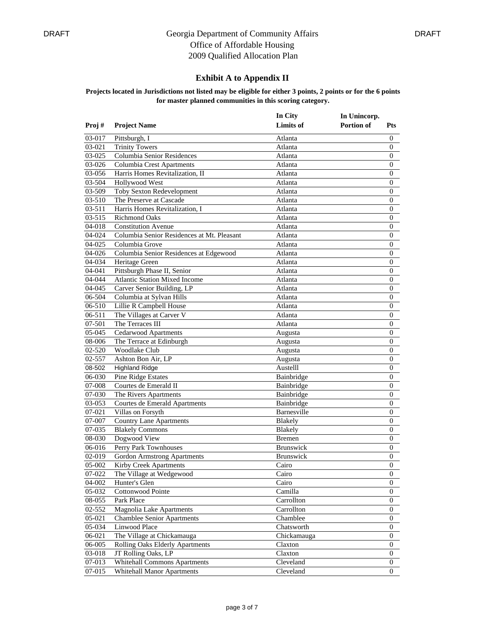### **Exhibit A to Appendix II**

|        |                                            | In City          | In Unincorp. |                  |
|--------|--------------------------------------------|------------------|--------------|------------------|
| Proj#  | <b>Project Name</b>                        | Limits of        | Portion of   | <b>Pts</b>       |
| 03-017 | Pittsburgh, I                              | Atlanta          |              | 0                |
| 03-021 | <b>Trinity Towers</b>                      | Atlanta          |              | $\overline{0}$   |
| 03-025 | Columbia Senior Residences                 | Atlanta          |              | 0                |
| 03-026 | Columbia Crest Apartments                  | Atlanta          |              | 0                |
| 03-056 | Harris Homes Revitalization, II            | Atlanta          |              | $\mathbf{0}$     |
| 03-504 | Hollywood West                             | Atlanta          |              | 0                |
| 03-509 | <b>Toby Sexton Redevelopment</b>           | Atlanta          |              | 0                |
| 03-510 | The Preserve at Cascade                    | Atlanta          |              | 0                |
| 03-511 | Harris Homes Revitalization, I             | Atlanta          |              | 0                |
| 03-515 | <b>Richmond Oaks</b>                       | Atlanta          |              | $\mathbf{0}$     |
| 04-018 | <b>Constitution Avenue</b>                 | Atlanta          |              | 0                |
| 04-024 | Columbia Senior Residences at Mt. Pleasant | Atlanta          |              | $\boldsymbol{0}$ |
| 04-025 | Columbia Grove                             | Atlanta          |              | 0                |
| 04-026 | Columbia Senior Residences at Edgewood     | Atlanta          |              | 0                |
| 04-034 | Heritage Green                             | Atlanta          |              | 0                |
| 04-041 | Pittsburgh Phase II, Senior                | Atlanta          |              | 0                |
| 04-044 | <b>Atlantic Station Mixed Income</b>       | Atlanta          |              | 0                |
| 04-045 | Carver Senior Building, LP                 | Atlanta          |              | 0                |
| 06-504 | Columbia at Sylvan Hills                   | Atlanta          |              | 0                |
| 06-510 | Lillie R Campbell House                    | Atlanta          |              | 0                |
| 06-511 | The Villages at Carver V                   | Atlanta          |              | 0                |
| 07-501 | The Terraces III                           | Atlanta          |              | 0                |
| 05-045 | <b>Cedarwood Apartments</b>                | Augusta          |              | $\mathbf{0}$     |
| 08-006 | The Terrace at Edinburgh                   | Augusta          |              | 0                |
| 02-520 | Woodlake Club                              | Augusta          |              | 0                |
| 02-557 | Ashton Bon Air, LP                         | Augusta          |              | $\boldsymbol{0}$ |
| 08-502 | <b>Highland Ridge</b>                      | Austelll         |              | 0                |
| 06-030 | <b>Pine Ridge Estates</b>                  | Bainbridge       |              | 0                |
| 07-008 | Courtes de Emerald II                      | Bainbridge       |              | 0                |
| 07-030 | The Rivers Apartments                      | Bainbridge       |              | $\mathbf{0}$     |
| 03-053 | Courtes de Emerald Apartments              | Bainbridge       |              | $\boldsymbol{0}$ |
| 07-021 | Villas on Forsyth                          | Barnesville      |              | 0                |
| 07-007 | <b>Country Lane Apartments</b>             | Blakely          |              | $\mathbf{0}$     |
| 07-035 | <b>Blakely Commons</b>                     | Blakely          |              | 0                |
| 08-030 | Dogwood View                               | <b>Bremen</b>    |              | 0                |
| 06-016 | Perry Park Townhouses                      | <b>Brunswick</b> |              | 0                |
| 02-019 | Gordon Armstrong Apartments                | <b>Brunswick</b> |              | $\boldsymbol{0}$ |
|        | 05-002 Kirby Creek Apartments              | Cairo            |              | $\boldsymbol{0}$ |
| 07-022 | The Village at Wedgewood                   | Cairo            |              | 0                |
| 04-002 | Hunter's Glen                              | Cairo            |              | 0                |
| 05-032 | Cottonwood Pointe                          | Camilla          |              | $\mathbf{0}$     |
| 08-055 | Park Place                                 | Carrollton       |              | 0                |
| 02-552 | <b>Magnolia Lake Apartments</b>            | Carrollton       |              | 0                |
| 05-021 | <b>Chamblee Senior Apartments</b>          | Chamblee         |              | 0                |
| 05-034 | Linwood Place                              | Chatsworth       |              | $\mathbf{0}$     |
| 06-021 | The Village at Chickamauga                 | Chickamauga      |              | $\mathbf{0}$     |
| 06-005 | Rolling Oaks Elderly Apartments            | Claxton          |              | $\boldsymbol{0}$ |
| 03-018 | JT Rolling Oaks, LP                        | Claxton          |              | $\mathbf{0}$     |
| 07-013 | <b>Whitehall Commons Apartments</b>        | Cleveland        |              | 0                |
|        |                                            |                  |              |                  |
| 07-015 | <b>Whitehall Manor Apartments</b>          | Cleveland        |              | 0                |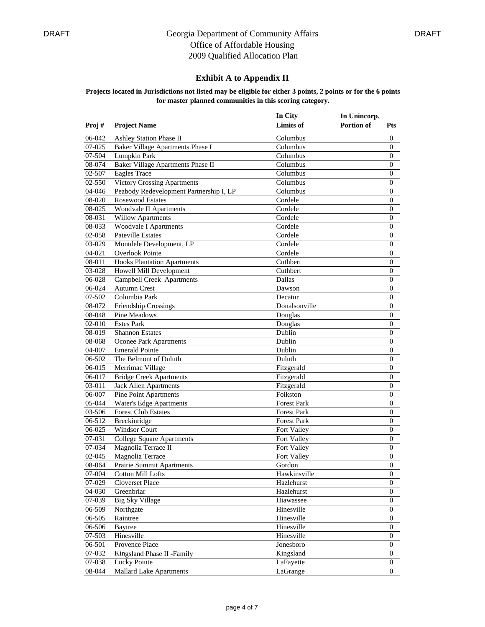### **Exhibit A to Appendix II**

|                  |                                         | In City                | In Unincorp.      |                   |
|------------------|-----------------------------------------|------------------------|-------------------|-------------------|
| Proj#            | <b>Project Name</b>                     | <b>Limits</b> of       | <b>Portion of</b> | <b>Pts</b>        |
| 06-042           | <b>Ashley Station Phase II</b>          | Columbus               |                   | 0                 |
| 07-025           | Baker Village Apartments Phase I        | Columbus               |                   | $\overline{0}$    |
| 07-504           | Lumpkin Park                            | Columbus               |                   | 0                 |
| 08-074           | Baker Village Apartments Phase II       | Columbus               |                   | 0                 |
| 02-507           | <b>Eagles Trace</b>                     | Columbus               |                   | $\mathbf{0}$      |
| 02-550           | <b>Victory Crossing Apartments</b>      | Columbus               |                   | 0                 |
| 04-046           | Peabody Redevelopment Partnership I, LP | Columbus               |                   | 0                 |
| 08-020           | <b>Rosewood Estates</b>                 | Cordele                |                   | 0                 |
| 08-025           | <b>Woodvale II Apartments</b>           | Cordele                |                   | 0                 |
| 08-031           | <b>Willow Apartments</b>                | Cordele                |                   | $\mathbf{0}$      |
| 08-033           | <b>Woodvale I Apartments</b>            | Cordele                |                   | 0                 |
| 02-058           | <b>Pateville Estates</b>                | Cordele                |                   | $\boldsymbol{0}$  |
| 03-029           | Montdele Development, LP                | Cordele                |                   | 0                 |
| 04-021           | <b>Overlook Pointe</b>                  | Cordele                |                   | 0                 |
| 08-011           | <b>Hooks Plantation Apartments</b>      | Cuthbert               |                   | 0                 |
| 03-028           | Howell Mill Development                 | Cuthbert               |                   | $\mathbf{0}$      |
| 06-028           | Campbell Creek Apartments               | Dallas                 |                   | 0                 |
| 06-024           | <b>Autumn Crest</b>                     | Dawson                 |                   | 0                 |
| 07-502           | Columbia Park                           | Decatur                |                   | $\boldsymbol{0}$  |
| 08-072           | Friendship Crossings                    | Donalsonville          |                   | 0                 |
| 08-048           | Pine Meadows                            | Douglas                |                   | 0                 |
| 02-010           | <b>Estes Park</b>                       | Douglas                |                   | 0                 |
| 08-019           | <b>Shannon Estates</b>                  | Dublin                 |                   | $\mathbf{0}$      |
| 08-068           | Oconee Park Apartments                  | Dublin                 |                   | 0                 |
| 04-007           | <b>Emerald Pointe</b>                   | Dublin                 |                   | 0                 |
| 06-502           | The Belmont of Duluth                   | Duluth                 |                   | 0                 |
| 06-015           | Merrimac Village                        | Fitzgerald             |                   | $\boldsymbol{0}$  |
| 06-017           | <b>Bridge Creek Apartments</b>          | Fitzgerald             |                   | 0                 |
| 03-011           | Jack Allen Apartments                   | Fitzgerald             |                   | 0                 |
| 06-007           | <b>Pine Point Apartments</b>            | Folkston               |                   | $\mathbf{0}$      |
| 05-044           | Water's Edge Apartments                 | <b>Forest Park</b>     |                   | $\mathbf{0}$      |
| 03-506           | <b>Forest Club Estates</b>              | <b>Forest Park</b>     |                   | 0                 |
| 06-512           | Breckinridge                            | <b>Forest Park</b>     |                   | 0                 |
| 06-025           | <b>Windsor Court</b>                    | Fort Valley            |                   | 0                 |
| 07-031           | <b>College Square Apartments</b>        | Fort Valley            |                   | 0                 |
| 07-034           | Magnolia Terrace II                     | Fort Valley            |                   | 0                 |
| 02-045           | Magnolia Terrace                        | Fort Valley            |                   | $\boldsymbol{0}$  |
|                  | 08-064 Prairie Summit Apartments        | Gordon                 |                   | $\boldsymbol{0}$  |
| 07-004           | Cotton Mill Lofts                       | Hawkinsville           |                   | 0                 |
| 07-029           | Cloverset Place                         | Hazlehurst             |                   | $\mathbf{0}$      |
| 04-030           | Greenbriar                              | Hazlehurst             |                   | 0                 |
| 07-039           | <b>Big Sky Village</b>                  | Hiawassee              |                   | 0                 |
| 06-509           | Northgate                               | Hinesville             |                   | 0                 |
| 06-505           | Raintree                                | Hinesville             |                   | 0                 |
| 06-506           | <b>Baytree</b>                          | Hinesville             |                   | $\mathbf{0}$      |
| 07-503           | Hinesville                              | Hinesville             |                   | $\mathbf{0}$      |
|                  | Provence Place                          |                        |                   |                   |
| 06-501<br>07-032 | Kingsland Phase II -Family              | Jonesboro<br>Kingsland |                   | 0<br>$\mathbf{0}$ |
|                  |                                         |                        |                   |                   |
| 07-038           | Lucky Pointe                            | LaFayette              |                   | 0                 |
| 08-044           | <b>Mallard Lake Apartments</b>          | LaGrange               |                   | 0                 |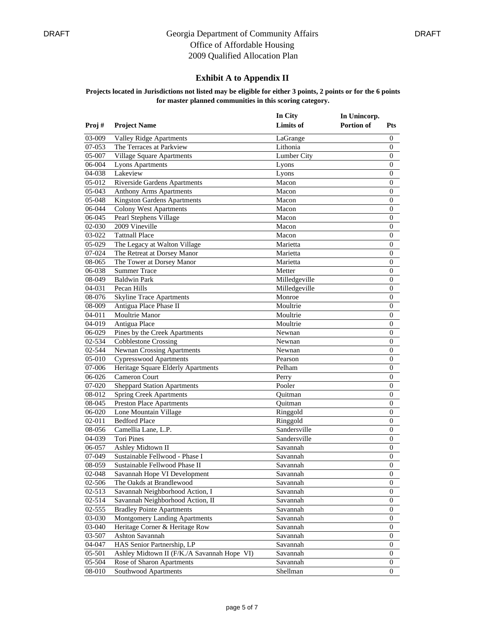### **Exhibit A to Appendix II**

|                  |                                                                   | In City              | In Unincorp. |                  |
|------------------|-------------------------------------------------------------------|----------------------|--------------|------------------|
| Proj#            | <b>Project Name</b>                                               | <b>Limits</b> of     | Portion of   | <b>Pts</b>       |
| 03-009           | <b>Valley Ridge Apartments</b>                                    | LaGrange             |              | 0                |
| 07-053           | The Terraces at Parkview                                          | Lithonia             |              | $\boldsymbol{0}$ |
| 05-007           | Village Square Apartments                                         | Lumber City          |              | $\boldsymbol{0}$ |
| 06-004           | <b>Lyons Apartments</b>                                           | Lyons                |              | $\boldsymbol{0}$ |
| 04-038           | Lakeview                                                          | Lyons                |              | $\boldsymbol{0}$ |
| 05-012           | Riverside Gardens Apartments                                      | Macon                |              | 0                |
| 05-043           | <b>Anthony Arms Apartments</b>                                    | Macon                |              | 0                |
| 05-048           | <b>Kingston Gardens Apartments</b>                                | Macon                |              | $\boldsymbol{0}$ |
| 06-044           | <b>Colony West Apartments</b>                                     | Macon                |              | $\boldsymbol{0}$ |
| 06-045           | Pearl Stephens Village                                            | Macon                |              | $\boldsymbol{0}$ |
| 02-030           | 2009 Vineville                                                    | Macon                |              | $\boldsymbol{0}$ |
| 03-022           | <b>Tattnall Place</b>                                             | Macon                |              | $\boldsymbol{0}$ |
| 05-029           | The Legacy at Walton Village                                      | Marietta             |              | 0                |
| 07-024           | The Retreat at Dorsey Manor                                       | Marietta             |              | 0                |
| 08-065           | The Tower at Dorsey Manor                                         | Marietta             |              | $\boldsymbol{0}$ |
| 06-038           | <b>Summer Trace</b>                                               | Metter               |              | $\boldsymbol{0}$ |
| 08-049           | <b>Baldwin Park</b>                                               | Milledgeville        |              | $\boldsymbol{0}$ |
| 04-031           | Pecan Hills                                                       | Milledgeville        |              | $\boldsymbol{0}$ |
| 08-076           | <b>Skyline Trace Apartments</b>                                   | Monroe               |              | $\boldsymbol{0}$ |
| 08-009           | Antigua Place Phase II                                            | Moultrie             |              | 0                |
| 04-011           | Moultrie Manor                                                    | Moultrie             |              | 0                |
| 04-019           | Antigua Place                                                     | Moultrie             |              | 0                |
| 06-029           | Pines by the Creek Apartments                                     | Newnan               |              | $\boldsymbol{0}$ |
| 02-534           | <b>Cobblestone Crossing</b>                                       | Newnan               |              | $\boldsymbol{0}$ |
| 02-544           | <b>Newnan Crossing Apartments</b>                                 | Newnan               |              | $\boldsymbol{0}$ |
| 05-010           | <b>Cypresswood Apartments</b>                                     | Pearson              |              | $\boldsymbol{0}$ |
| 07-006           | Heritage Square Elderly Apartments                                | Pelham               |              | $\boldsymbol{0}$ |
| 06-026           | Cameron Court                                                     | Perry                |              | 0                |
| 07-020           | <b>Sheppard Station Apartments</b>                                | Pooler               |              | 0                |
| 08-012           | <b>Spring Creek Apartments</b>                                    | Quitman              |              | $\boldsymbol{0}$ |
| 08-045           | <b>Preston Place Apartments</b>                                   | Quitman              |              | $\boldsymbol{0}$ |
| 06-020           | Lone Mountain Village                                             | Ringgold             |              | $\boldsymbol{0}$ |
| 02-011           | <b>Bedford Place</b>                                              | Ringgold             |              | $\boldsymbol{0}$ |
| 08-056           | Camellia Lane, L.P.                                               | Sandersville         |              | $\boldsymbol{0}$ |
| 04-039           | <b>Tori Pines</b>                                                 | Sandersville         |              | 0                |
| 06-057           | Ashley Midtown II                                                 | Savannah             |              | 0                |
| 07-049           | Sustainable Fellwood - Phase I                                    | Savannah             |              | $\boldsymbol{0}$ |
|                  | 08-059 Sustainable Fellwood Phase II                              | Savannah             |              | $\boldsymbol{0}$ |
| 02-048           | Savannah Hope VI Development                                      | Savannah             |              | 0                |
| 02-506           | The Oakds at Brandlewood                                          | Savannah             |              | 0                |
| 02-513           | Savannah Neighborhood Action, I                                   | Savannah             |              | 0                |
| 02-514           | Savannah Neighborhood Action, II                                  | Savannah             |              | 0                |
| 02-555           |                                                                   |                      |              | 0                |
| 03-030           | <b>Bradley Pointe Apartments</b><br>Montgomery Landing Apartments | Savannah<br>Savannah |              | $\boldsymbol{0}$ |
|                  |                                                                   |                      |              |                  |
| 03-040<br>03-507 | Heritage Corner & Heritage Row                                    | Savannah             |              | 0                |
|                  | Ashton Savannah                                                   | Savannah             |              | 0                |
| 04-047           | HAS Senior Partnership, LP                                        | Savannah             |              | 0                |
| 05-501           | Ashley Midtown II (F/K./A Savannah Hope VI)                       | Savannah             |              | $\mathbf{0}$     |
| 05-504           | Rose of Sharon Apartments                                         | Savannah             |              | 0                |
| 08-010           | Southwood Apartments                                              | Shellman             |              | 0                |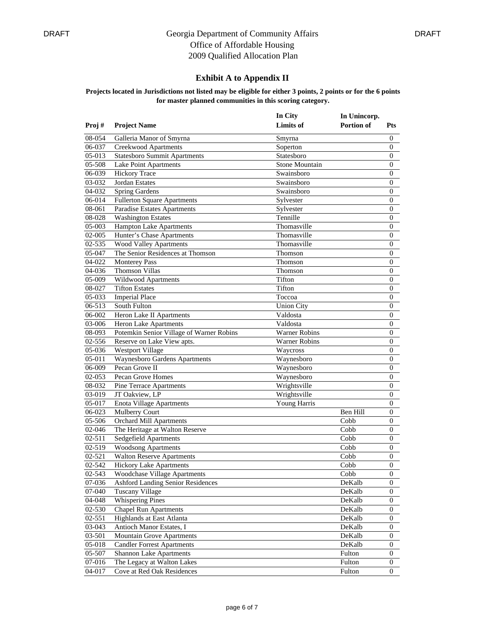### **Exhibit A to Appendix II**

|            |                                          | In City              | In Unincorp. |                  |
|------------|------------------------------------------|----------------------|--------------|------------------|
| Proj#      | <b>Project Name</b>                      | Limits of            | Portion of   | <b>Pts</b>       |
| 08-054     | Galleria Manor of Smyrna                 | Smyrna               |              | 0                |
| 06-037     | <b>Creekwood Apartments</b>              | Soperton             |              | $\boldsymbol{0}$ |
| 05-013     | <b>Statesboro Summit Apartments</b>      | Statesboro           |              | $\boldsymbol{0}$ |
| 05-508     | Lake Point Apartments                    | Stone Mountain       |              | $\boldsymbol{0}$ |
| 06-039     | <b>Hickory Trace</b>                     | Swainsboro           |              | $\boldsymbol{0}$ |
| 03-032     | <b>Jordan Estates</b>                    | Swainsboro           |              | 0                |
| 04-032     | <b>Spring Gardens</b>                    | Swainsboro           |              | 0                |
| 06-014     | <b>Fullerton Square Apartments</b>       | Sylvester            |              | $\boldsymbol{0}$ |
| 08-061     | <b>Paradise Estates Apartments</b>       | Sylvester            |              | $\boldsymbol{0}$ |
| 08-028     | <b>Washington Estates</b>                | Tennille             |              | $\boldsymbol{0}$ |
| 05-003     | Hampton Lake Apartments                  | Thomasville          |              | $\boldsymbol{0}$ |
| 02-005     | Hunter's Chase Apartments                | Thomasville          |              | $\boldsymbol{0}$ |
| 02-535     | Wood Valley Apartments                   | Thomasville          |              | 0                |
| 05-047     | The Senior Residences at Thomson         | Thomson              |              | 0                |
| 04-022     | <b>Monterey Pass</b>                     | Thomson              |              | $\boldsymbol{0}$ |
| 04-036     | <b>Thomson Villas</b>                    | Thomson              |              | $\boldsymbol{0}$ |
| 05-009     | Wildwood Apartments                      | Tifton               |              | $\boldsymbol{0}$ |
| 08-027     | <b>Tifton Estates</b>                    | Tifton               |              | $\boldsymbol{0}$ |
| 05-033     | <b>Imperial Place</b>                    | Toccoa               |              | $\boldsymbol{0}$ |
| 06-513     | South Fulton                             | <b>Union City</b>    |              | $\boldsymbol{0}$ |
| 06-002     | Heron Lake II Apartments                 | Valdosta             |              | 0                |
| 03-006     | Heron Lake Apartments                    | Valdosta             |              | 0                |
| 08-093     | Potemkin Senior Village of Warner Robins | <b>Warner Robins</b> |              | $\boldsymbol{0}$ |
| 02-556     | Reserve on Lake View apts.               | <b>Warner Robins</b> |              | $\boldsymbol{0}$ |
| 05-036     | <b>Westport Village</b>                  | Waycross             |              | $\boldsymbol{0}$ |
| 05-011     | Waynesboro Gardens Apartments            | Waynesboro           |              | $\boldsymbol{0}$ |
| 06-009     | Pecan Grove II                           | Waynesboro           |              | $\boldsymbol{0}$ |
| 02-053     | Pecan Grove Homes                        | Waynesboro           |              | 0                |
| 08-032     | Pine Terrace Apartments                  | Wrightsville         |              | $\boldsymbol{0}$ |
| 03-019     | JT Oakview, LP                           | Wrightsville         |              | $\boldsymbol{0}$ |
| 05-017     | <b>Enota Village Apartments</b>          | Young Harris         |              | $\boldsymbol{0}$ |
| 06-023     | Mulberry Court                           |                      | Ben Hill     | 0                |
| 05-506     | <b>Orchard Mill Apartments</b>           |                      | Cobb         | 0                |
| 02-046     | The Heritage at Walton Reserve           |                      | Cobb         | 0                |
| $02 - 511$ | Sedgefield Apartments                    |                      | Cobb         | 0                |
| 02-519     | <b>Woodsong Apartments</b>               |                      | Cobb         | 0                |
| 02-521     | <b>Walton Reserve Apartments</b>         |                      | Cobb         | $\boldsymbol{0}$ |
|            | 02-542 Hickory Lake Apartments           |                      | Cobb         | $\boldsymbol{0}$ |
| 02-543     | Woodchase Village Apartments             |                      | Cobb         | 0                |
| 07-036     | <b>Ashford Landing Senior Residences</b> |                      | DeKalb       | $\mathbf{0}$     |
| 07-040     | Tuscany Village                          |                      | DeKalb       | $\mathbf{0}$     |
| 04-048     | <b>Whispering Pines</b>                  |                      | DeKalb       | 0                |
| 02-530     | <b>Chapel Run Apartments</b>             |                      | DeKalb       | $\boldsymbol{0}$ |
| 02-551     | Highlands at East Atlanta                |                      | DeKalb       | $\boldsymbol{0}$ |
| 03-043     | Antioch Manor Estates, I                 |                      | DeKalb       | 0                |
| 03-501     | <b>Mountain Grove Apartments</b>         |                      | DeKalb       | 0                |
| 05-018     | <b>Candler Forrest Apartments</b>        |                      | DeKalb       | $\boldsymbol{0}$ |
| 05-507     | <b>Shannon Lake Apartments</b>           |                      | Fulton       | $\boldsymbol{0}$ |
| 07-016     | The Legacy at Walton Lakes               |                      | Fulton       | 0                |
|            | Cove at Red Oak Residences               |                      |              |                  |
| 04-017     |                                          |                      | Fulton       | 0                |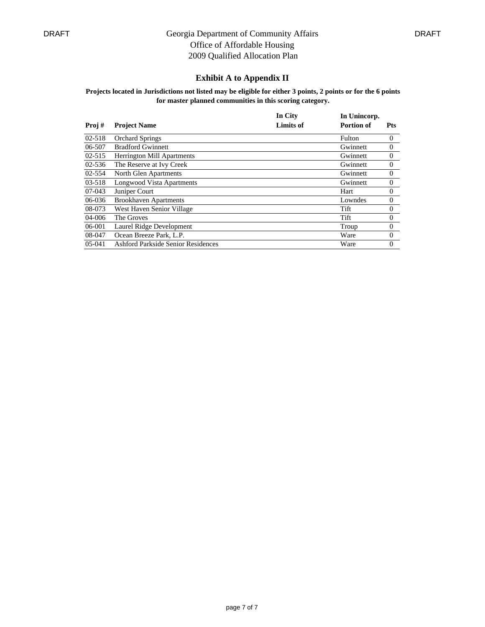### **Exhibit A to Appendix II**

|            |                                    | In City          | In Unincorp.      |                |
|------------|------------------------------------|------------------|-------------------|----------------|
| Proj#      | <b>Project Name</b>                | <b>Limits of</b> | <b>Portion of</b> | <b>Pts</b>     |
| 02-518     | <b>Orchard Springs</b>             |                  | Fulton            | $\theta$       |
| 06-507     | <b>Bradford Gwinnett</b>           |                  | Gwinnett          | $\overline{0}$ |
| $02 - 515$ | <b>Herrington Mill Apartments</b>  |                  | Gwinnett          | $\theta$       |
| $02 - 536$ | The Reserve at Ivy Creek           |                  | Gwinnett          | $\theta$       |
| 02-554     | North Glen Apartments              |                  | Gwinnett          | $\theta$       |
| 03-518     | Longwood Vista Apartments          |                  | Gwinnett          | $\overline{0}$ |
| 07-043     | Juniper Court                      |                  | Hart              | $\theta$       |
| 06-036     | <b>Brookhaven Apartments</b>       |                  | Lowndes           | $\theta$       |
| 08-073     | West Haven Senior Village          |                  | Tift              | $\theta$       |
| 04-006     | The Groves                         |                  | Tift              | $\Omega$       |
| 06-001     | Laurel Ridge Development           |                  | Troup             | $\theta$       |
| 08-047     | Ocean Breeze Park, L.P.            |                  | Ware              | $\theta$       |
| $05-041$   | Ashford Parkside Senior Residences |                  | Ware              | $\Omega$       |